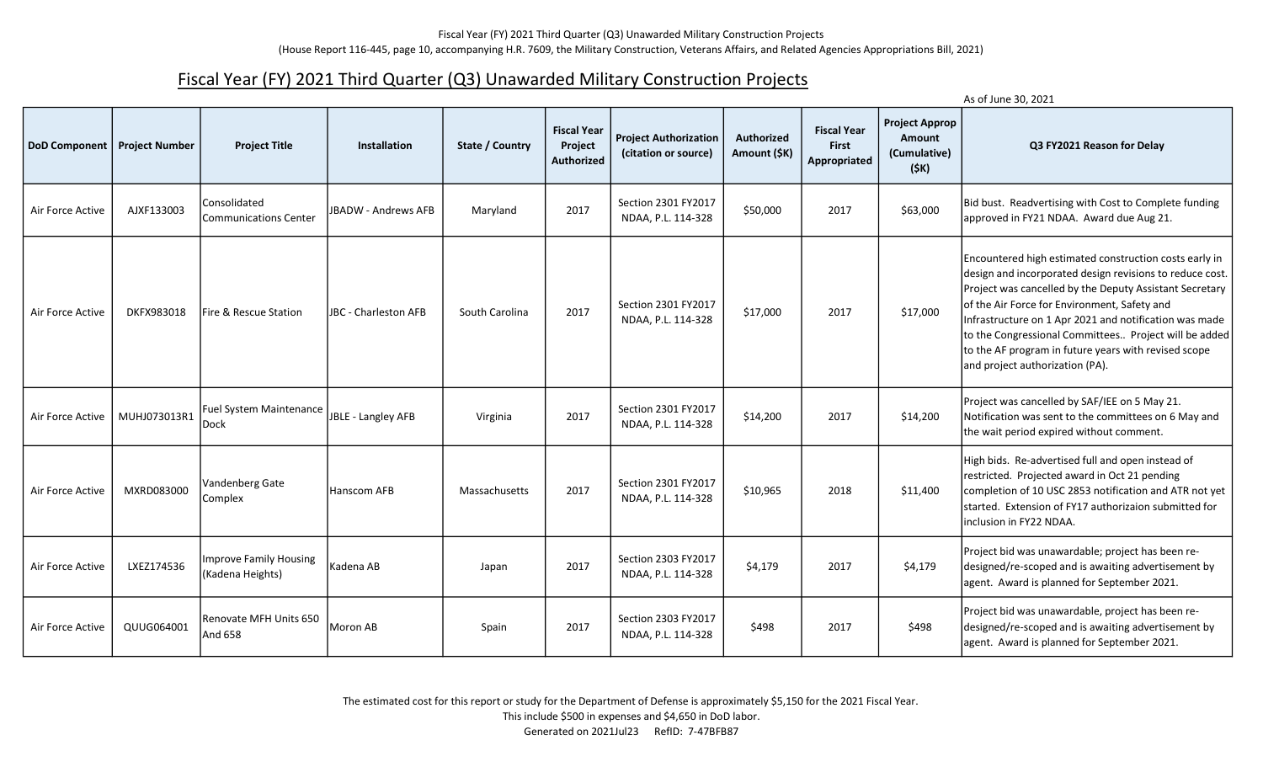## Fiscal Year (FY) 2021 Third Quarter (Q3) Unawarded Military Construction Projects

|                      |                       |                                            |                            |                 |                                             |                                                      |                            |                                                    |                                                         | As of June 30, 2021                                                                                                                                                                                                                                                                                                                                                                                                                         |
|----------------------|-----------------------|--------------------------------------------|----------------------------|-----------------|---------------------------------------------|------------------------------------------------------|----------------------------|----------------------------------------------------|---------------------------------------------------------|---------------------------------------------------------------------------------------------------------------------------------------------------------------------------------------------------------------------------------------------------------------------------------------------------------------------------------------------------------------------------------------------------------------------------------------------|
| <b>DoD Component</b> | <b>Project Number</b> | <b>Project Title</b>                       | <b>Installation</b>        | State / Country | <b>Fiscal Year</b><br>Project<br>Authorized | <b>Project Authorization</b><br>(citation or source) | Authorized<br>Amount (\$K) | <b>Fiscal Year</b><br><b>First</b><br>Appropriated | <b>Project Approp</b><br>Amount<br>(Cumulative)<br>(SK) | Q3 FY2021 Reason for Delay                                                                                                                                                                                                                                                                                                                                                                                                                  |
| Air Force Active     | AJXF133003            | Consolidated<br>l Communications Center    | <b>JBADW - Andrews AFB</b> | Maryland        | 2017                                        | Section 2301 FY2017<br>NDAA, P.L. 114-328            | \$50,000                   | 2017                                               | \$63,000                                                | Bid bust. Readvertising with Cost to Complete funding<br>approved in FY21 NDAA. Award due Aug 21.                                                                                                                                                                                                                                                                                                                                           |
| Air Force Active     | DKFX983018            | <b>IFire &amp; Rescue Station</b>          | JBC - Charleston AFB       | South Carolina  | 2017                                        | Section 2301 FY2017<br>NDAA, P.L. 114-328            | \$17,000                   | 2017                                               | \$17,000                                                | Encountered high estimated construction costs early in<br>design and incorporated design revisions to reduce cost.<br>Project was cancelled by the Deputy Assistant Secretary<br>of the Air Force for Environment, Safety and<br>Infrastructure on 1 Apr 2021 and notification was made<br>to the Congressional Committees Project will be added<br>to the AF program in future years with revised scope<br>and project authorization (PA). |
| Air Force Active     | MUHJ073013R1          | Fuel System Maintenance<br><b>Dock</b>     | JBLE - Langley AFB         | Virginia        | 2017                                        | Section 2301 FY2017<br>NDAA, P.L. 114-328            | \$14,200                   | 2017                                               | \$14,200                                                | Project was cancelled by SAF/IEE on 5 May 21.<br>Notification was sent to the committees on 6 May and<br>the wait period expired without comment.                                                                                                                                                                                                                                                                                           |
| Air Force Active     | MXRD083000            | Vandenberg Gate<br>Complex                 | Hanscom AFB                | Massachusetts   | 2017                                        | Section 2301 FY2017<br>NDAA, P.L. 114-328            | \$10,965                   | 2018                                               | \$11,400                                                | High bids. Re-advertised full and open instead of<br>restricted. Projected award in Oct 21 pending<br>completion of 10 USC 2853 notification and ATR not yet<br>started. Extension of FY17 authorizaion submitted for<br>linclusion in FY22 NDAA.                                                                                                                                                                                           |
| Air Force Active     | LXEZ174536            | Improve Family Housing<br>(Kadena Heights) | Kadena AB                  | Japan           | 2017                                        | Section 2303 FY2017<br>NDAA, P.L. 114-328            | \$4,179                    | 2017                                               | \$4,179                                                 | Project bid was unawardable; project has been re-<br>designed/re-scoped and is awaiting advertisement by<br>agent. Award is planned for September 2021.                                                                                                                                                                                                                                                                                     |
| Air Force Active     | QUUG064001            | Renovate MFH Units 650<br>And 658          | Moron AB                   | Spain           | 2017                                        | Section 2303 FY2017<br>NDAA, P.L. 114-328            | \$498                      | 2017                                               | \$498                                                   | Project bid was unawardable, project has been re-<br>designed/re-scoped and is awaiting advertisement by<br>agent. Award is planned for September 2021.                                                                                                                                                                                                                                                                                     |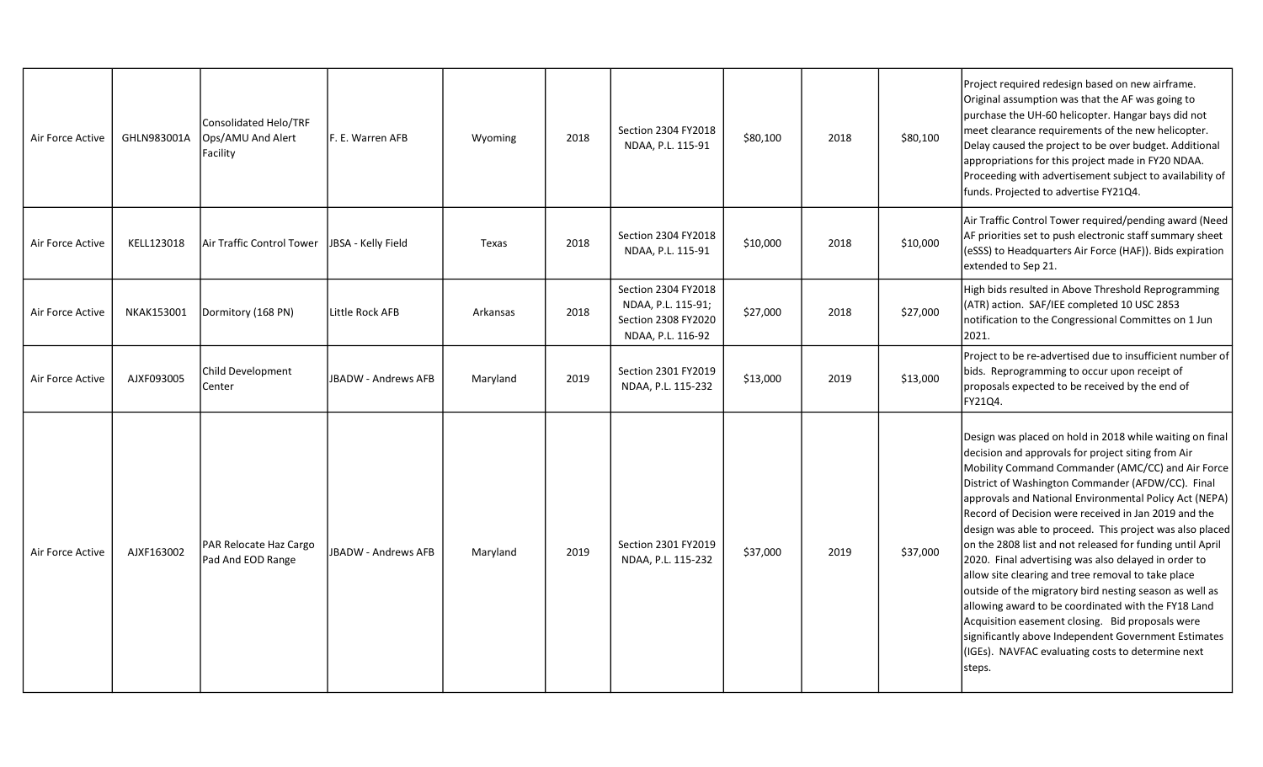| Air Force Active | GHLN983001A | Consolidated Helo/TRF<br>Ops/AMU And Alert<br>Facility | F. E. Warren AFB           | Wyoming  | 2018 | Section 2304 FY2018<br>NDAA, P.L. 115-91                                              | \$80,100 | 2018 | \$80,100 | Project required redesign based on new airframe.<br>Original assumption was that the AF was going to<br>purchase the UH-60 helicopter. Hangar bays did not<br>meet clearance requirements of the new helicopter.<br>Delay caused the project to be over budget. Additional<br>appropriations for this project made in FY20 NDAA.<br>Proceeding with advertisement subject to availability of<br>funds. Projected to advertise FY21Q4.                                                                                                                                                                                                                                                                                                                                                                                                                                          |
|------------------|-------------|--------------------------------------------------------|----------------------------|----------|------|---------------------------------------------------------------------------------------|----------|------|----------|--------------------------------------------------------------------------------------------------------------------------------------------------------------------------------------------------------------------------------------------------------------------------------------------------------------------------------------------------------------------------------------------------------------------------------------------------------------------------------------------------------------------------------------------------------------------------------------------------------------------------------------------------------------------------------------------------------------------------------------------------------------------------------------------------------------------------------------------------------------------------------|
| Air Force Active | KELL123018  | Air Traffic Control Tower                              | JBSA - Kelly Field         | Texas    | 2018 | Section 2304 FY2018<br>NDAA, P.L. 115-91                                              | \$10,000 | 2018 | \$10,000 | Air Traffic Control Tower required/pending award (Need<br>AF priorities set to push electronic staff summary sheet<br>(eSSS) to Headquarters Air Force (HAF)). Bids expiration<br>extended to Sep 21.                                                                                                                                                                                                                                                                                                                                                                                                                                                                                                                                                                                                                                                                          |
| Air Force Active | NKAK153001  | Dormitory (168 PN)                                     | Little Rock AFB            | Arkansas | 2018 | Section 2304 FY2018<br>NDAA, P.L. 115-91;<br>Section 2308 FY2020<br>NDAA, P.L. 116-92 | \$27,000 | 2018 | \$27,000 | High bids resulted in Above Threshold Reprogramming<br>(ATR) action. SAF/IEE completed 10 USC 2853<br>notification to the Congressional Committes on 1 Jun<br>2021.                                                                                                                                                                                                                                                                                                                                                                                                                                                                                                                                                                                                                                                                                                            |
| Air Force Active | AJXF093005  | Child Development<br>Center                            | <b>JBADW - Andrews AFB</b> | Maryland | 2019 | Section 2301 FY2019<br>NDAA, P.L. 115-232                                             | \$13,000 | 2019 | \$13,000 | Project to be re-advertised due to insufficient number of<br>bids. Reprogramming to occur upon receipt of<br>proposals expected to be received by the end of<br>FY21Q4.                                                                                                                                                                                                                                                                                                                                                                                                                                                                                                                                                                                                                                                                                                        |
| Air Force Active | AJXF163002  | PAR Relocate Haz Cargo<br>Pad And EOD Range            | <b>JBADW - Andrews AFB</b> | Maryland | 2019 | Section 2301 FY2019<br>NDAA, P.L. 115-232                                             | \$37,000 | 2019 | \$37,000 | Design was placed on hold in 2018 while waiting on final<br>decision and approvals for project siting from Air<br>Mobility Command Commander (AMC/CC) and Air Force<br>District of Washington Commander (AFDW/CC). Final<br>approvals and National Environmental Policy Act (NEPA)<br>Record of Decision were received in Jan 2019 and the<br>design was able to proceed. This project was also placed<br>on the 2808 list and not released for funding until April<br>2020. Final advertising was also delayed in order to<br>allow site clearing and tree removal to take place<br>outside of the migratory bird nesting season as well as<br>allowing award to be coordinated with the FY18 Land<br>Acquisition easement closing. Bid proposals were<br>significantly above Independent Government Estimates<br>(IGEs). NAVFAC evaluating costs to determine next<br>steps. |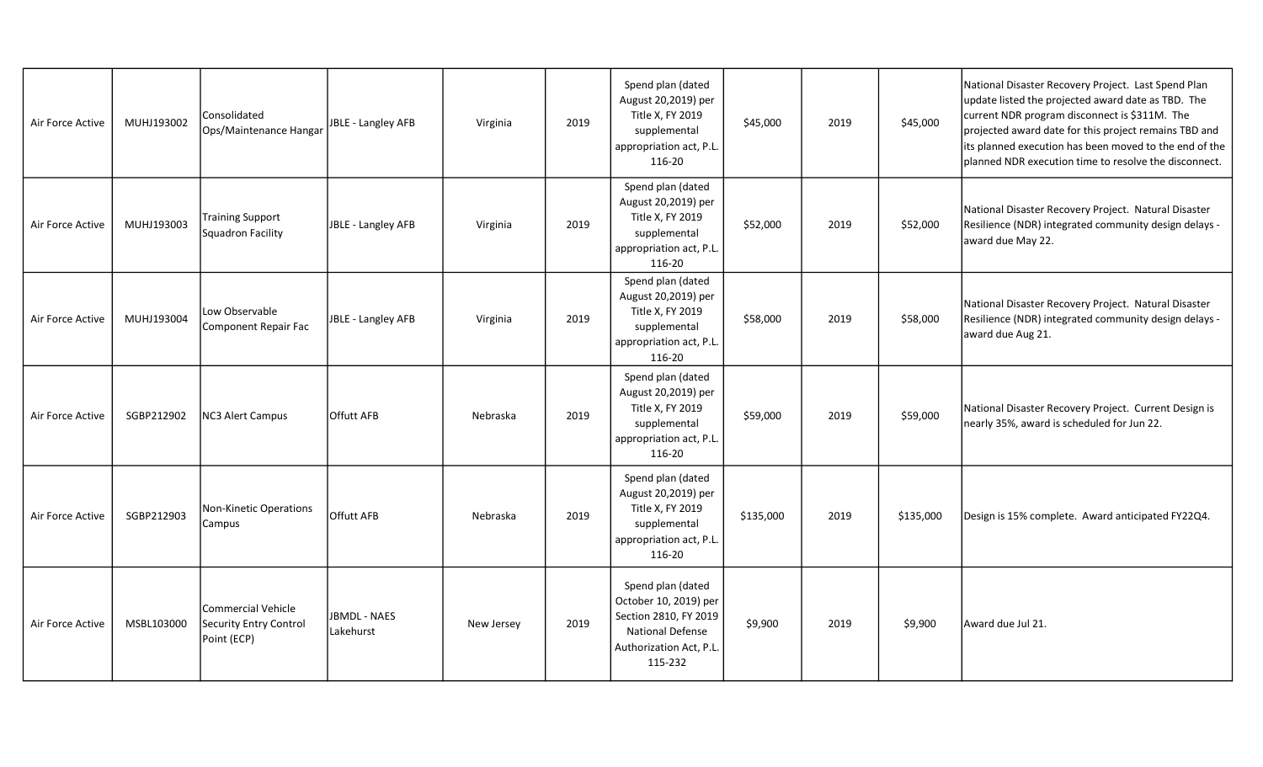| Air Force Active | MUHJ193002 | Consolidated<br>Ops/Maintenance Hangar                      | JBLE - Langley AFB               | Virginia   | 2019 | Spend plan (dated<br>August 20,2019) per<br>Title X, FY 2019<br>supplemental<br>appropriation act, P.L.<br>116-20                    | \$45,000  | 2019 | \$45,000  | National Disaster Recovery Project. Last Spend Plan<br>update listed the projected award date as TBD. The<br>current NDR program disconnect is \$311M. The<br>projected award date for this project remains TBD and<br>its planned execution has been moved to the end of the<br>planned NDR execution time to resolve the disconnect. |
|------------------|------------|-------------------------------------------------------------|----------------------------------|------------|------|--------------------------------------------------------------------------------------------------------------------------------------|-----------|------|-----------|----------------------------------------------------------------------------------------------------------------------------------------------------------------------------------------------------------------------------------------------------------------------------------------------------------------------------------------|
| Air Force Active | MUHJ193003 | Training Support<br>Squadron Facility                       | JBLE - Langley AFB               | Virginia   | 2019 | Spend plan (dated<br>August 20,2019) per<br>Title X, FY 2019<br>supplemental<br>appropriation act, P.L.<br>116-20                    | \$52,000  | 2019 | \$52,000  | National Disaster Recovery Project. Natural Disaster<br>Resilience (NDR) integrated community design delays -<br>award due May 22.                                                                                                                                                                                                     |
| Air Force Active | MUHJ193004 | Low Observable<br>Component Repair Fac                      | JBLE - Langley AFB               | Virginia   | 2019 | Spend plan (dated<br>August 20,2019) per<br>Title X, FY 2019<br>supplemental<br>appropriation act, P.L.<br>116-20                    | \$58,000  | 2019 | \$58,000  | National Disaster Recovery Project. Natural Disaster<br>Resilience (NDR) integrated community design delays -<br>award due Aug 21.                                                                                                                                                                                                     |
| Air Force Active | SGBP212902 | <b>NC3 Alert Campus</b>                                     | <b>Offutt AFB</b>                | Nebraska   | 2019 | Spend plan (dated<br>August 20,2019) per<br>Title X, FY 2019<br>supplemental<br>appropriation act, P.L.<br>116-20                    | \$59,000  | 2019 | \$59,000  | National Disaster Recovery Project. Current Design is<br>nearly 35%, award is scheduled for Jun 22.                                                                                                                                                                                                                                    |
| Air Force Active | SGBP212903 | Non-Kinetic Operations<br>Campus                            | Offutt AFB                       | Nebraska   | 2019 | Spend plan (dated<br>August 20,2019) per<br>Title X, FY 2019<br>supplemental<br>appropriation act, P.L.<br>116-20                    | \$135,000 | 2019 | \$135,000 | Design is 15% complete. Award anticipated FY22Q4.                                                                                                                                                                                                                                                                                      |
| Air Force Active | MSBL103000 | Commercial Vehicle<br>Security Entry Control<br>Point (ECP) | <b>JBMDL - NAES</b><br>Lakehurst | New Jersey | 2019 | Spend plan (dated<br>October 10, 2019) per<br>Section 2810, FY 2019<br><b>National Defense</b><br>Authorization Act, P.L.<br>115-232 | \$9,900   | 2019 | \$9,900   | Award due Jul 21.                                                                                                                                                                                                                                                                                                                      |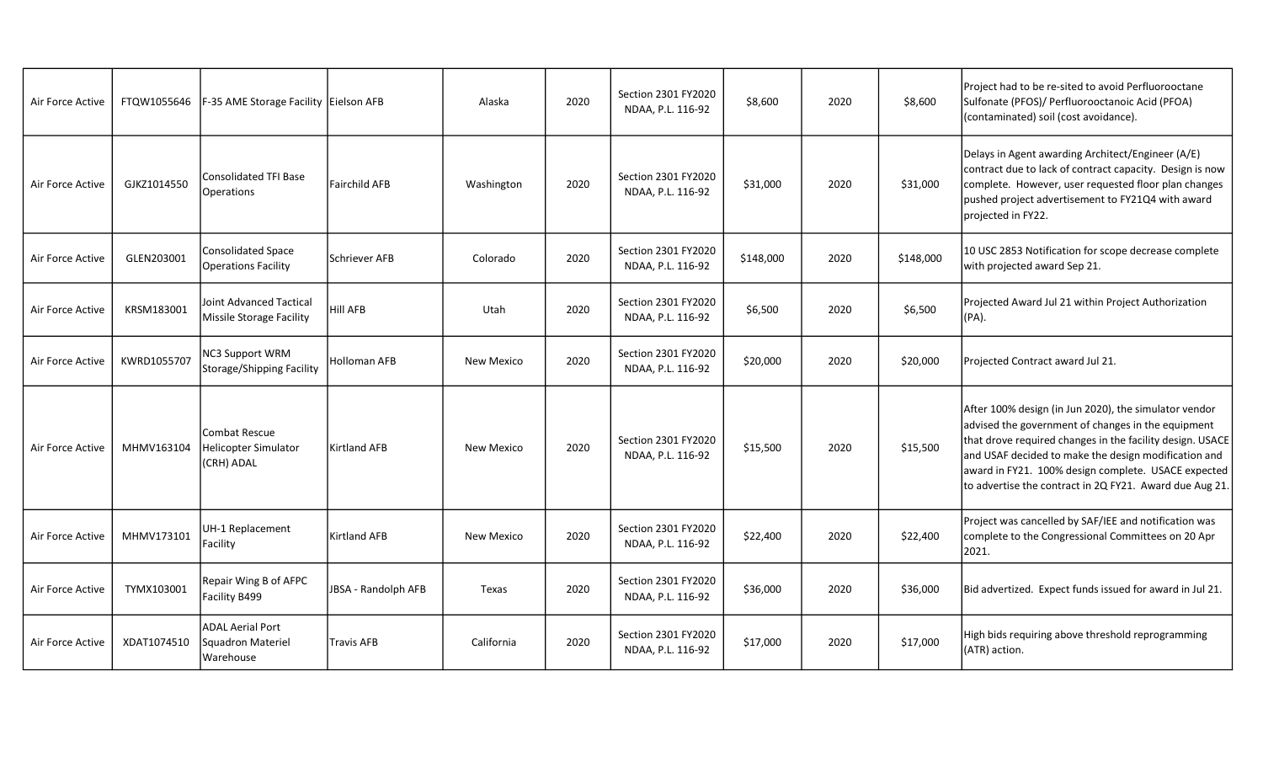| Air Force Active | FTQW1055646 | F-35 AME Storage Facility Eielson AFB                     |                      | Alaska            | 2020 | Section 2301 FY2020<br>NDAA, P.L. 116-92 | \$8,600   | 2020 | \$8,600   | Project had to be re-sited to avoid Perfluorooctane<br>Sulfonate (PFOS)/ Perfluorooctanoic Acid (PFOA)<br>(contaminated) soil (cost avoidance).                                                                                                                                                                                                    |
|------------------|-------------|-----------------------------------------------------------|----------------------|-------------------|------|------------------------------------------|-----------|------|-----------|----------------------------------------------------------------------------------------------------------------------------------------------------------------------------------------------------------------------------------------------------------------------------------------------------------------------------------------------------|
| Air Force Active | GJKZ1014550 | Consolidated TFI Base<br>Operations                       | <b>Fairchild AFB</b> | Washington        | 2020 | Section 2301 FY2020<br>NDAA, P.L. 116-92 | \$31,000  | 2020 | \$31,000  | Delays in Agent awarding Architect/Engineer (A/E)<br>contract due to lack of contract capacity. Design is now<br>complete. However, user requested floor plan changes<br>pushed project advertisement to FY21Q4 with award<br>projected in FY22.                                                                                                   |
| Air Force Active | GLEN203001  | Consolidated Space<br>Operations Facility                 | Schriever AFB        | Colorado          | 2020 | Section 2301 FY2020<br>NDAA, P.L. 116-92 | \$148,000 | 2020 | \$148,000 | 10 USC 2853 Notification for scope decrease complete<br>with projected award Sep 21.                                                                                                                                                                                                                                                               |
| Air Force Active | KRSM183001  | Joint Advanced Tactical<br>Missile Storage Facility       | <b>Hill AFB</b>      | Utah              | 2020 | Section 2301 FY2020<br>NDAA, P.L. 116-92 | \$6,500   | 2020 | \$6,500   | Projected Award Jul 21 within Project Authorization<br>$(PA)$ .                                                                                                                                                                                                                                                                                    |
| Air Force Active | KWRD1055707 | NC3 Support WRM<br>Storage/Shipping Facility              | Holloman AFB         | New Mexico        | 2020 | Section 2301 FY2020<br>NDAA, P.L. 116-92 | \$20,000  | 2020 | \$20,000  | Projected Contract award Jul 21.                                                                                                                                                                                                                                                                                                                   |
| Air Force Active | MHMV163104  | Combat Rescue<br>Helicopter Simulator<br>(CRH) ADAL       | <b>Kirtland AFB</b>  | <b>New Mexico</b> | 2020 | Section 2301 FY2020<br>NDAA, P.L. 116-92 | \$15,500  | 2020 | \$15,500  | After 100% design (in Jun 2020), the simulator vendor<br>advised the government of changes in the equipment<br>that drove required changes in the facility design. USACE<br>and USAF decided to make the design modification and<br>award in FY21. 100% design complete. USACE expected<br>to advertise the contract in 2Q FY21. Award due Aug 21. |
| Air Force Active | MHMV173101  | UH-1 Replacement<br>Facility                              | <b>Kirtland AFB</b>  | New Mexico        | 2020 | Section 2301 FY2020<br>NDAA, P.L. 116-92 | \$22,400  | 2020 | \$22,400  | Project was cancelled by SAF/IEE and notification was<br>complete to the Congressional Committees on 20 Apr<br>2021.                                                                                                                                                                                                                               |
| Air Force Active | TYMX103001  | Repair Wing B of AFPC<br>Facility B499                    | JBSA - Randolph AFB  | Texas             | 2020 | Section 2301 FY2020<br>NDAA, P.L. 116-92 | \$36,000  | 2020 | \$36,000  | Bid advertized. Expect funds issued for award in Jul 21.                                                                                                                                                                                                                                                                                           |
| Air Force Active | XDAT1074510 | <b>ADAL Aerial Port</b><br>Squadron Materiel<br>Warehouse | <b>Travis AFB</b>    | California        | 2020 | Section 2301 FY2020<br>NDAA, P.L. 116-92 | \$17,000  | 2020 | \$17,000  | High bids requiring above threshold reprogramming<br>(ATR) action.                                                                                                                                                                                                                                                                                 |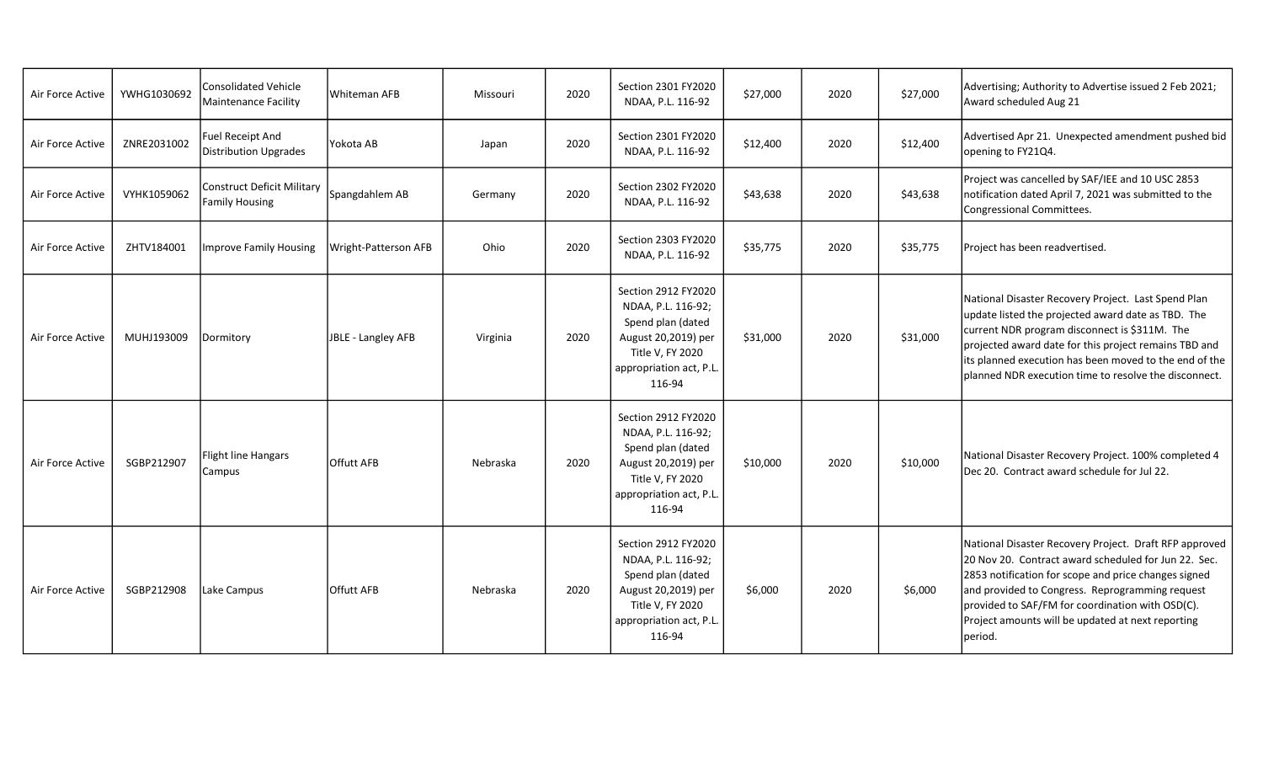| Air Force Active | YWHG1030692 | Consolidated Vehicle<br>Maintenance Facility               | Whiteman AFB         | Missouri | 2020 | Section 2301 FY2020<br>NDAA, P.L. 116-92                                                                                                      | \$27,000 | 2020 | \$27,000 | Advertising; Authority to Advertise issued 2 Feb 2021;<br>Award scheduled Aug 21                                                                                                                                                                                                                                                               |
|------------------|-------------|------------------------------------------------------------|----------------------|----------|------|-----------------------------------------------------------------------------------------------------------------------------------------------|----------|------|----------|------------------------------------------------------------------------------------------------------------------------------------------------------------------------------------------------------------------------------------------------------------------------------------------------------------------------------------------------|
| Air Force Active | ZNRE2031002 | <b>Fuel Receipt And</b><br><b>Distribution Upgrades</b>    | Yokota AB            | Japan    | 2020 | Section 2301 FY2020<br>NDAA, P.L. 116-92                                                                                                      | \$12,400 | 2020 | \$12,400 | Advertised Apr 21. Unexpected amendment pushed bid<br>opening to FY21Q4.                                                                                                                                                                                                                                                                       |
| Air Force Active | VYHK1059062 | <b>Construct Deficit Military</b><br><b>Family Housing</b> | Spangdahlem AB       | Germany  | 2020 | Section 2302 FY2020<br>NDAA, P.L. 116-92                                                                                                      | \$43,638 | 2020 | \$43,638 | Project was cancelled by SAF/IEE and 10 USC 2853<br>notification dated April 7, 2021 was submitted to the<br>Congressional Committees.                                                                                                                                                                                                         |
| Air Force Active | ZHTV184001  | <b>Improve Family Housing</b>                              | Wright-Patterson AFB | Ohio     | 2020 | Section 2303 FY2020<br>NDAA, P.L. 116-92                                                                                                      | \$35,775 | 2020 | \$35,775 | Project has been readvertised.                                                                                                                                                                                                                                                                                                                 |
| Air Force Active | MUHJ193009  | Dormitory                                                  | JBLE - Langley AFB   | Virginia | 2020 | Section 2912 FY2020<br>NDAA, P.L. 116-92;<br>Spend plan (dated<br>August 20,2019) per<br>Title V, FY 2020<br>appropriation act, P.L<br>116-94 | \$31,000 | 2020 | \$31,000 | National Disaster Recovery Project. Last Spend Plan<br>update listed the projected award date as TBD. The<br>current NDR program disconnect is \$311M. The<br>projected award date for this project remains TBD and<br>its planned execution has been moved to the end of the<br>planned NDR execution time to resolve the disconnect.         |
| Air Force Active | SGBP212907  | <b>Flight line Hangars</b><br>Campus                       | Offutt AFB           | Nebraska | 2020 | Section 2912 FY2020<br>NDAA, P.L. 116-92;<br>Spend plan (dated<br>August 20,2019) per<br>Title V, FY 2020<br>appropriation act, P.L<br>116-94 | \$10,000 | 2020 | \$10,000 | National Disaster Recovery Project. 100% completed 4<br>Dec 20. Contract award schedule for Jul 22.                                                                                                                                                                                                                                            |
| Air Force Active | SGBP212908  | Lake Campus                                                | <b>Offutt AFB</b>    | Nebraska | 2020 | Section 2912 FY2020<br>NDAA, P.L. 116-92;<br>Spend plan (dated<br>August 20,2019) per<br>Title V, FY 2020<br>appropriation act, P.L<br>116-94 | \$6,000  | 2020 | \$6,000  | National Disaster Recovery Project. Draft RFP approved<br>20 Nov 20. Contract award scheduled for Jun 22. Sec.<br>2853 notification for scope and price changes signed<br>and provided to Congress. Reprogramming request<br>provided to SAF/FM for coordination with OSD(C).<br>Project amounts will be updated at next reporting<br>Iperiod. |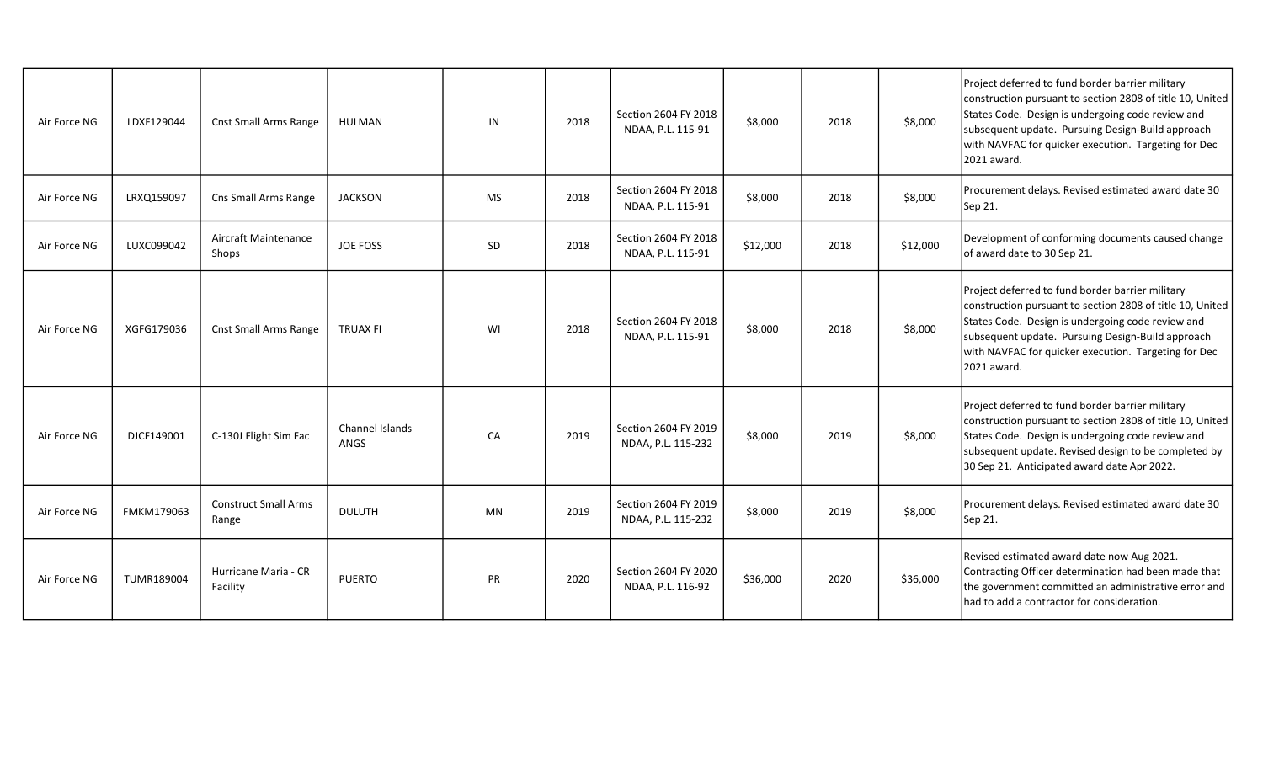| Air Force NG | LDXF129044 | <b>Cnst Small Arms Range</b>         | HULMAN                  | IN        | 2018 | Section 2604 FY 2018<br>NDAA, P.L. 115-91  | \$8,000  | 2018 | \$8,000  | Project deferred to fund border barrier military<br>construction pursuant to section 2808 of title 10, United<br>States Code. Design is undergoing code review and<br>subsequent update. Pursuing Design-Build approach<br>with NAVFAC for quicker execution. Targeting for Dec<br>2021 award. |
|--------------|------------|--------------------------------------|-------------------------|-----------|------|--------------------------------------------|----------|------|----------|------------------------------------------------------------------------------------------------------------------------------------------------------------------------------------------------------------------------------------------------------------------------------------------------|
| Air Force NG | LRXQ159097 | Cns Small Arms Range                 | <b>JACKSON</b>          | <b>MS</b> | 2018 | Section 2604 FY 2018<br>NDAA, P.L. 115-91  | \$8,000  | 2018 | \$8,000  | Procurement delays. Revised estimated award date 30<br>Sep 21.                                                                                                                                                                                                                                 |
| Air Force NG | LUXC099042 | Aircraft Maintenance<br>Shops        | <b>JOE FOSS</b>         | <b>SD</b> | 2018 | Section 2604 FY 2018<br>NDAA, P.L. 115-91  | \$12,000 | 2018 | \$12,000 | Development of conforming documents caused change<br>of award date to 30 Sep 21.                                                                                                                                                                                                               |
| Air Force NG | XGFG179036 | <b>Cnst Small Arms Range</b>         | <b>TRUAX FI</b>         | WI        | 2018 | Section 2604 FY 2018<br>NDAA, P.L. 115-91  | \$8,000  | 2018 | \$8,000  | Project deferred to fund border barrier military<br>construction pursuant to section 2808 of title 10, United<br>States Code. Design is undergoing code review and<br>subsequent update. Pursuing Design-Build approach<br>with NAVFAC for quicker execution. Targeting for Dec<br>2021 award. |
| Air Force NG | DJCF149001 | C-130J Flight Sim Fac                | Channel Islands<br>ANGS | CA        | 2019 | Section 2604 FY 2019<br>NDAA, P.L. 115-232 | \$8,000  | 2019 | \$8,000  | Project deferred to fund border barrier military<br>construction pursuant to section 2808 of title 10, United<br>States Code. Design is undergoing code review and<br>subsequent update. Revised design to be completed by<br>30 Sep 21. Anticipated award date Apr 2022.                      |
| Air Force NG | FMKM179063 | <b>Construct Small Arms</b><br>Range | <b>DULUTH</b>           | MN        | 2019 | Section 2604 FY 2019<br>NDAA, P.L. 115-232 | \$8,000  | 2019 | \$8,000  | Procurement delays. Revised estimated award date 30<br>Sep 21.                                                                                                                                                                                                                                 |
| Air Force NG | TUMR189004 | Hurricane Maria - CR<br>Facility     | <b>PUERTO</b>           | <b>PR</b> | 2020 | Section 2604 FY 2020<br>NDAA, P.L. 116-92  | \$36,000 | 2020 | \$36,000 | Revised estimated award date now Aug 2021.<br>Contracting Officer determination had been made that<br>the government committed an administrative error and<br>had to add a contractor for consideration.                                                                                       |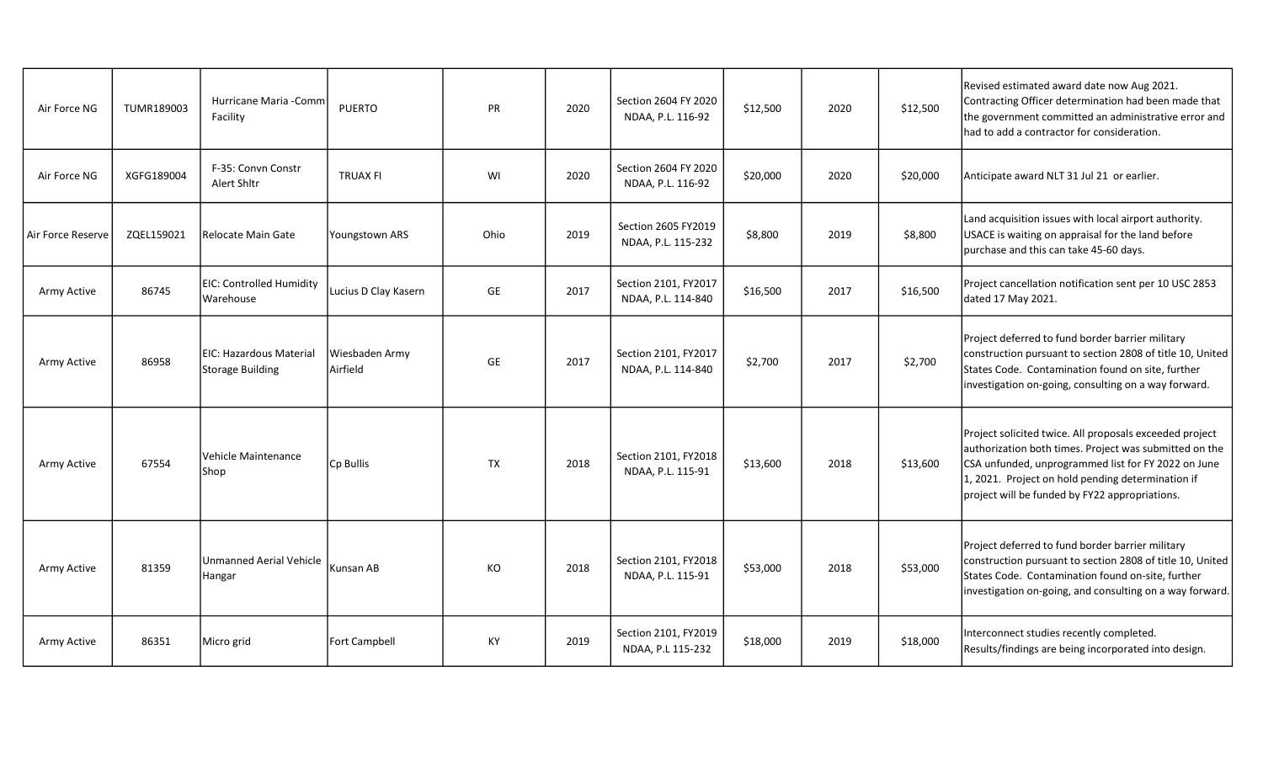| Air Force NG      | TUMR189003 | Hurricane Maria - Comm<br>Facility                 | <b>PUERTO</b>              | <b>PR</b> | 2020 | Section 2604 FY 2020<br>NDAA, P.L. 116-92  | \$12,500 | 2020 | \$12,500 | Revised estimated award date now Aug 2021.<br>Contracting Officer determination had been made that<br> the government committed an administrative error and  <br>had to add a contractor for consideration.                                                                     |
|-------------------|------------|----------------------------------------------------|----------------------------|-----------|------|--------------------------------------------|----------|------|----------|---------------------------------------------------------------------------------------------------------------------------------------------------------------------------------------------------------------------------------------------------------------------------------|
| Air Force NG      | XGFG189004 | F-35: Convn Constr<br>Alert Shltr                  | <b>TRUAX FI</b>            | WI        | 2020 | Section 2604 FY 2020<br>NDAA, P.L. 116-92  | \$20,000 | 2020 | \$20,000 | Anticipate award NLT 31 Jul 21 or earlier.                                                                                                                                                                                                                                      |
| Air Force Reserve | ZOEL159021 | Relocate Main Gate                                 | Youngstown ARS             | Ohio      | 2019 | Section 2605 FY2019<br>NDAA, P.L. 115-232  | \$8,800  | 2019 | \$8,800  | Land acquisition issues with local airport authority.<br>USACE is waiting on appraisal for the land before<br>purchase and this can take 45-60 days.                                                                                                                            |
| Army Active       | 86745      | EIC: Controlled Humidity<br>Warehouse              | Lucius D Clay Kasern       | GE        | 2017 | Section 2101, FY2017<br>NDAA, P.L. 114-840 | \$16,500 | 2017 | \$16,500 | Project cancellation notification sent per 10 USC 2853<br>dated 17 May 2021.                                                                                                                                                                                                    |
| Army Active       | 86958      | EIC: Hazardous Material<br><b>Storage Building</b> | Wiesbaden Army<br>Airfield | GE        | 2017 | Section 2101, FY2017<br>NDAA, P.L. 114-840 | \$2,700  | 2017 | \$2,700  | Project deferred to fund border barrier military<br>construction pursuant to section 2808 of title 10, United<br>States Code. Contamination found on site, further<br>investigation on-going, consulting on a way forward.                                                      |
| Army Active       | 67554      | Vehicle Maintenance<br>Shop                        | Cp Bullis                  | TX        | 2018 | Section 2101, FY2018<br>NDAA, P.L. 115-91  | \$13,600 | 2018 | \$13,600 | Project solicited twice. All proposals exceeded project<br>authorization both times. Project was submitted on the<br>CSA unfunded, unprogrammed list for FY 2022 on June<br>1, 2021. Project on hold pending determination if<br>project will be funded by FY22 appropriations. |
| Army Active       | 81359      | <b>Unmanned Aerial Vehicle</b><br>Hangar           | Kunsan AB                  | KO        | 2018 | Section 2101, FY2018<br>NDAA, P.L. 115-91  | \$53,000 | 2018 | \$53,000 | Project deferred to fund border barrier military<br>construction pursuant to section 2808 of title 10, United<br>States Code. Contamination found on-site, further<br>investigation on-going, and consulting on a way forward.                                                  |
| Army Active       | 86351      | Micro grid                                         | <b>Fort Campbell</b>       | KY        | 2019 | Section 2101, FY2019<br>NDAA, P.L 115-232  | \$18,000 | 2019 | \$18,000 | Interconnect studies recently completed.<br>Results/findings are being incorporated into design.                                                                                                                                                                                |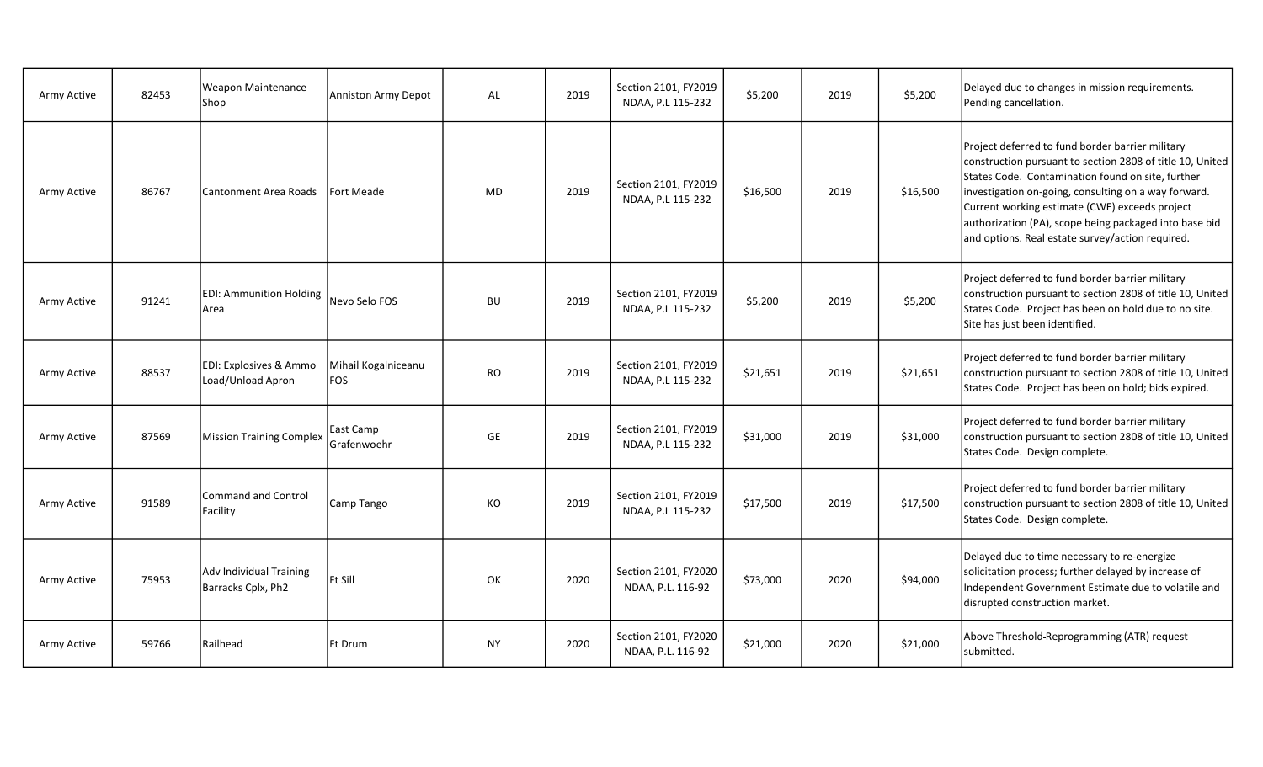| Army Active | 82453 | Weapon Maintenance<br>Shop                    | Anniston Army Depot               | AL        | 2019 | Section 2101, FY2019<br>NDAA, P.L 115-232 | \$5,200  | 2019 | \$5,200  | Delayed due to changes in mission requirements.<br>Pending cancellation.                                                                                                                                                                                                                                                                                                                   |
|-------------|-------|-----------------------------------------------|-----------------------------------|-----------|------|-------------------------------------------|----------|------|----------|--------------------------------------------------------------------------------------------------------------------------------------------------------------------------------------------------------------------------------------------------------------------------------------------------------------------------------------------------------------------------------------------|
| Army Active | 86767 | Cantonment Area Roads                         | Fort Meade                        | <b>MD</b> | 2019 | Section 2101, FY2019<br>NDAA, P.L 115-232 | \$16,500 | 2019 | \$16,500 | Project deferred to fund border barrier military<br>construction pursuant to section 2808 of title 10, United<br>States Code. Contamination found on site, further<br>investigation on-going, consulting on a way forward.<br>Current working estimate (CWE) exceeds project<br>authorization (PA), scope being packaged into base bid<br>and options. Real estate survey/action required. |
| Army Active | 91241 | <b>EDI: Ammunition Holding</b><br>Area        | Nevo Selo FOS                     | <b>BU</b> | 2019 | Section 2101, FY2019<br>NDAA, P.L 115-232 | \$5,200  | 2019 | \$5,200  | Project deferred to fund border barrier military<br>construction pursuant to section 2808 of title 10, United<br>States Code. Project has been on hold due to no site.<br>Site has just been identified.                                                                                                                                                                                   |
| Army Active | 88537 | EDI: Explosives & Ammo<br>Load/Unload Apron   | Mihail Kogalniceanu<br><b>FOS</b> | <b>RO</b> | 2019 | Section 2101, FY2019<br>NDAA, P.L 115-232 | \$21,651 | 2019 | \$21,651 | Project deferred to fund border barrier military<br>construction pursuant to section 2808 of title 10, United<br>States Code. Project has been on hold; bids expired.                                                                                                                                                                                                                      |
| Army Active | 87569 | <b>Mission Training Complex</b>               | East Camp<br>Grafenwoehr          | GE        | 2019 | Section 2101, FY2019<br>NDAA, P.L 115-232 | \$31,000 | 2019 | \$31,000 | Project deferred to fund border barrier military<br>construction pursuant to section 2808 of title 10, United<br>States Code. Design complete.                                                                                                                                                                                                                                             |
| Army Active | 91589 | <b>Command and Control</b><br>Facility        | Camp Tango                        | KO        | 2019 | Section 2101, FY2019<br>NDAA, P.L 115-232 | \$17,500 | 2019 | \$17,500 | Project deferred to fund border barrier military<br>construction pursuant to section 2808 of title 10, United<br>States Code. Design complete.                                                                                                                                                                                                                                             |
| Army Active | 75953 | Adv Individual Training<br>Barracks Cplx, Ph2 | Ft Sill                           | OK        | 2020 | Section 2101, FY2020<br>NDAA, P.L. 116-92 | \$73,000 | 2020 | \$94,000 | Delayed due to time necessary to re-energize<br>solicitation process; further delayed by increase of<br>Independent Government Estimate due to volatile and<br>disrupted construction market.                                                                                                                                                                                              |
| Army Active | 59766 | Railhead                                      | Ft Drum                           | <b>NY</b> | 2020 | Section 2101, FY2020<br>NDAA, P.L. 116-92 | \$21,000 | 2020 | \$21,000 | Above Threshold-Reprogramming (ATR) request<br>submitted.                                                                                                                                                                                                                                                                                                                                  |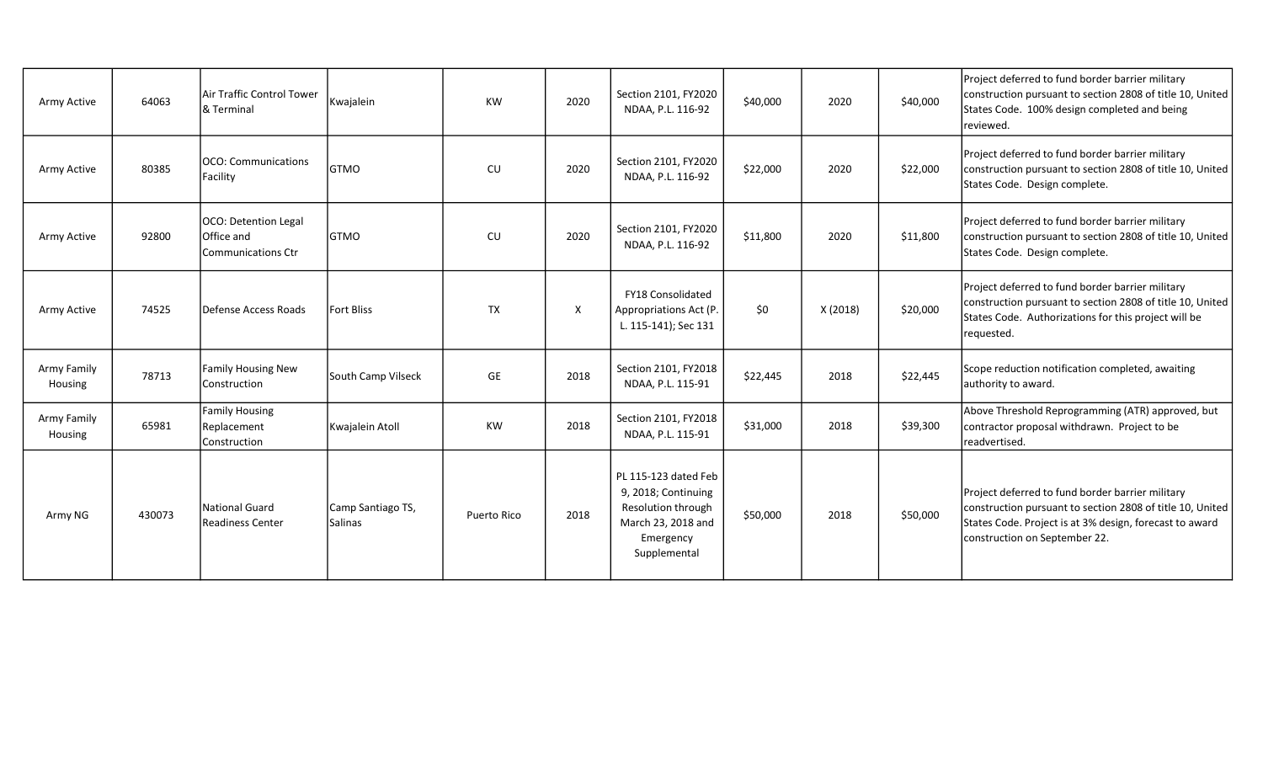| Army Active            | 64063  | Air Traffic Control Tower<br>& Terminal                  | Kwajalein                           | <b>KW</b>   | 2020         | Section 2101, FY2020<br>NDAA, P.L. 116-92                                                                            | \$40,000 | 2020     | \$40,000 | Project deferred to fund border barrier military<br>construction pursuant to section 2808 of title 10, United<br>States Code. 100% design completed and being<br>reviewed.                                |
|------------------------|--------|----------------------------------------------------------|-------------------------------------|-------------|--------------|----------------------------------------------------------------------------------------------------------------------|----------|----------|----------|-----------------------------------------------------------------------------------------------------------------------------------------------------------------------------------------------------------|
| Army Active            | 80385  | OCO: Communications<br>Facility                          | <b>GTMO</b>                         | <b>CU</b>   | 2020         | Section 2101, FY2020<br>NDAA, P.L. 116-92                                                                            | \$22,000 | 2020     | \$22,000 | Project deferred to fund border barrier military<br>construction pursuant to section 2808 of title 10, United<br>States Code. Design complete.                                                            |
| Army Active            | 92800  | OCO: Detention Legal<br>Office and<br>Communications Ctr | <b>GTMO</b>                         | CU          | 2020         | Section 2101, FY2020<br>NDAA, P.L. 116-92                                                                            | \$11,800 | 2020     | \$11,800 | Project deferred to fund border barrier military<br>construction pursuant to section 2808 of title 10, United<br>States Code. Design complete.                                                            |
| Army Active            | 74525  | Defense Access Roads                                     | <b>Fort Bliss</b>                   | <b>TX</b>   | $\mathsf{X}$ | FY18 Consolidated<br>Appropriations Act (P.<br>L. 115-141); Sec 131                                                  | \$0      | X (2018) | \$20,000 | Project deferred to fund border barrier military<br>construction pursuant to section 2808 of title 10, United<br>States Code. Authorizations for this project will be<br>requested.                       |
| Army Family<br>Housing | 78713  | <b>Family Housing New</b><br>Construction                | South Camp Vilseck                  | <b>GE</b>   | 2018         | Section 2101, FY2018<br>NDAA, P.L. 115-91                                                                            | \$22,445 | 2018     | \$22,445 | Scope reduction notification completed, awaiting<br>authority to award.                                                                                                                                   |
| Army Family<br>Housing | 65981  | <b>Family Housing</b><br>Replacement<br>Construction     | Kwajalein Atoll                     | KW          | 2018         | Section 2101, FY2018<br>NDAA, P.L. 115-91                                                                            | \$31,000 | 2018     | \$39,300 | Above Threshold Reprogramming (ATR) approved, but<br>contractor proposal withdrawn. Project to be<br>Ireadvertised.                                                                                       |
| Army NG                | 430073 | <b>National Guard</b><br><b>Readiness Center</b>         | Camp Santiago TS,<br><b>Salinas</b> | Puerto Rico | 2018         | PL 115-123 dated Feb<br>9, 2018; Continuing<br>Resolution through<br>March 23, 2018 and<br>Emergency<br>Supplemental | \$50,000 | 2018     | \$50,000 | Project deferred to fund border barrier military<br>construction pursuant to section 2808 of title 10, United<br>States Code. Project is at 3% design, forecast to award<br>construction on September 22. |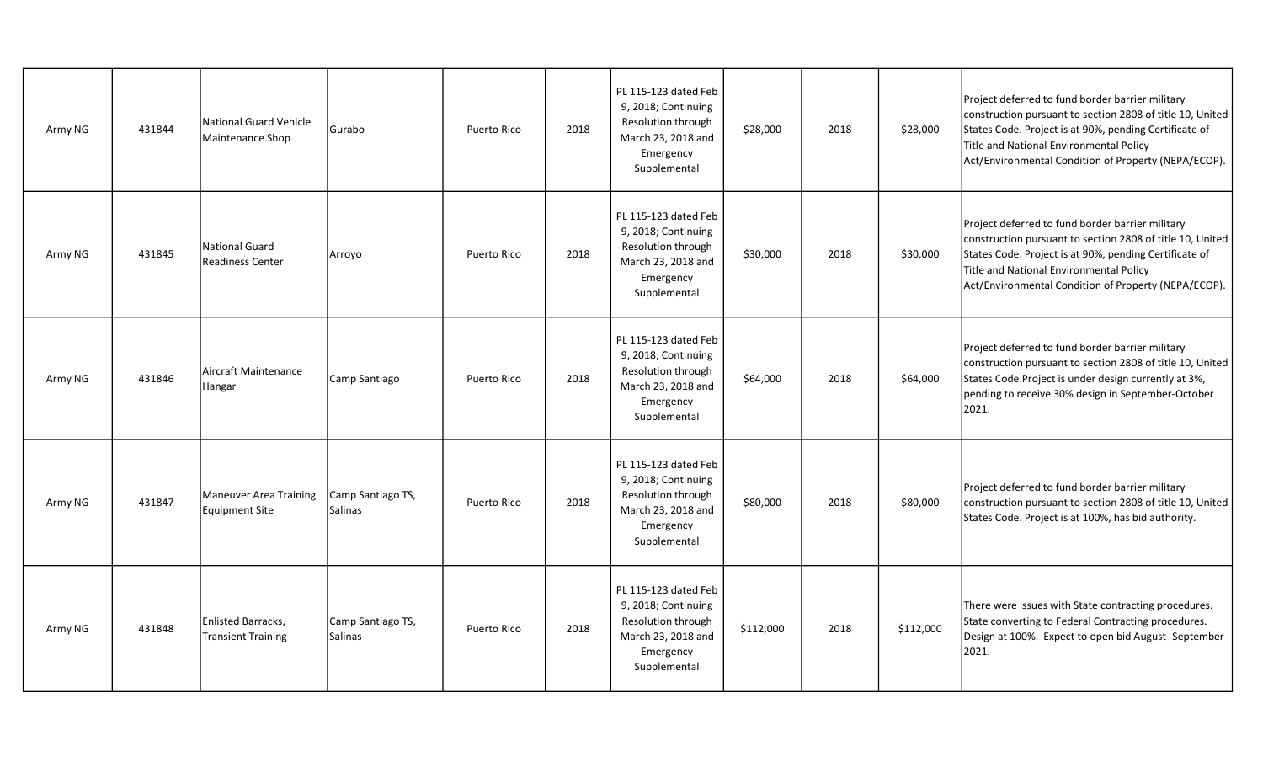| Army NG | 431844 | National Guard Vehicle<br>Maintenance Shop | Gurabo                       | Puerto Rico | 2018 | PL 115-123 dated Feb<br>9, 2018; Continuing<br>Resolution through<br>March 23, 2018 and<br>Emergency<br>Supplemental | \$28,000  | 2018 | \$28,000  | Project deferred to fund border barrier military<br>construction pursuant to section 2808 of title 10, United<br>States Code. Project is at 90%, pending Certificate of<br>Title and National Environmental Policy<br>Act/Environmental Condition of Property (NEPA/ECOP). |
|---------|--------|--------------------------------------------|------------------------------|-------------|------|----------------------------------------------------------------------------------------------------------------------|-----------|------|-----------|----------------------------------------------------------------------------------------------------------------------------------------------------------------------------------------------------------------------------------------------------------------------------|
| Army NG | 431845 | National Guard<br>Readiness Center         | Arroyo                       | Puerto Rico | 2018 | PL 115-123 dated Feb<br>9, 2018; Continuing<br>Resolution through<br>March 23, 2018 and<br>Emergency<br>Supplemental | \$30,000  | 2018 | \$30,000  | Project deferred to fund border barrier military<br>construction pursuant to section 2808 of title 10, United<br>States Code. Project is at 90%, pending Certificate of<br>Title and National Environmental Policy<br>Act/Environmental Condition of Property (NEPA/ECOP). |
| Army NG | 431846 | Aircraft Maintenance<br>Hangar             | Camp Santiago                | Puerto Rico | 2018 | PL 115-123 dated Feb<br>9, 2018; Continuing<br>Resolution through<br>March 23, 2018 and<br>Emergency<br>Supplemental | \$64,000  | 2018 | \$64,000  | Project deferred to fund border barrier military<br>construction pursuant to section 2808 of title 10, United<br>States Code. Project is under design currently at 3%,<br>pending to receive 30% design in September-October<br>2021.                                      |
| Army NG | 431847 | Maneuver Area Training<br>Equipment Site   | Camp Santiago TS,<br>Salinas | Puerto Rico | 2018 | PL 115-123 dated Feb<br>9, 2018; Continuing<br>Resolution through<br>March 23, 2018 and<br>Emergency<br>Supplemental | \$80,000  | 2018 | \$80,000  | Project deferred to fund border barrier military<br>construction pursuant to section 2808 of title 10, United<br>States Code. Project is at 100%, has bid authority.                                                                                                       |
| Army NG | 431848 | Enlisted Barracks,<br>Transient Training   | Camp Santiago TS,<br>Salinas | Puerto Rico | 2018 | PL 115-123 dated Feb<br>9, 2018; Continuing<br>Resolution through<br>March 23, 2018 and<br>Emergency<br>Supplemental | \$112,000 | 2018 | \$112,000 | There were issues with State contracting procedures.<br>State converting to Federal Contracting procedures.<br>Design at 100%. Expect to open bid August -September<br>2021.                                                                                               |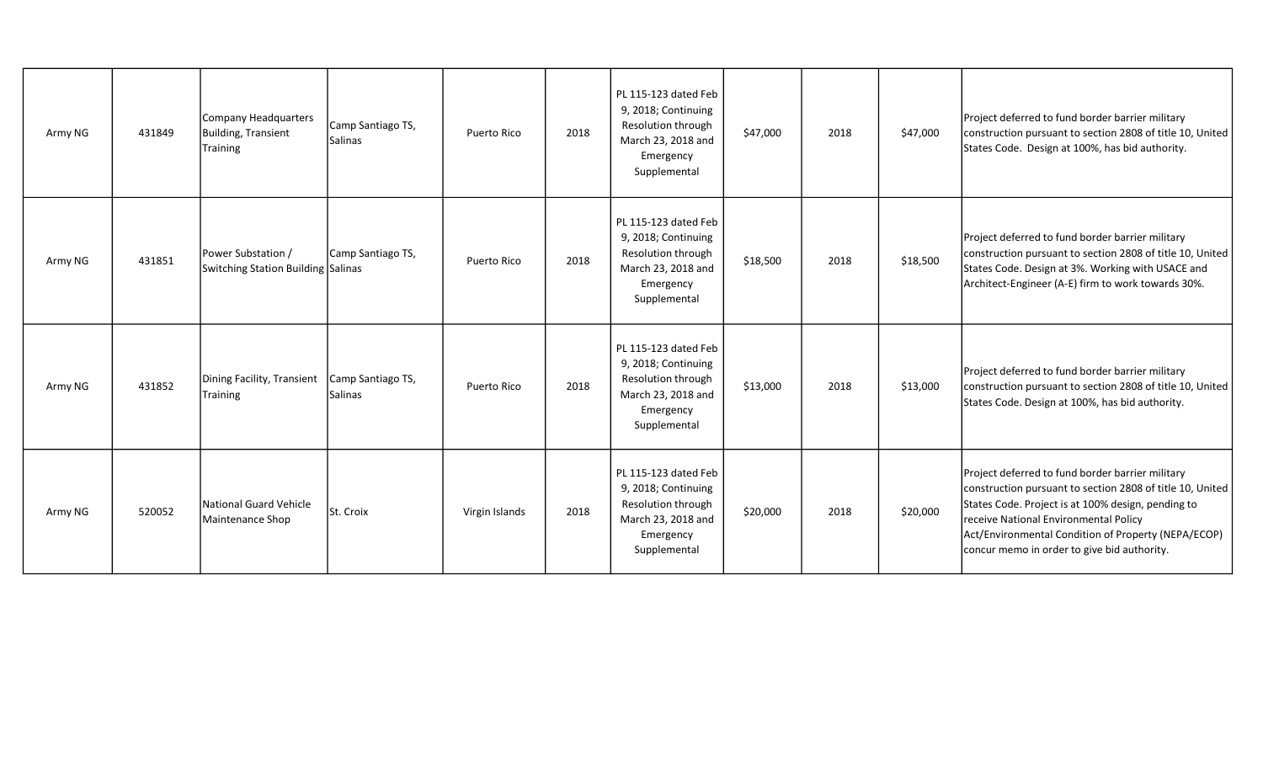| Army NG | 431849 | <b>Company Headquarters</b><br>Building, Transient<br><b>Training</b> | Camp Santiago TS,<br>Salinas        | <b>Puerto Rico</b> | 2018 | PL 115-123 dated Feb<br>9, 2018; Continuing<br>Resolution through<br>March 23, 2018 and<br>Emergency<br>Supplemental | \$47,000 | 2018 | \$47,000 | Project deferred to fund border barrier military<br>construction pursuant to section 2808 of title 10, United<br>States Code. Design at 100%, has bid authority.                                                                                                                                                   |
|---------|--------|-----------------------------------------------------------------------|-------------------------------------|--------------------|------|----------------------------------------------------------------------------------------------------------------------|----------|------|----------|--------------------------------------------------------------------------------------------------------------------------------------------------------------------------------------------------------------------------------------------------------------------------------------------------------------------|
| Army NG | 431851 | Power Substation /<br>Switching Station Building Salinas              | Camp Santiago TS,                   | Puerto Rico        | 2018 | PL 115-123 dated Feb<br>9, 2018; Continuing<br>Resolution through<br>March 23, 2018 and<br>Emergency<br>Supplemental | \$18,500 | 2018 | \$18,500 | Project deferred to fund border barrier military<br>construction pursuant to section 2808 of title 10, United<br>States Code. Design at 3%. Working with USACE and<br>Architect-Engineer (A-E) firm to work towards 30%.                                                                                           |
| Army NG | 431852 | Dining Facility, Transient<br><b>Training</b>                         | Camp Santiago TS,<br><b>Salinas</b> | Puerto Rico        | 2018 | PL 115-123 dated Feb<br>9, 2018; Continuing<br>Resolution through<br>March 23, 2018 and<br>Emergency<br>Supplemental | \$13,000 | 2018 | \$13,000 | Project deferred to fund border barrier military<br>construction pursuant to section 2808 of title 10, United<br>States Code. Design at 100%, has bid authority.                                                                                                                                                   |
| Army NG | 520052 | National Guard Vehicle<br>Maintenance Shop                            | St. Croix                           | Virgin Islands     | 2018 | PL 115-123 dated Feb<br>9, 2018; Continuing<br>Resolution through<br>March 23, 2018 and<br>Emergency<br>Supplemental | \$20,000 | 2018 | \$20,000 | Project deferred to fund border barrier military<br>construction pursuant to section 2808 of title 10, United<br>States Code. Project is at 100% design, pending to<br>receive National Environmental Policy<br>Act/Environmental Condition of Property (NEPA/ECOP)<br>concur memo in order to give bid authority. |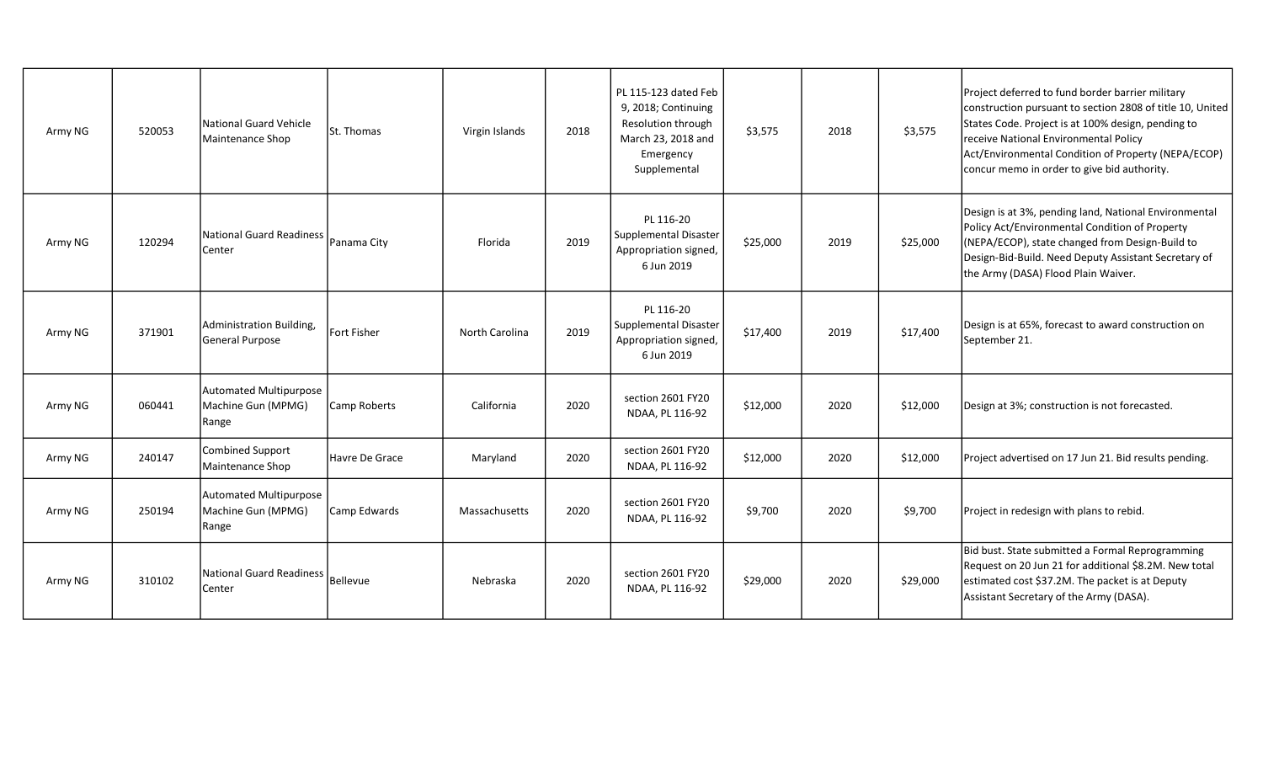| Army NG | 520053 | National Guard Vehicle<br>Maintenance Shop            | St. Thomas          | Virgin Islands        | 2018 | PL 115-123 dated Feb<br>9, 2018; Continuing<br>Resolution through<br>March 23, 2018 and<br>Emergency<br>Supplemental | \$3,575  | 2018 | \$3,575  | Project deferred to fund border barrier military<br>construction pursuant to section 2808 of title 10, United<br>States Code. Project is at 100% design, pending to<br>receive National Environmental Policy<br>Act/Environmental Condition of Property (NEPA/ECOP)<br>concur memo in order to give bid authority. |
|---------|--------|-------------------------------------------------------|---------------------|-----------------------|------|----------------------------------------------------------------------------------------------------------------------|----------|------|----------|--------------------------------------------------------------------------------------------------------------------------------------------------------------------------------------------------------------------------------------------------------------------------------------------------------------------|
| Army NG | 120294 | National Guard Readiness<br>Center                    | Panama City         | Florida               | 2019 | PL 116-20<br>Supplemental Disaster<br>Appropriation signed,<br>6 Jun 2019                                            | \$25,000 | 2019 | \$25,000 | Design is at 3%, pending land, National Environmental<br>Policy Act/Environmental Condition of Property<br>(NEPA/ECOP), state changed from Design-Build to<br>Design-Bid-Build. Need Deputy Assistant Secretary of<br>the Army (DASA) Flood Plain Waiver.                                                          |
| Army NG | 371901 | Administration Building.<br>General Purpose           | <b>Fort Fisher</b>  | <b>North Carolina</b> | 2019 | PL 116-20<br>Supplemental Disaster<br>Appropriation signed,<br>6 Jun 2019                                            | \$17,400 | 2019 | \$17,400 | Design is at 65%, forecast to award construction on<br>September 21.                                                                                                                                                                                                                                               |
| Army NG | 060441 | Automated Multipurpose<br>Machine Gun (MPMG)<br>Range | <b>Camp Roberts</b> | California            | 2020 | section 2601 FY20<br>NDAA, PL 116-92                                                                                 | \$12,000 | 2020 | \$12,000 | Design at 3%; construction is not forecasted.                                                                                                                                                                                                                                                                      |
| Army NG | 240147 | Combined Support<br>Maintenance Shop                  | Havre De Grace      | Maryland              | 2020 | section 2601 FY20<br>NDAA, PL 116-92                                                                                 | \$12,000 | 2020 | \$12,000 | Project advertised on 17 Jun 21. Bid results pending.                                                                                                                                                                                                                                                              |
| Army NG | 250194 | Automated Multipurpose<br>Machine Gun (MPMG)<br>Range | Camp Edwards        | Massachusetts         | 2020 | section 2601 FY20<br>NDAA, PL 116-92                                                                                 | \$9,700  | 2020 | \$9,700  | Project in redesign with plans to rebid.                                                                                                                                                                                                                                                                           |
| Army NG | 310102 | National Guard Readiness<br>Center                    | Bellevue            | Nebraska              | 2020 | section 2601 FY20<br>NDAA, PL 116-92                                                                                 | \$29,000 | 2020 | \$29,000 | Bid bust. State submitted a Formal Reprogramming<br>Request on 20 Jun 21 for additional \$8.2M. New total<br>estimated cost \$37.2M. The packet is at Deputy<br>Assistant Secretary of the Army (DASA).                                                                                                            |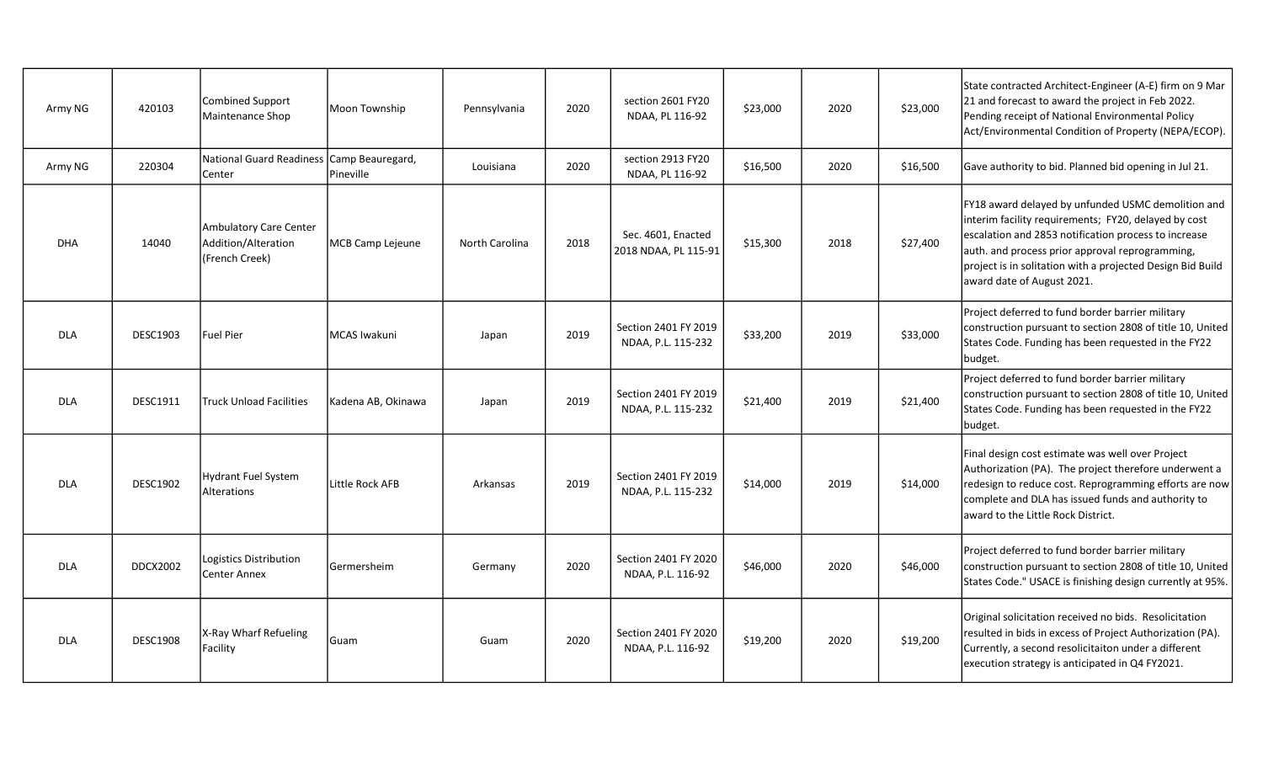| Army NG    | 420103          | Combined Support<br>Maintenance Shop                            | Moon Township                 | Pennsylvania          | 2020 | section 2601 FY20<br>NDAA, PL 116-92       | \$23,000 | 2020 | \$23,000 | State contracted Architect-Engineer (A-E) firm on 9 Mar<br>21 and forecast to award the project in Feb 2022.<br>Pending receipt of National Environmental Policy<br>Act/Environmental Condition of Property (NEPA/ECOP).                                                                                          |
|------------|-----------------|-----------------------------------------------------------------|-------------------------------|-----------------------|------|--------------------------------------------|----------|------|----------|-------------------------------------------------------------------------------------------------------------------------------------------------------------------------------------------------------------------------------------------------------------------------------------------------------------------|
| Army NG    | 220304          | National Guard Readiness<br>Center                              | Camp Beauregard,<br>Pineville | Louisiana             | 2020 | section 2913 FY20<br>NDAA, PL 116-92       | \$16,500 | 2020 | \$16,500 | Gave authority to bid. Planned bid opening in Jul 21.                                                                                                                                                                                                                                                             |
| <b>DHA</b> | 14040           | Ambulatory Care Center<br>Addition/Alteration<br>(French Creek) | MCB Camp Lejeune              | <b>North Carolina</b> | 2018 | Sec. 4601, Enacted<br>2018 NDAA, PL 115-91 | \$15,300 | 2018 | \$27,400 | FY18 award delayed by unfunded USMC demolition and<br>interim facility requirements; FY20, delayed by cost<br>escalation and 2853 notification process to increase<br>auth. and process prior approval reprogramming,<br>project is in solitation with a projected Design Bid Build<br>award date of August 2021. |
| <b>DLA</b> | <b>DESC1903</b> | <b>Fuel Pier</b>                                                | <b>MCAS Iwakuni</b>           | Japan                 | 2019 | Section 2401 FY 2019<br>NDAA, P.L. 115-232 | \$33,200 | 2019 | \$33,000 | Project deferred to fund border barrier military<br>construction pursuant to section 2808 of title 10, United<br>States Code. Funding has been requested in the FY22<br>budget.                                                                                                                                   |
| <b>DLA</b> | <b>DESC1911</b> | <b>Truck Unload Facilities</b>                                  | Kadena AB, Okinawa            | Japan                 | 2019 | Section 2401 FY 2019<br>NDAA, P.L. 115-232 | \$21,400 | 2019 | \$21,400 | Project deferred to fund border barrier military<br>construction pursuant to section 2808 of title 10, United<br>States Code. Funding has been requested in the FY22<br>budget.                                                                                                                                   |
| <b>DLA</b> | <b>DESC1902</b> | <b>Hydrant Fuel System</b><br>Alterations                       | Little Rock AFB               | Arkansas              | 2019 | Section 2401 FY 2019<br>NDAA, P.L. 115-232 | \$14,000 | 2019 | \$14,000 | Final design cost estimate was well over Project<br>Authorization (PA). The project therefore underwent a<br>redesign to reduce cost. Reprogramming efforts are now<br>complete and DLA has issued funds and authority to<br>award to the Little Rock District.                                                   |
| <b>DLA</b> | <b>DDCX2002</b> | Logistics Distribution<br>Center Annex                          | Germersheim                   | Germany               | 2020 | Section 2401 FY 2020<br>NDAA, P.L. 116-92  | \$46,000 | 2020 | \$46,000 | Project deferred to fund border barrier military<br>construction pursuant to section 2808 of title 10, United<br>States Code." USACE is finishing design currently at 95%.                                                                                                                                        |
| <b>DLA</b> | <b>DESC1908</b> | X-Ray Wharf Refueling<br>Facility                               | Guam                          | Guam                  | 2020 | Section 2401 FY 2020<br>NDAA, P.L. 116-92  | \$19,200 | 2020 | \$19,200 | Original solicitation received no bids. Resolicitation<br>resulted in bids in excess of Project Authorization (PA).<br>Currently, a second resolicitaiton under a different<br>execution strategy is anticipated in Q4 FY2021.                                                                                    |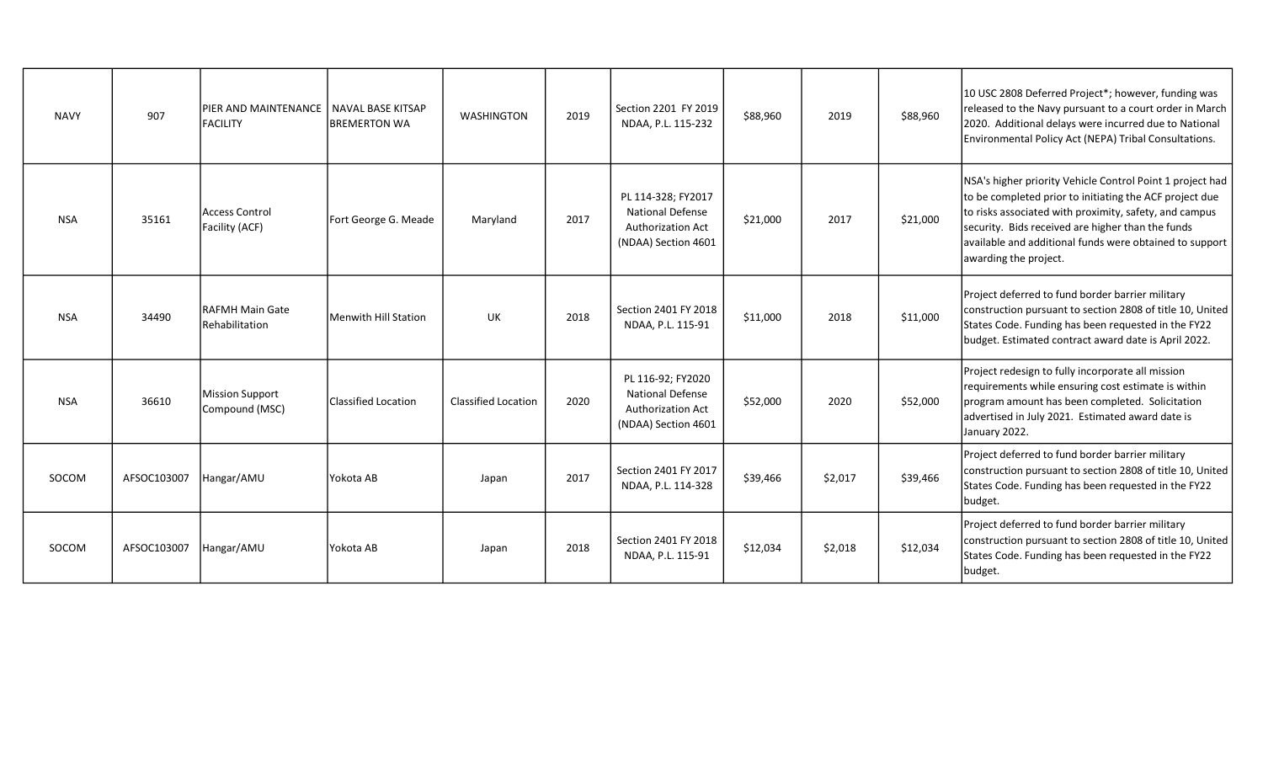| <b>NAVY</b> | 907         | PIER AND MAINTENANCE   NAVAL BASE KITSAP<br><b>FACILITY</b> | <b>BREMERTON WA</b>  | <b>WASHINGTON</b>   | 2019 | Section 2201 FY 2019<br>NDAA, P.L. 115-232                                                      | \$88,960 | 2019    | \$88,960 | 10 USC 2808 Deferred Project*; however, funding was<br>released to the Navy pursuant to a court order in March<br>2020. Additional delays were incurred due to National<br>Environmental Policy Act (NEPA) Tribal Consultations.                                                                                        |
|-------------|-------------|-------------------------------------------------------------|----------------------|---------------------|------|-------------------------------------------------------------------------------------------------|----------|---------|----------|-------------------------------------------------------------------------------------------------------------------------------------------------------------------------------------------------------------------------------------------------------------------------------------------------------------------------|
| <b>NSA</b>  | 35161       | Access Control<br>Facility (ACF)                            | Fort George G. Meade | Maryland            | 2017 | PL 114-328; FY2017<br><b>National Defense</b><br>Authorization Act<br>(NDAA) Section 4601       | \$21,000 | 2017    | \$21,000 | NSA's higher priority Vehicle Control Point 1 project had<br>to be completed prior to initiating the ACF project due<br>to risks associated with proximity, safety, and campus<br>security. Bids received are higher than the funds<br>available and additional funds were obtained to support<br>awarding the project. |
| <b>NSA</b>  | 34490       | <b>RAFMH Main Gate</b><br>Rehabilitation                    | Menwith Hill Station | <b>UK</b>           | 2018 | Section 2401 FY 2018<br>NDAA, P.L. 115-91                                                       | \$11,000 | 2018    | \$11,000 | Project deferred to fund border barrier military<br>construction pursuant to section 2808 of title 10, United<br>States Code. Funding has been requested in the FY22<br>budget. Estimated contract award date is April 2022.                                                                                            |
| <b>NSA</b>  | 36610       | <b>Mission Support</b><br>Compound (MSC)                    | Classified Location  | Classified Location | 2020 | PL 116-92; FY2020<br><b>National Defense</b><br><b>Authorization Act</b><br>(NDAA) Section 4601 | \$52,000 | 2020    | \$52,000 | Project redesign to fully incorporate all mission<br>requirements while ensuring cost estimate is within<br>program amount has been completed. Solicitation<br>advertised in July 2021. Estimated award date is<br>January 2022.                                                                                        |
| SOCOM       | AFSOC103007 | Hangar/AMU                                                  | Yokota AB            | Japan               | 2017 | Section 2401 FY 2017<br>NDAA, P.L. 114-328                                                      | \$39,466 | \$2,017 | \$39,466 | Project deferred to fund border barrier military<br>construction pursuant to section 2808 of title 10, United<br>States Code. Funding has been requested in the FY22<br>budget.                                                                                                                                         |
| SOCOM       | AFSOC103007 | Hangar/AMU                                                  | Yokota AB            | Japan               | 2018 | Section 2401 FY 2018<br>NDAA, P.L. 115-91                                                       | \$12,034 | \$2,018 | \$12,034 | Project deferred to fund border barrier military<br>construction pursuant to section 2808 of title 10, United<br>States Code. Funding has been requested in the FY22<br>budget.                                                                                                                                         |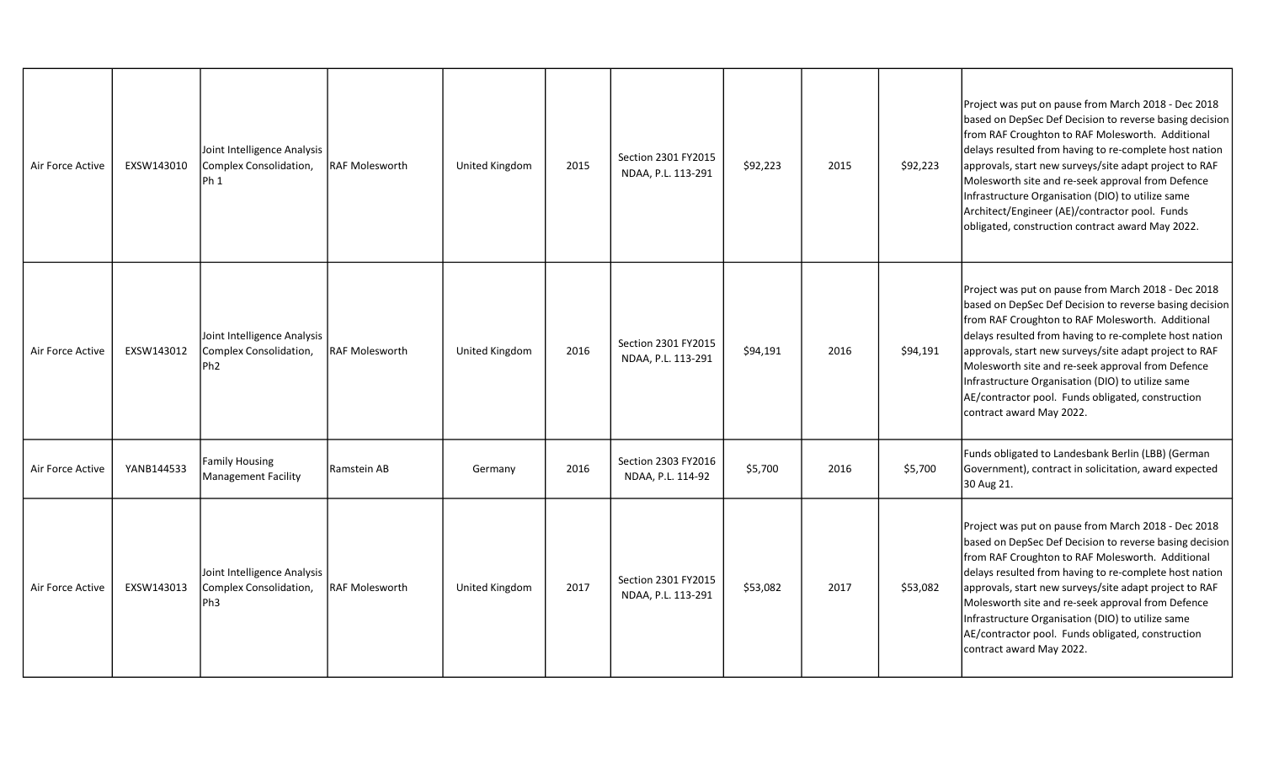| Air Force Active | EXSW143010 | Joint Intelligence Analysis<br>Complex Consolidation,<br>IPh 1           | <b>IRAF Molesworth</b> | United Kingdom | 2015 | Section 2301 FY2015<br>NDAA, P.L. 113-291 | \$92,223 | 2015 | \$92,223 | Project was put on pause from March 2018 - Dec 2018<br>based on DepSec Def Decision to reverse basing decision<br>from RAF Croughton to RAF Molesworth. Additional<br>delays resulted from having to re-complete host nation<br>approvals, start new surveys/site adapt project to RAF<br>Molesworth site and re-seek approval from Defence<br>Infrastructure Organisation (DIO) to utilize same<br>Architect/Engineer (AE)/contractor pool. Funds<br>obligated, construction contract award May 2022. |
|------------------|------------|--------------------------------------------------------------------------|------------------------|----------------|------|-------------------------------------------|----------|------|----------|--------------------------------------------------------------------------------------------------------------------------------------------------------------------------------------------------------------------------------------------------------------------------------------------------------------------------------------------------------------------------------------------------------------------------------------------------------------------------------------------------------|
| Air Force Active | EXSW143012 | Joint Intelligence Analysis<br>Complex Consolidation,<br>Ph <sub>2</sub> | <b>IRAF Molesworth</b> | United Kingdom | 2016 | Section 2301 FY2015<br>NDAA, P.L. 113-291 | \$94,191 | 2016 | \$94,191 | Project was put on pause from March 2018 - Dec 2018<br>based on DepSec Def Decision to reverse basing decision<br>from RAF Croughton to RAF Molesworth. Additional<br>delays resulted from having to re-complete host nation<br>approvals, start new surveys/site adapt project to RAF<br>Molesworth site and re-seek approval from Defence<br>Infrastructure Organisation (DIO) to utilize same<br>AE/contractor pool. Funds obligated, construction<br>contract award May 2022.                      |
| Air Force Active | YANB144533 | Family Housing<br>Management Facility                                    | Ramstein AB            | Germany        | 2016 | Section 2303 FY2016<br>NDAA, P.L. 114-92  | \$5,700  | 2016 | \$5,700  | Funds obligated to Landesbank Berlin (LBB) (German<br>Government), contract in solicitation, award expected<br>30 Aug 21.                                                                                                                                                                                                                                                                                                                                                                              |
| Air Force Active | EXSW143013 | Joint Intelligence Analysis<br>Complex Consolidation,<br>lPh3            | <b>RAF Molesworth</b>  | United Kingdom | 2017 | Section 2301 FY2015<br>NDAA, P.L. 113-291 | \$53,082 | 2017 | \$53,082 | Project was put on pause from March 2018 - Dec 2018<br>based on DepSec Def Decision to reverse basing decision<br>from RAF Croughton to RAF Molesworth. Additional<br>delays resulted from having to re-complete host nation<br>approvals, start new surveys/site adapt project to RAF<br>Molesworth site and re-seek approval from Defence<br>Infrastructure Organisation (DIO) to utilize same<br>AE/contractor pool. Funds obligated, construction<br>contract award May 2022.                      |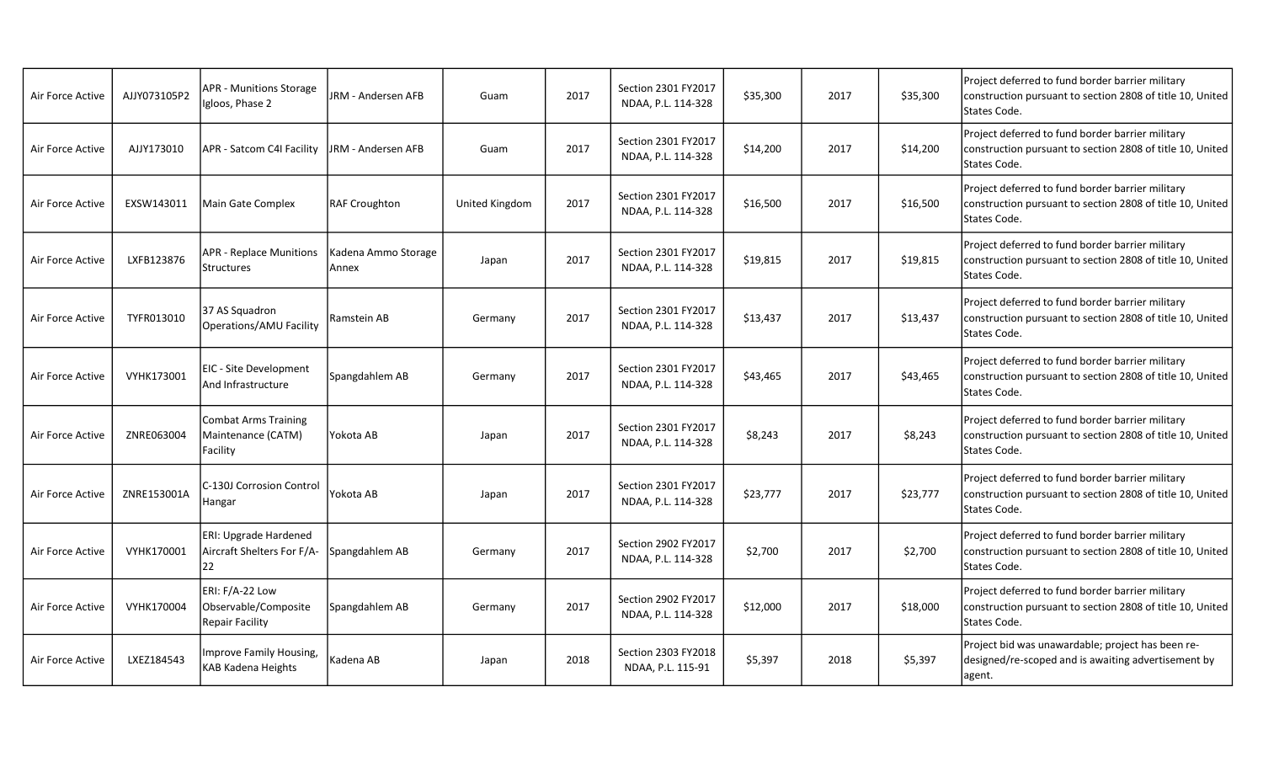| Air Force Active | AJJY073105P2 | <b>APR - Munitions Storage</b><br>Igloos, Phase 2          | JRM - Andersen AFB           | Guam           | 2017 | Section 2301 FY2017<br>NDAA, P.L. 114-328 | \$35,300 | 2017 | \$35,300 | Project deferred to fund border barrier military<br>construction pursuant to section 2808 of title 10, United<br>States Code. |
|------------------|--------------|------------------------------------------------------------|------------------------------|----------------|------|-------------------------------------------|----------|------|----------|-------------------------------------------------------------------------------------------------------------------------------|
| Air Force Active | AJJY173010   | APR - Satcom C4I Facility                                  | JRM - Andersen AFB           | Guam           | 2017 | Section 2301 FY2017<br>NDAA, P.L. 114-328 | \$14,200 | 2017 | \$14,200 | Project deferred to fund border barrier military<br>construction pursuant to section 2808 of title 10, United<br>States Code. |
| Air Force Active | EXSW143011   | Main Gate Complex                                          | <b>RAF Croughton</b>         | United Kingdom | 2017 | Section 2301 FY2017<br>NDAA, P.L. 114-328 | \$16,500 | 2017 | \$16,500 | Project deferred to fund border barrier military<br>construction pursuant to section 2808 of title 10, United<br>States Code. |
| Air Force Active | LXFB123876   | <b>APR - Replace Munitions</b><br>Structures               | Kadena Ammo Storage<br>Annex | Japan          | 2017 | Section 2301 FY2017<br>NDAA, P.L. 114-328 | \$19,815 | 2017 | \$19,815 | Project deferred to fund border barrier military<br>construction pursuant to section 2808 of title 10, United<br>States Code. |
| Air Force Active | TYFR013010   | 37 AS Squadron<br>Operations/AMU Facility                  | Ramstein AB                  | Germany        | 2017 | Section 2301 FY2017<br>NDAA, P.L. 114-328 | \$13,437 | 2017 | \$13,437 | Project deferred to fund border barrier military<br>construction pursuant to section 2808 of title 10, United<br>States Code. |
| Air Force Active | VYHK173001   | EIC - Site Development<br>And Infrastructure               | Spangdahlem AB               | Germany        | 2017 | Section 2301 FY2017<br>NDAA, P.L. 114-328 | \$43,465 | 2017 | \$43,465 | Project deferred to fund border barrier military<br>construction pursuant to section 2808 of title 10, United<br>States Code. |
| Air Force Active | ZNRE063004   | Combat Arms Training<br>Maintenance (CATM)<br>Facility     | Yokota AB                    | Japan          | 2017 | Section 2301 FY2017<br>NDAA, P.L. 114-328 | \$8,243  | 2017 | \$8,243  | Project deferred to fund border barrier military<br>construction pursuant to section 2808 of title 10, United<br>States Code. |
| Air Force Active | ZNRE153001A  | C-130J Corrosion Control<br>Hangar                         | Yokota AB                    | Japan          | 2017 | Section 2301 FY2017<br>NDAA, P.L. 114-328 | \$23,777 | 2017 | \$23,777 | Project deferred to fund border barrier military<br>construction pursuant to section 2808 of title 10, United<br>States Code. |
| Air Force Active | VYHK170001   | ERI: Upgrade Hardened<br>Aircraft Shelters For F/A-<br>122 | Spangdahlem AB               | Germany        | 2017 | Section 2902 FY2017<br>NDAA, P.L. 114-328 | \$2,700  | 2017 | \$2,700  | Project deferred to fund border barrier military<br>construction pursuant to section 2808 of title 10, United<br>States Code. |
| Air Force Active | VYHK170004   | ERI: F/A-22 Low<br>Observable/Composite<br>Repair Facility | Spangdahlem AB               | Germany        | 2017 | Section 2902 FY2017<br>NDAA, P.L. 114-328 | \$12,000 | 2017 | \$18,000 | Project deferred to fund border barrier military<br>construction pursuant to section 2808 of title 10, United<br>States Code. |
| Air Force Active | LXEZ184543   | Improve Family Housing,<br>KAB Kadena Heights              | Kadena AB                    | Japan          | 2018 | Section 2303 FY2018<br>NDAA, P.L. 115-91  | \$5,397  | 2018 | \$5,397  | Project bid was unawardable; project has been re-<br>designed/re-scoped and is awaiting advertisement by<br>agent.            |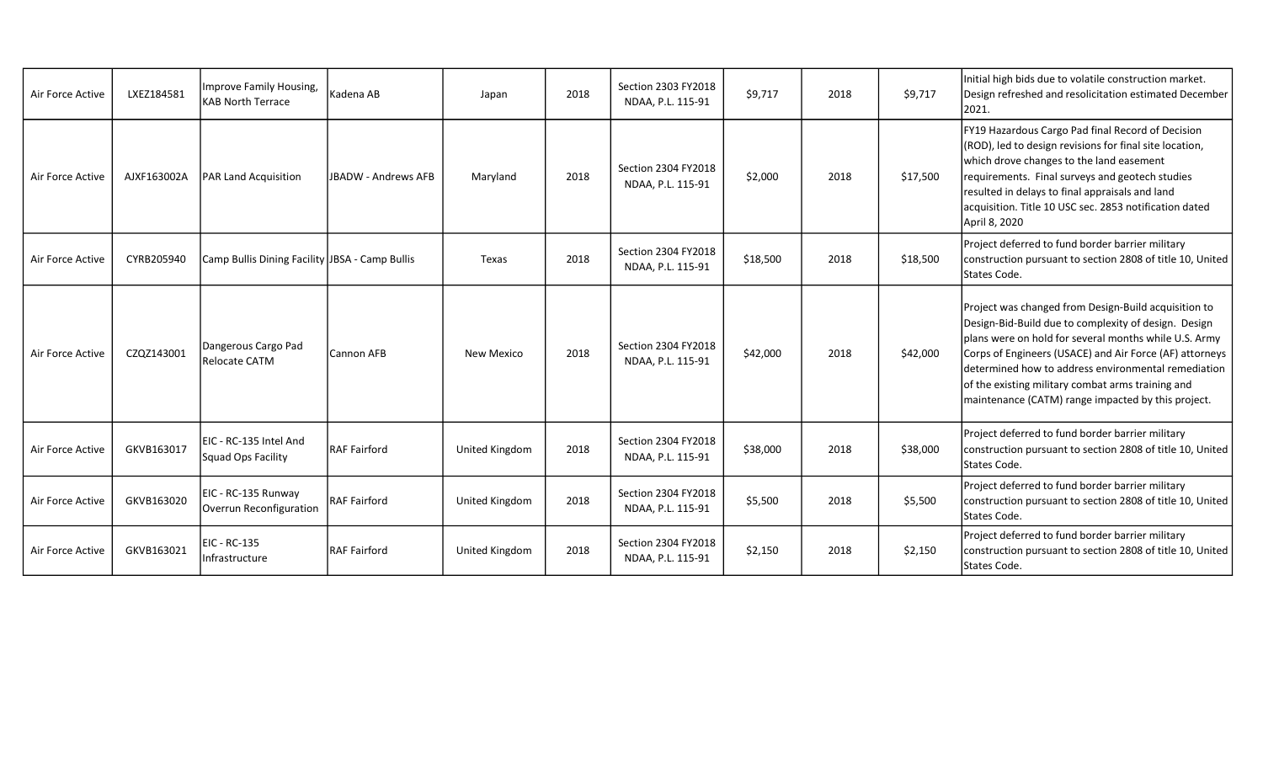| Air Force Active | LXEZ184581  | Improve Family Housing,<br><b>KAB North Terrace</b> | Kadena AB           | Japan             | 2018 | Section 2303 FY2018<br>NDAA, P.L. 115-91 | \$9,717  | 2018 | \$9,717  | Initial high bids due to volatile construction market.<br>Design refreshed and resolicitation estimated December<br>2021.                                                                                                                                                                                                                                                                          |
|------------------|-------------|-----------------------------------------------------|---------------------|-------------------|------|------------------------------------------|----------|------|----------|----------------------------------------------------------------------------------------------------------------------------------------------------------------------------------------------------------------------------------------------------------------------------------------------------------------------------------------------------------------------------------------------------|
| Air Force Active | AJXF163002A | PAR Land Acquisition                                | JBADW - Andrews AFB | Maryland          | 2018 | Section 2304 FY2018<br>NDAA, P.L. 115-91 | \$2,000  | 2018 | \$17,500 | FY19 Hazardous Cargo Pad final Record of Decision<br>(ROD), led to design revisions for final site location,<br>which drove changes to the land easement<br>requirements. Final surveys and geotech studies<br>resulted in delays to final appraisals and land<br>acquisition. Title 10 USC sec. 2853 notification dated<br>April 8, 2020                                                          |
| Air Force Active | CYRB205940  | Camp Bullis Dining Facility JBSA - Camp Bullis      |                     | Texas             | 2018 | Section 2304 FY2018<br>NDAA, P.L. 115-91 | \$18,500 | 2018 | \$18,500 | Project deferred to fund border barrier military<br>construction pursuant to section 2808 of title 10, United<br>States Code.                                                                                                                                                                                                                                                                      |
| Air Force Active | CZQZ143001  | Dangerous Cargo Pad<br>Relocate CATM                | Cannon AFB          | <b>New Mexico</b> | 2018 | Section 2304 FY2018<br>NDAA, P.L. 115-91 | \$42,000 | 2018 | \$42,000 | Project was changed from Design-Build acquisition to<br>Design-Bid-Build due to complexity of design. Design<br>plans were on hold for several months while U.S. Army<br>Corps of Engineers (USACE) and Air Force (AF) attorneys<br>determined how to address environmental remediation<br>of the existing military combat arms training and<br>maintenance (CATM) range impacted by this project. |
| Air Force Active | GKVB163017  | EIC - RC-135 Intel And<br>Squad Ops Facility        | <b>RAF Fairford</b> | United Kingdom    | 2018 | Section 2304 FY2018<br>NDAA, P.L. 115-91 | \$38,000 | 2018 | \$38,000 | Project deferred to fund border barrier military<br>construction pursuant to section 2808 of title 10, United<br>States Code.                                                                                                                                                                                                                                                                      |
| Air Force Active | GKVB163020  | EIC - RC-135 Runway<br>Overrun Reconfiguration      | <b>RAF Fairford</b> | United Kingdom    | 2018 | Section 2304 FY2018<br>NDAA, P.L. 115-91 | \$5,500  | 2018 | \$5,500  | Project deferred to fund border barrier military<br>construction pursuant to section 2808 of title 10, United<br>States Code.                                                                                                                                                                                                                                                                      |
| Air Force Active | GKVB163021  | EIC - RC-135<br>Infrastructure                      | <b>RAF Fairford</b> | United Kingdom    | 2018 | Section 2304 FY2018<br>NDAA, P.L. 115-91 | \$2,150  | 2018 | \$2,150  | Project deferred to fund border barrier military<br>construction pursuant to section 2808 of title 10, United<br>States Code.                                                                                                                                                                                                                                                                      |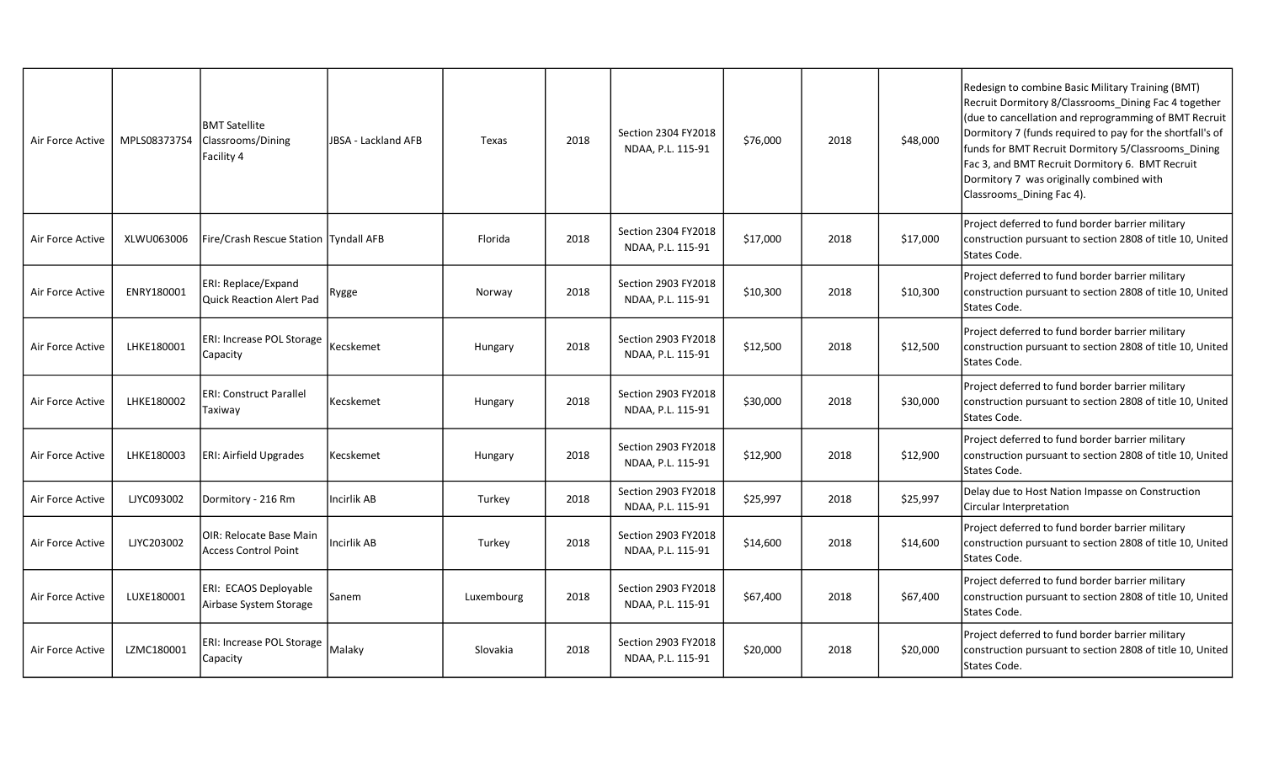| Air Force Active | MPLS083737S4 | <b>BMT Satellite</b><br>Classrooms/Dining<br>Facility 4       | <b>JBSA - Lackland AFB</b> | Texas      | 2018 | Section 2304 FY2018<br>NDAA, P.L. 115-91 | \$76,000 | 2018 | \$48,000 | Redesign to combine Basic Military Training (BMT)<br>Recruit Dormitory 8/Classrooms Dining Fac 4 together<br>(due to cancellation and reprogramming of BMT Recruit<br>Dormitory 7 (funds required to pay for the shortfall's of<br>funds for BMT Recruit Dormitory 5/Classrooms Dining<br>Fac 3, and BMT Recruit Dormitory 6. BMT Recruit<br>Dormitory 7 was originally combined with<br>Classrooms_Dining Fac 4). |
|------------------|--------------|---------------------------------------------------------------|----------------------------|------------|------|------------------------------------------|----------|------|----------|--------------------------------------------------------------------------------------------------------------------------------------------------------------------------------------------------------------------------------------------------------------------------------------------------------------------------------------------------------------------------------------------------------------------|
| Air Force Active | XLWU063006   | Fire/Crash Rescue Station  Tyndall AFB                        |                            | Florida    | 2018 | Section 2304 FY2018<br>NDAA, P.L. 115-91 | \$17,000 | 2018 | \$17,000 | Project deferred to fund border barrier military<br>construction pursuant to section 2808 of title 10, United<br>States Code.                                                                                                                                                                                                                                                                                      |
| Air Force Active | ENRY180001   | <b>ERI: Replace/Expand</b><br>lQuick Reaction Alert Pad       | Rygge                      | Norway     | 2018 | Section 2903 FY2018<br>NDAA, P.L. 115-91 | \$10,300 | 2018 | \$10,300 | Project deferred to fund border barrier military<br>construction pursuant to section 2808 of title 10, United<br>States Code.                                                                                                                                                                                                                                                                                      |
| Air Force Active | LHKE180001   | <b>ERI: Increase POL Storage</b><br>Capacity                  | Kecskemet                  | Hungary    | 2018 | Section 2903 FY2018<br>NDAA, P.L. 115-91 | \$12,500 | 2018 | \$12,500 | Project deferred to fund border barrier military<br>construction pursuant to section 2808 of title 10, United<br>States Code.                                                                                                                                                                                                                                                                                      |
| Air Force Active | LHKE180002   | <b>ERI: Construct Parallel</b><br>Taxiway                     | Kecskemet                  | Hungary    | 2018 | Section 2903 FY2018<br>NDAA, P.L. 115-91 | \$30,000 | 2018 | \$30,000 | Project deferred to fund border barrier military<br>construction pursuant to section 2808 of title 10, United<br>States Code.                                                                                                                                                                                                                                                                                      |
| Air Force Active | LHKE180003   | ERI: Airfield Upgrades                                        | Kecskemet                  | Hungary    | 2018 | Section 2903 FY2018<br>NDAA, P.L. 115-91 | \$12,900 | 2018 | \$12,900 | Project deferred to fund border barrier military<br>construction pursuant to section 2808 of title 10, United<br>States Code.                                                                                                                                                                                                                                                                                      |
| Air Force Active | LJYC093002   | Dormitory - 216 Rm                                            | Incirlik AB                | Turkey     | 2018 | Section 2903 FY2018<br>NDAA, P.L. 115-91 | \$25,997 | 2018 | \$25,997 | Delay due to Host Nation Impasse on Construction<br>Circular Interpretation                                                                                                                                                                                                                                                                                                                                        |
| Air Force Active | LJYC203002   | <b>OIR: Relocate Base Main</b><br><b>Access Control Point</b> | Incirlik AB                | Turkey     | 2018 | Section 2903 FY2018<br>NDAA, P.L. 115-91 | \$14,600 | 2018 | \$14,600 | Project deferred to fund border barrier military<br>construction pursuant to section 2808 of title 10, United<br>States Code.                                                                                                                                                                                                                                                                                      |
| Air Force Active | LUXE180001   | ERI: ECAOS Deployable<br>Airbase System Storage               | Sanem                      | Luxembourg | 2018 | Section 2903 FY2018<br>NDAA, P.L. 115-91 | \$67,400 | 2018 | \$67,400 | Project deferred to fund border barrier military<br>construction pursuant to section 2808 of title 10, United<br>States Code.                                                                                                                                                                                                                                                                                      |
| Air Force Active | LZMC180001   | <b>ERI: Increase POL Storage</b><br>Capacity                  | Malaky                     | Slovakia   | 2018 | Section 2903 FY2018<br>NDAA, P.L. 115-91 | \$20,000 | 2018 | \$20,000 | Project deferred to fund border barrier military<br>construction pursuant to section 2808 of title 10, United<br>States Code.                                                                                                                                                                                                                                                                                      |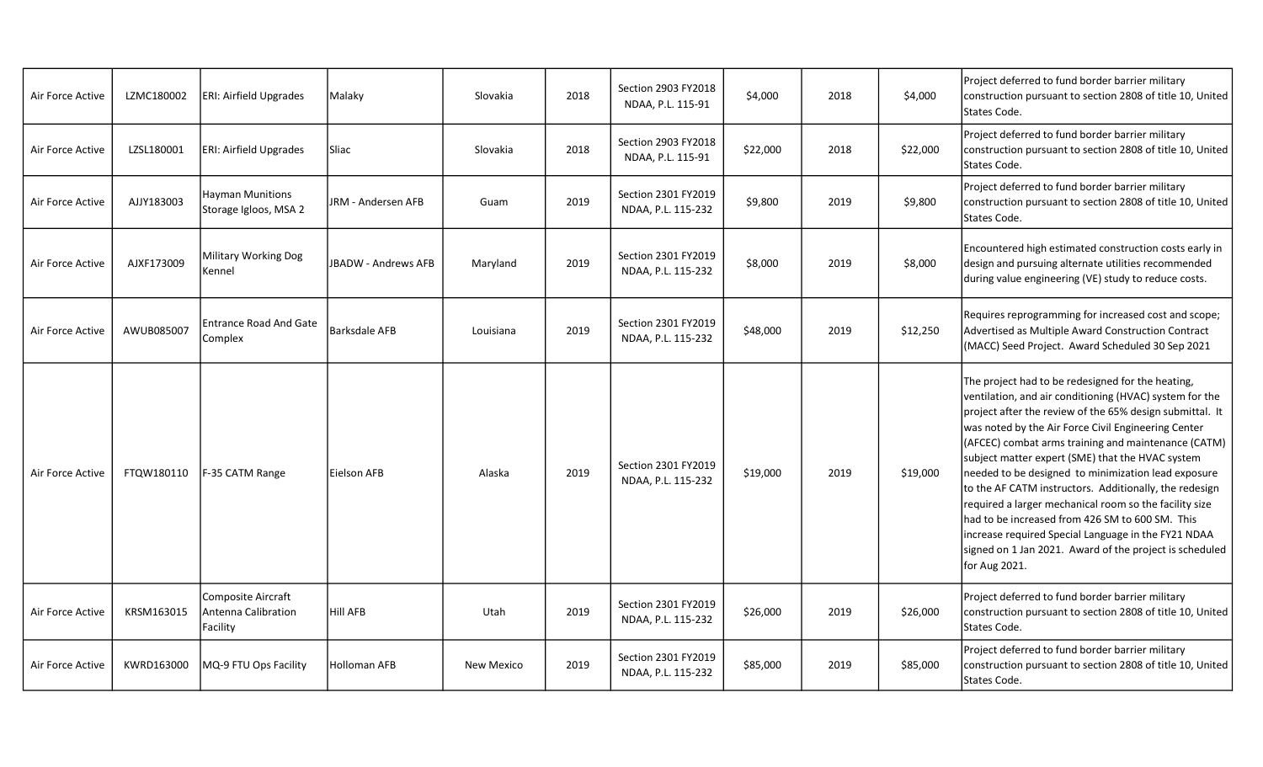| Air Force Active | LZMC180002 | ERI: Airfield Upgrades                                | Malaky               | Slovakia   | 2018 | Section 2903 FY2018<br>NDAA, P.L. 115-91  | \$4,000  | 2018 | \$4,000  | Project deferred to fund border barrier military<br>construction pursuant to section 2808 of title 10, United<br>States Code.                                                                                                                                                                                                                                                                                                                                                                                                                                                                                                                                                                               |
|------------------|------------|-------------------------------------------------------|----------------------|------------|------|-------------------------------------------|----------|------|----------|-------------------------------------------------------------------------------------------------------------------------------------------------------------------------------------------------------------------------------------------------------------------------------------------------------------------------------------------------------------------------------------------------------------------------------------------------------------------------------------------------------------------------------------------------------------------------------------------------------------------------------------------------------------------------------------------------------------|
| Air Force Active | LZSL180001 | <b>ERI: Airfield Upgrades</b>                         | Sliac                | Slovakia   | 2018 | Section 2903 FY2018<br>NDAA, P.L. 115-91  | \$22,000 | 2018 | \$22,000 | Project deferred to fund border barrier military<br>construction pursuant to section 2808 of title 10, United<br>States Code.                                                                                                                                                                                                                                                                                                                                                                                                                                                                                                                                                                               |
| Air Force Active | AJJY183003 | Hayman Munitions<br>Storage Igloos, MSA 2             | JRM - Andersen AFB   | Guam       | 2019 | Section 2301 FY2019<br>NDAA, P.L. 115-232 | \$9,800  | 2019 | \$9,800  | Project deferred to fund border barrier military<br>construction pursuant to section 2808 of title 10, United<br>States Code.                                                                                                                                                                                                                                                                                                                                                                                                                                                                                                                                                                               |
| Air Force Active | AJXF173009 | Military Working Dog<br>Kennel                        | JBADW - Andrews AFB  | Maryland   | 2019 | Section 2301 FY2019<br>NDAA, P.L. 115-232 | \$8,000  | 2019 | \$8,000  | Encountered high estimated construction costs early in<br>design and pursuing alternate utilities recommended<br>during value engineering (VE) study to reduce costs.                                                                                                                                                                                                                                                                                                                                                                                                                                                                                                                                       |
| Air Force Active | AWUB085007 | <b>Entrance Road And Gate</b><br>Complex              | <b>Barksdale AFB</b> | Louisiana  | 2019 | Section 2301 FY2019<br>NDAA, P.L. 115-232 | \$48,000 | 2019 | \$12,250 | Requires reprogramming for increased cost and scope;<br>Advertised as Multiple Award Construction Contract<br>(MACC) Seed Project. Award Scheduled 30 Sep 2021                                                                                                                                                                                                                                                                                                                                                                                                                                                                                                                                              |
| Air Force Active | FTQW180110 | F-35 CATM Range                                       | Eielson AFB          | Alaska     | 2019 | Section 2301 FY2019<br>NDAA, P.L. 115-232 | \$19,000 | 2019 | \$19,000 | The project had to be redesigned for the heating,<br>ventilation, and air conditioning (HVAC) system for the<br>project after the review of the 65% design submittal. It<br>was noted by the Air Force Civil Engineering Center<br>(AFCEC) combat arms training and maintenance (CATM)<br>subject matter expert (SME) that the HVAC system<br>needed to be designed to minimization lead exposure<br>to the AF CATM instructors. Additionally, the redesign<br>required a larger mechanical room so the facility size<br>had to be increased from 426 SM to 600 SM. This<br>increase required Special Language in the FY21 NDAA<br>signed on 1 Jan 2021. Award of the project is scheduled<br>for Aug 2021. |
| Air Force Active | KRSM163015 | Composite Aircraft<br>Antenna Calibration<br>Facility | <b>Hill AFB</b>      | Utah       | 2019 | Section 2301 FY2019<br>NDAA, P.L. 115-232 | \$26,000 | 2019 | \$26,000 | Project deferred to fund border barrier military<br>construction pursuant to section 2808 of title 10, United<br>States Code.                                                                                                                                                                                                                                                                                                                                                                                                                                                                                                                                                                               |
| Air Force Active | KWRD163000 | MQ-9 FTU Ops Facility                                 | <b>Holloman AFB</b>  | New Mexico | 2019 | Section 2301 FY2019<br>NDAA, P.L. 115-232 | \$85,000 | 2019 | \$85,000 | Project deferred to fund border barrier military<br>construction pursuant to section 2808 of title 10, United<br>States Code.                                                                                                                                                                                                                                                                                                                                                                                                                                                                                                                                                                               |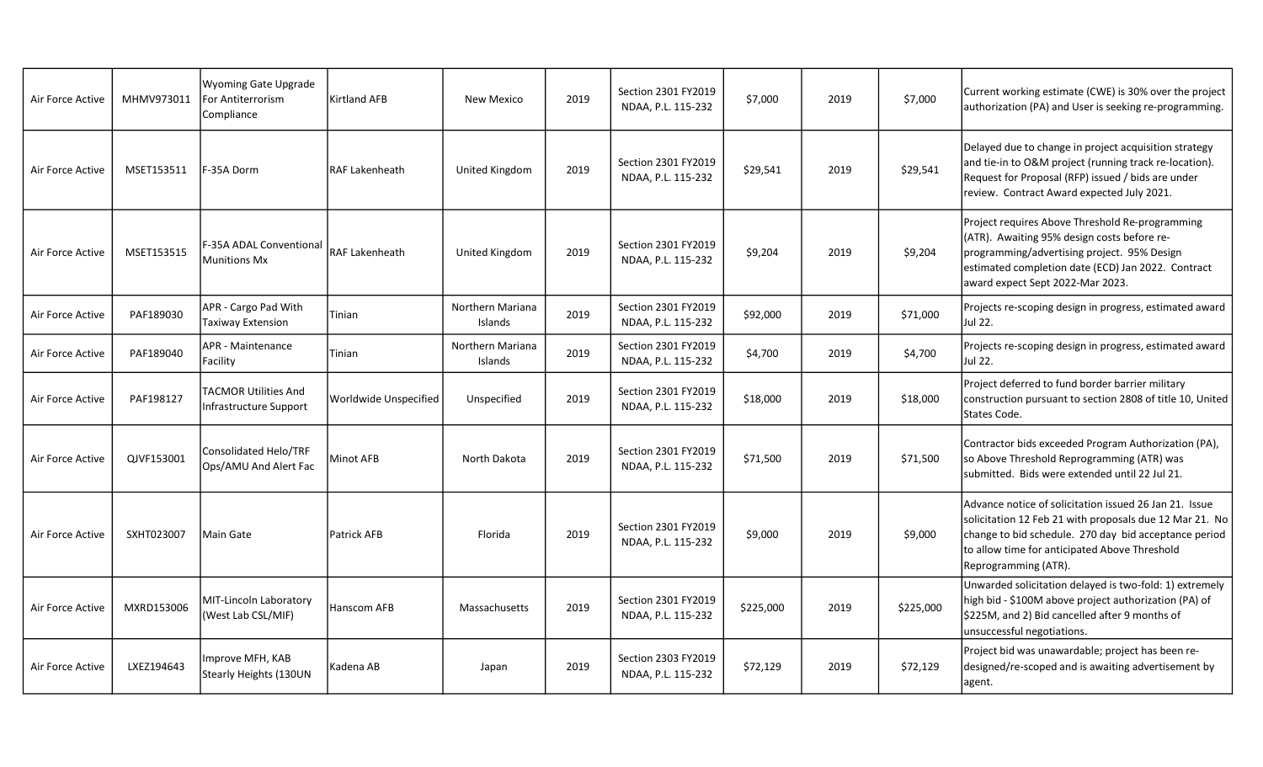| Air Force Active | MHMV973011 | <b>Wyoming Gate Upgrade</b><br>For Antiterrorism<br>Compliance | <b>Kirtland AFB</b>   | New Mexico                         | 2019 | Section 2301 FY2019<br>NDAA, P.L. 115-232 | \$7,000   | 2019 | \$7,000   | Current working estimate (CWE) is 30% over the project<br>authorization (PA) and User is seeking re-programming.                                                                                                                                    |
|------------------|------------|----------------------------------------------------------------|-----------------------|------------------------------------|------|-------------------------------------------|-----------|------|-----------|-----------------------------------------------------------------------------------------------------------------------------------------------------------------------------------------------------------------------------------------------------|
| Air Force Active | MSET153511 | F-35A Dorm                                                     | <b>RAF Lakenheath</b> | United Kingdom                     | 2019 | Section 2301 FY2019<br>NDAA, P.L. 115-232 | \$29,541  | 2019 | \$29,541  | Delayed due to change in project acquisition strategy<br>and tie-in to O&M project (running track re-location).<br>Request for Proposal (RFP) issued / bids are under<br>review. Contract Award expected July 2021.                                 |
| Air Force Active | MSET153515 | F-35A ADAL Conventional<br>Munitions Mx                        | <b>RAF Lakenheath</b> | United Kingdom                     | 2019 | Section 2301 FY2019<br>NDAA, P.L. 115-232 | \$9,204   | 2019 | \$9,204   | Project requires Above Threshold Re-programming<br>(ATR). Awaiting 95% design costs before re-<br>programming/advertising project. 95% Design<br>estimated completion date (ECD) Jan 2022. Contract<br>award expect Sept 2022-Mar 2023.             |
| Air Force Active | PAF189030  | APR - Cargo Pad With<br>Taxiway Extension                      | Tinian                | <b>Northern Mariana</b><br>Islands | 2019 | Section 2301 FY2019<br>NDAA, P.L. 115-232 | \$92,000  | 2019 | \$71,000  | Projects re-scoping design in progress, estimated award<br>Jul 22.                                                                                                                                                                                  |
| Air Force Active | PAF189040  | <b>APR - Maintenance</b><br>Facility                           | Tinian                | Northern Mariana<br>Islands        | 2019 | Section 2301 FY2019<br>NDAA, P.L. 115-232 | \$4,700   | 2019 | \$4,700   | Projects re-scoping design in progress, estimated award<br>Jul 22.                                                                                                                                                                                  |
| Air Force Active | PAF198127  | <b>TACMOR Utilities And</b><br>Infrastructure Support          | Worldwide Unspecified | Unspecified                        | 2019 | Section 2301 FY2019<br>NDAA, P.L. 115-232 | \$18,000  | 2019 | \$18,000  | Project deferred to fund border barrier military<br>construction pursuant to section 2808 of title 10, United<br>States Code.                                                                                                                       |
| Air Force Active | QJVF153001 | Consolidated Helo/TRF<br>Ops/AMU And Alert Fac                 | Minot AFB             | North Dakota                       | 2019 | Section 2301 FY2019<br>NDAA, P.L. 115-232 | \$71,500  | 2019 | \$71,500  | Contractor bids exceeded Program Authorization (PA),<br>so Above Threshold Reprogramming (ATR) was<br>submitted. Bids were extended until 22 Jul 21.                                                                                                |
| Air Force Active | SXHT023007 | lMain Gate                                                     | <b>Patrick AFB</b>    | Florida                            | 2019 | Section 2301 FY2019<br>NDAA, P.L. 115-232 | \$9,000   | 2019 | \$9,000   | Advance notice of solicitation issued 26 Jan 21. Issue<br>solicitation 12 Feb 21 with proposals due 12 Mar 21. No<br>change to bid schedule. 270 day bid acceptance period<br>to allow time for anticipated Above Threshold<br>Reprogramming (ATR). |
| Air Force Active | MXRD153006 | MIT-Lincoln Laboratory<br>(West Lab CSL/MIF)                   | Hanscom AFB           | Massachusetts                      | 2019 | Section 2301 FY2019<br>NDAA, P.L. 115-232 | \$225,000 | 2019 | \$225,000 | Unwarded solicitation delayed is two-fold: 1) extremely<br>high bid - \$100M above project authorization (PA) of<br>\$225M, and 2) Bid cancelled after 9 months of<br>unsuccessful negotiations.                                                    |
| Air Force Active | LXEZ194643 | Improve MFH, KAB<br>Stearly Heights (130UN                     | Kadena AB             | Japan                              | 2019 | Section 2303 FY2019<br>NDAA, P.L. 115-232 | \$72,129  | 2019 | \$72,129  | Project bid was unawardable; project has been re-<br>designed/re-scoped and is awaiting advertisement by<br>agent.                                                                                                                                  |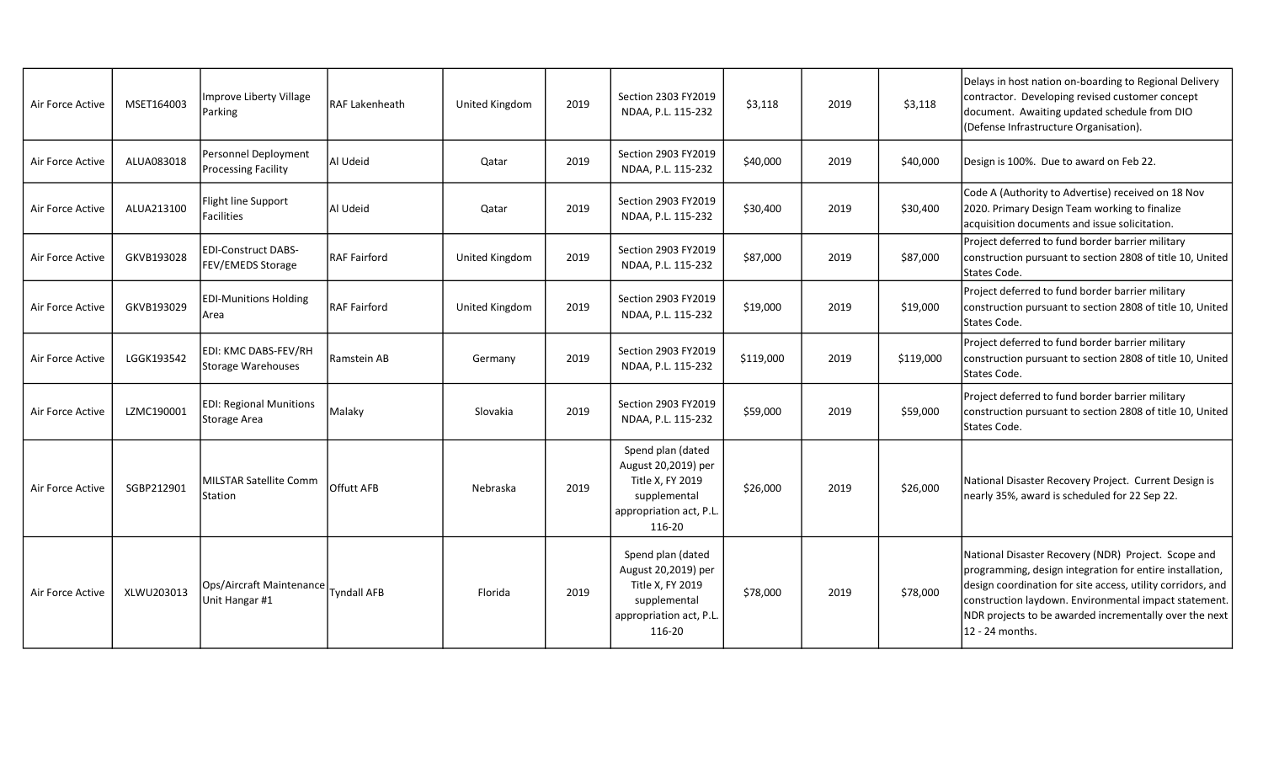| Air Force Active | MSET164003 | Improve Liberty Village<br>Parking                                       | RAF Lakenheath      | United Kingdom | 2019 | Section 2303 FY2019<br>NDAA, P.L. 115-232                                                                         | \$3,118   | 2019 | \$3,118   | Delays in host nation on-boarding to Regional Delivery<br>contractor. Developing revised customer concept<br>document. Awaiting updated schedule from DIO<br>(Defense Infrastructure Organisation).                                                                                                                  |
|------------------|------------|--------------------------------------------------------------------------|---------------------|----------------|------|-------------------------------------------------------------------------------------------------------------------|-----------|------|-----------|----------------------------------------------------------------------------------------------------------------------------------------------------------------------------------------------------------------------------------------------------------------------------------------------------------------------|
| Air Force Active | ALUA083018 | Personnel Deployment<br><b>Processing Facility</b>                       | Al Udeid            | Qatar          | 2019 | Section 2903 FY2019<br>NDAA, P.L. 115-232                                                                         | \$40,000  | 2019 | \$40,000  | Design is 100%. Due to award on Feb 22.                                                                                                                                                                                                                                                                              |
| Air Force Active | ALUA213100 | Flight line Support<br>Facilities                                        | Al Udeid            | Qatar          | 2019 | Section 2903 FY2019<br>NDAA, P.L. 115-232                                                                         | \$30,400  | 2019 | \$30,400  | Code A (Authority to Advertise) received on 18 Nov<br>2020. Primary Design Team working to finalize<br>acquisition documents and issue solicitation.                                                                                                                                                                 |
| Air Force Active | GKVB193028 | <b>EDI-Construct DABS-</b><br>FEV/EMEDS Storage                          | <b>RAF Fairford</b> | United Kingdom | 2019 | Section 2903 FY2019<br>NDAA, P.L. 115-232                                                                         | \$87,000  | 2019 | \$87,000  | Project deferred to fund border barrier military<br>construction pursuant to section 2808 of title 10, United<br>States Code.                                                                                                                                                                                        |
| Air Force Active | GKVB193029 | <b>EDI-Munitions Holding</b><br>Area                                     | <b>RAF Fairford</b> | United Kingdom | 2019 | Section 2903 FY2019<br>NDAA, P.L. 115-232                                                                         | \$19,000  | 2019 | \$19,000  | Project deferred to fund border barrier military<br>construction pursuant to section 2808 of title 10, United<br>States Code.                                                                                                                                                                                        |
| Air Force Active | LGGK193542 | EDI: KMC DABS-FEV/RH<br>Storage Warehouses                               | Ramstein AB         | Germany        | 2019 | Section 2903 FY2019<br>NDAA, P.L. 115-232                                                                         | \$119,000 | 2019 | \$119,000 | Project deferred to fund border barrier military<br>construction pursuant to section 2808 of title 10, United<br>States Code.                                                                                                                                                                                        |
| Air Force Active | LZMC190001 | <b>EDI: Regional Munitions</b><br>Storage Area                           | Malaky              | Slovakia       | 2019 | Section 2903 FY2019<br>NDAA, P.L. 115-232                                                                         | \$59,000  | 2019 | \$59,000  | Project deferred to fund border barrier military<br>construction pursuant to section 2808 of title 10, United<br>States Code.                                                                                                                                                                                        |
| Air Force Active | SGBP212901 | <b>MILSTAR Satellite Comm</b><br>Station                                 | <b>Offutt AFB</b>   | Nebraska       | 2019 | Spend plan (dated<br>August 20,2019) per<br>Title X, FY 2019<br>supplemental<br>appropriation act, P.L.<br>116-20 | \$26,000  | 2019 | \$26,000  | National Disaster Recovery Project. Current Design is<br>nearly 35%, award is scheduled for 22 Sep 22.                                                                                                                                                                                                               |
| Air Force Active | XLWU203013 | <sub>i</sub> Ops/Aircraft Maintenance  <br>Tyndall AFB<br>Unit Hangar #1 |                     | Florida        | 2019 | Spend plan (dated<br>August 20,2019) per<br>Title X, FY 2019<br>supplemental<br>appropriation act, P.L.<br>116-20 | \$78,000  | 2019 | \$78,000  | National Disaster Recovery (NDR) Project. Scope and<br>programming, design integration for entire installation,<br>design coordination for site access, utility corridors, and<br>construction laydown. Environmental impact statement.<br>NDR projects to be awarded incrementally over the next<br>12 - 24 months. |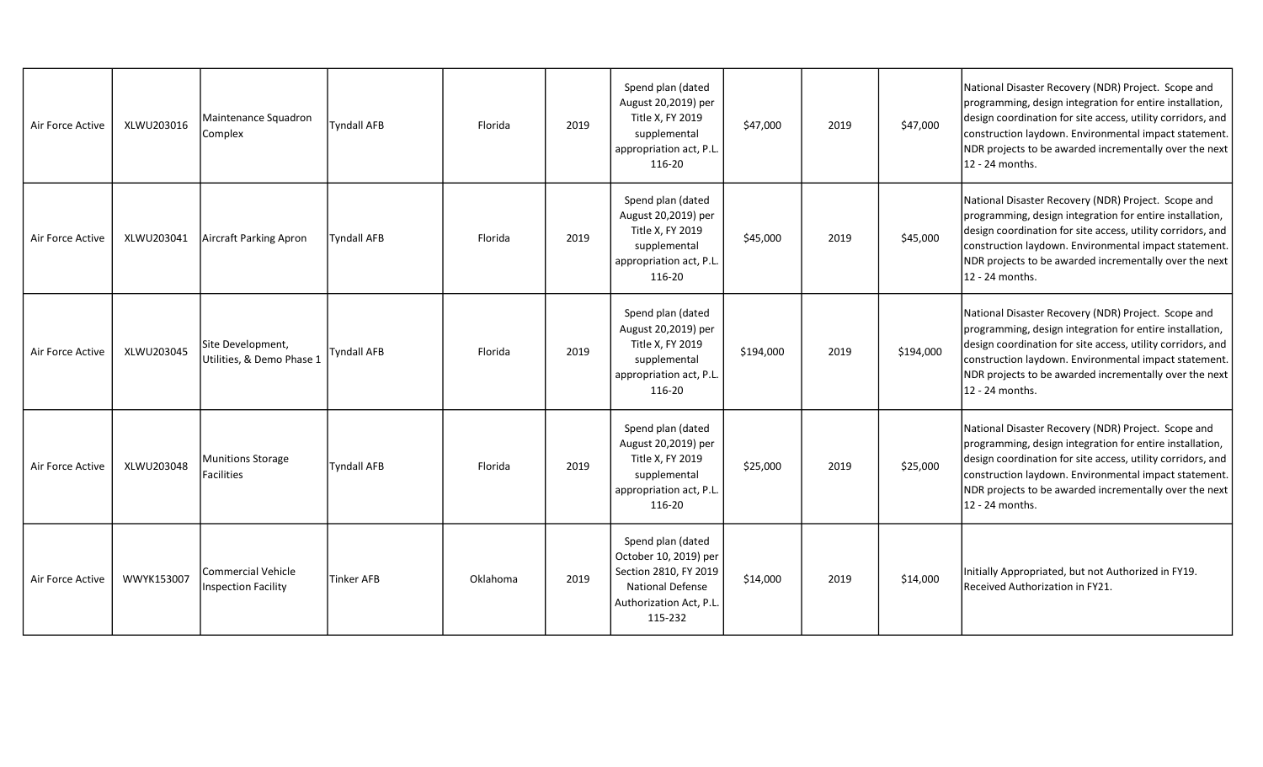| Air Force Active | XLWU203016 | Maintenance Squadron<br>Complex                | <b>Tyndall AFB</b> | Florida  | 2019 | Spend plan (dated<br>August 20,2019) per<br>Title X, FY 2019<br>supplemental<br>appropriation act, P.L.<br>116-20                    | \$47,000  | 2019 | \$47,000  | National Disaster Recovery (NDR) Project. Scope and<br>programming, design integration for entire installation,<br>design coordination for site access, utility corridors, and<br>construction laydown. Environmental impact statement.<br>NDR projects to be awarded incrementally over the next<br>12 - 24 months. |
|------------------|------------|------------------------------------------------|--------------------|----------|------|--------------------------------------------------------------------------------------------------------------------------------------|-----------|------|-----------|----------------------------------------------------------------------------------------------------------------------------------------------------------------------------------------------------------------------------------------------------------------------------------------------------------------------|
| Air Force Active | XLWU203041 | Aircraft Parking Apron                         | <b>Tyndall AFB</b> | Florida  | 2019 | Spend plan (dated<br>August 20,2019) per<br>Title X, FY 2019<br>supplemental<br>appropriation act, P.L.<br>116-20                    | \$45,000  | 2019 | \$45,000  | National Disaster Recovery (NDR) Project. Scope and<br>programming, design integration for entire installation,<br>design coordination for site access, utility corridors, and<br>construction laydown. Environmental impact statement.<br>NDR projects to be awarded incrementally over the next<br>12 - 24 months. |
| Air Force Active | XLWU203045 | Site Development,<br>Utilities, & Demo Phase 1 | Tyndall AFB        | Florida  | 2019 | Spend plan (dated<br>August 20,2019) per<br>Title X, FY 2019<br>supplemental<br>appropriation act, P.L.<br>116-20                    | \$194,000 | 2019 | \$194,000 | National Disaster Recovery (NDR) Project. Scope and<br>programming, design integration for entire installation,<br>design coordination for site access, utility corridors, and<br>construction laydown. Environmental impact statement.<br>NDR projects to be awarded incrementally over the next<br>12 - 24 months. |
| Air Force Active | XLWU203048 | Munitions Storage<br><b>Facilities</b>         | <b>Tyndall AFB</b> | Florida  | 2019 | Spend plan (dated<br>August 20,2019) per<br>Title X, FY 2019<br>supplemental<br>appropriation act, P.L.<br>116-20                    | \$25,000  | 2019 | \$25,000  | National Disaster Recovery (NDR) Project. Scope and<br>programming, design integration for entire installation,<br>design coordination for site access, utility corridors, and<br>construction laydown. Environmental impact statement.<br>NDR projects to be awarded incrementally over the next<br>12 - 24 months. |
| Air Force Active | WWYK153007 | Commercial Vehicle<br>Inspection Facility      | <b>Tinker AFB</b>  | Oklahoma | 2019 | Spend plan (dated<br>October 10, 2019) per<br>Section 2810, FY 2019<br><b>National Defense</b><br>Authorization Act, P.L.<br>115-232 | \$14,000  | 2019 | \$14,000  | Initially Appropriated, but not Authorized in FY19.<br>Received Authorization in FY21.                                                                                                                                                                                                                               |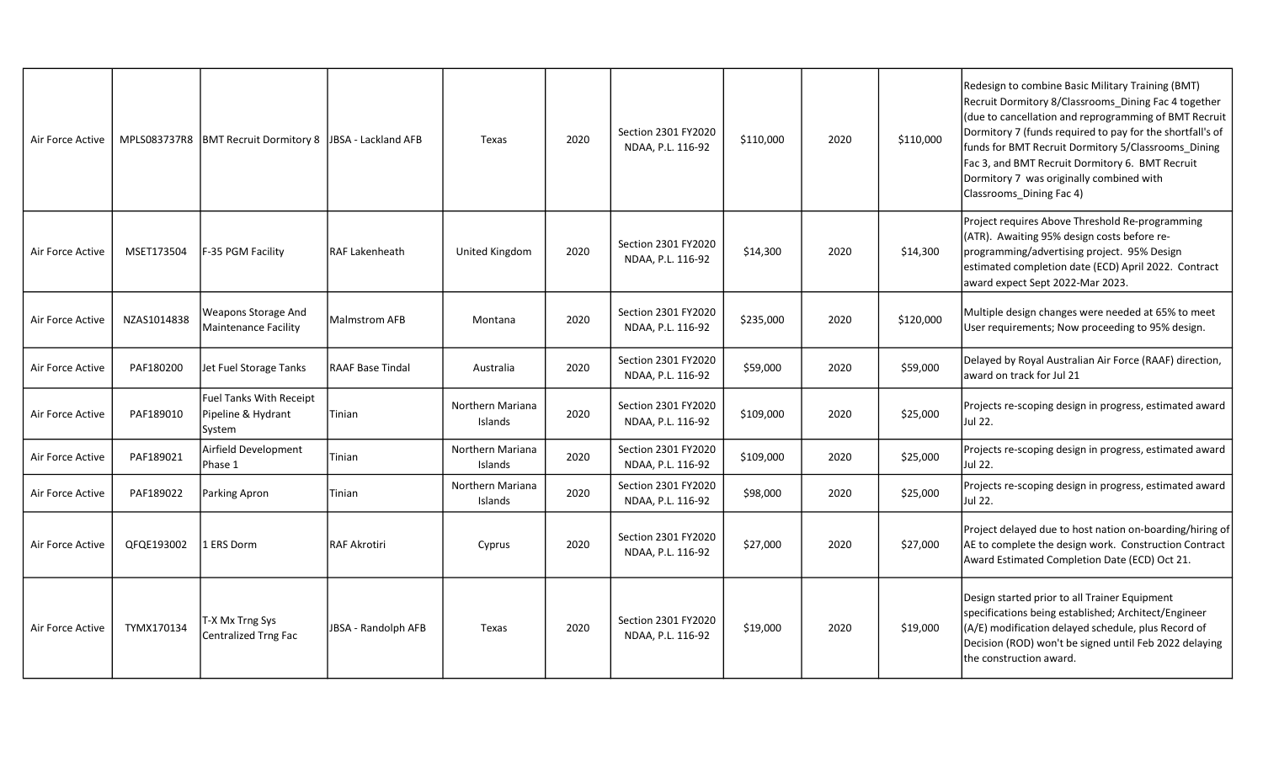| Air Force Active | MPLS083737R8 | BMT Recruit Dormitory 8 JBSA - Lackland AFB                    |                            | Texas                       | 2020 | Section 2301 FY2020<br>NDAA, P.L. 116-92 | \$110,000 | 2020 | \$110,000 | Redesign to combine Basic Military Training (BMT)<br>Recruit Dormitory 8/Classrooms Dining Fac 4 together<br>(due to cancellation and reprogramming of BMT Recruit<br>Dormitory 7 (funds required to pay for the shortfall's of<br>funds for BMT Recruit Dormitory 5/Classrooms_Dining<br>Fac 3, and BMT Recruit Dormitory 6. BMT Recruit<br>Dormitory 7 was originally combined with<br>Classrooms_Dining Fac 4) |
|------------------|--------------|----------------------------------------------------------------|----------------------------|-----------------------------|------|------------------------------------------|-----------|------|-----------|-------------------------------------------------------------------------------------------------------------------------------------------------------------------------------------------------------------------------------------------------------------------------------------------------------------------------------------------------------------------------------------------------------------------|
| Air Force Active | MSET173504   | F-35 PGM Facility                                              | RAF Lakenheath             | United Kingdom              | 2020 | Section 2301 FY2020<br>NDAA, P.L. 116-92 | \$14,300  | 2020 | \$14,300  | Project requires Above Threshold Re-programming<br>(ATR). Awaiting 95% design costs before re-<br>programming/advertising project. 95% Design<br>estimated completion date (ECD) April 2022. Contract<br>award expect Sept 2022-Mar 2023.                                                                                                                                                                         |
| Air Force Active | NZAS1014838  | Weapons Storage And<br><b>Maintenance Facility</b>             | Malmstrom AFB              | Montana                     | 2020 | Section 2301 FY2020<br>NDAA, P.L. 116-92 | \$235,000 | 2020 | \$120,000 | Multiple design changes were needed at 65% to meet<br>User requirements; Now proceeding to 95% design.                                                                                                                                                                                                                                                                                                            |
| Air Force Active | PAF180200    | Jet Fuel Storage Tanks                                         | <b>RAAF Base Tindal</b>    | Australia                   | 2020 | Section 2301 FY2020<br>NDAA, P.L. 116-92 | \$59,000  | 2020 | \$59,000  | Delayed by Royal Australian Air Force (RAAF) direction,<br>award on track for Jul 21                                                                                                                                                                                                                                                                                                                              |
| Air Force Active | PAF189010    | <b>Fuel Tanks With Receipt</b><br>Pipeline & Hydrant<br>System | Tinian                     | Northern Mariana<br>Islands | 2020 | Section 2301 FY2020<br>NDAA, P.L. 116-92 | \$109,000 | 2020 | \$25,000  | Projects re-scoping design in progress, estimated award<br>Jul 22.                                                                                                                                                                                                                                                                                                                                                |
| Air Force Active | PAF189021    | Airfield Development<br>Phase 1                                | Tinian                     | Northern Mariana<br>Islands | 2020 | Section 2301 FY2020<br>NDAA, P.L. 116-92 | \$109,000 | 2020 | \$25,000  | Projects re-scoping design in progress, estimated award<br>Jul 22.                                                                                                                                                                                                                                                                                                                                                |
| Air Force Active | PAF189022    | Parking Apron                                                  | Tinian                     | Northern Mariana<br>Islands | 2020 | Section 2301 FY2020<br>NDAA, P.L. 116-92 | \$98,000  | 2020 | \$25,000  | Projects re-scoping design in progress, estimated award<br>Jul 22.                                                                                                                                                                                                                                                                                                                                                |
| Air Force Active | QFQE193002   | 1 ERS Dorm                                                     | <b>RAF Akrotiri</b>        | Cyprus                      | 2020 | Section 2301 FY2020<br>NDAA, P.L. 116-92 | \$27,000  | 2020 | \$27,000  | Project delayed due to host nation on-boarding/hiring of<br>AE to complete the design work. Construction Contract<br>Award Estimated Completion Date (ECD) Oct 21.                                                                                                                                                                                                                                                |
| Air Force Active | TYMX170134   | T-X Mx Trng Sys<br>Centralized Trng Fac                        | <b>JBSA - Randolph AFB</b> | Texas                       | 2020 | Section 2301 FY2020<br>NDAA, P.L. 116-92 | \$19,000  | 2020 | \$19,000  | Design started prior to all Trainer Equipment<br>specifications being established; Architect/Engineer<br>(A/E) modification delayed schedule, plus Record of<br>Decision (ROD) won't be signed until Feb 2022 delaying<br>the construction award.                                                                                                                                                                 |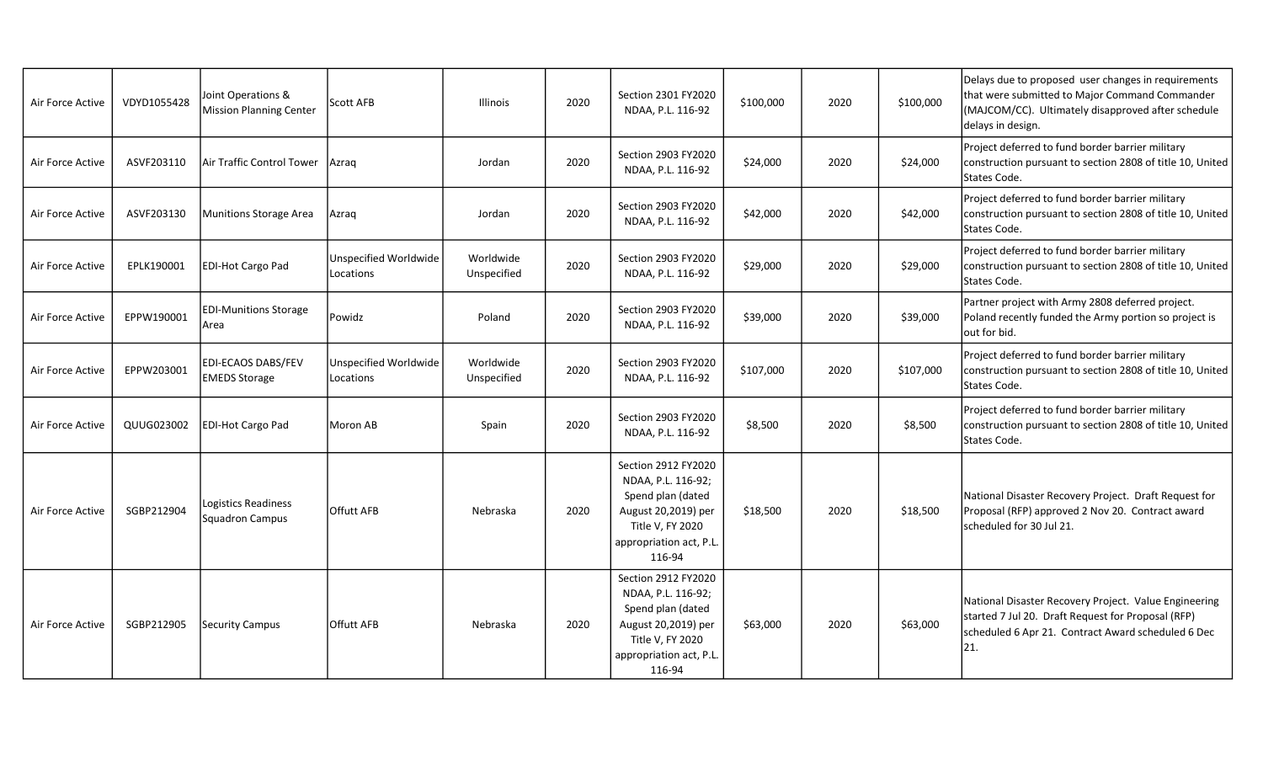| Air Force Active | VDYD1055428 | Joint Operations &<br><b>Mission Planning Center</b> | Scott AFB                          | <b>Illinois</b>          | 2020 | Section 2301 FY2020<br>NDAA, P.L. 116-92                                                                                                       | \$100,000 | 2020 | \$100,000 | Delays due to proposed user changes in requirements<br>that were submitted to Major Command Commander<br>(MAJCOM/CC). Ultimately disapproved after schedule<br>delays in design. |
|------------------|-------------|------------------------------------------------------|------------------------------------|--------------------------|------|------------------------------------------------------------------------------------------------------------------------------------------------|-----------|------|-----------|----------------------------------------------------------------------------------------------------------------------------------------------------------------------------------|
| Air Force Active | ASVF203110  | Air Traffic Control Tower                            | Azrag                              | Jordan                   | 2020 | Section 2903 FY2020<br>NDAA, P.L. 116-92                                                                                                       | \$24,000  | 2020 | \$24,000  | Project deferred to fund border barrier military<br>construction pursuant to section 2808 of title 10, United<br>States Code.                                                    |
| Air Force Active | ASVF203130  | <b>Munitions Storage Area</b>                        | Azrag                              | Jordan                   | 2020 | Section 2903 FY2020<br>NDAA, P.L. 116-92                                                                                                       | \$42,000  | 2020 | \$42,000  | Project deferred to fund border barrier military<br>construction pursuant to section 2808 of title 10, United<br>States Code.                                                    |
| Air Force Active | EPLK190001  | EDI-Hot Cargo Pad                                    | Unspecified Worldwide<br>Locations | Worldwide<br>Unspecified | 2020 | Section 2903 FY2020<br>NDAA, P.L. 116-92                                                                                                       | \$29,000  | 2020 | \$29,000  | Project deferred to fund border barrier military<br>construction pursuant to section 2808 of title 10, United<br>States Code.                                                    |
| Air Force Active | EPPW190001  | <b>EDI-Munitions Storage</b><br>Area                 | Powidz                             | Poland                   | 2020 | Section 2903 FY2020<br>NDAA, P.L. 116-92                                                                                                       | \$39,000  | 2020 | \$39,000  | Partner project with Army 2808 deferred project.<br>Poland recently funded the Army portion so project is<br>lout for bid.                                                       |
| Air Force Active | EPPW203001  | <b>EDI-ECAOS DABS/FEV</b><br><b>EMEDS Storage</b>    | Unspecified Worldwide<br>Locations | Worldwide<br>Unspecified | 2020 | Section 2903 FY2020<br>NDAA, P.L. 116-92                                                                                                       | \$107,000 | 2020 | \$107,000 | Project deferred to fund border barrier military<br>construction pursuant to section 2808 of title 10, United<br>States Code.                                                    |
| Air Force Active | QUUG023002  | <b>EDI-Hot Cargo Pad</b>                             | Moron AB                           | Spain                    | 2020 | Section 2903 FY2020<br>NDAA, P.L. 116-92                                                                                                       | \$8,500   | 2020 | \$8,500   | Project deferred to fund border barrier military<br>construction pursuant to section 2808 of title 10, United<br>States Code.                                                    |
| Air Force Active | SGBP212904  | Logistics Readiness<br>Squadron Campus               | <b>Offutt AFB</b>                  | Nebraska                 | 2020 | Section 2912 FY2020<br>NDAA, P.L. 116-92;<br>Spend plan (dated<br>August 20,2019) per<br>Title V, FY 2020<br>appropriation act, P.L.<br>116-94 | \$18,500  | 2020 | \$18,500  | National Disaster Recovery Project. Draft Request for<br>Proposal (RFP) approved 2 Nov 20. Contract award<br>scheduled for 30 Jul 21.                                            |
| Air Force Active | SGBP212905  | <b>Security Campus</b>                               | <b>Offutt AFB</b>                  | Nebraska                 | 2020 | Section 2912 FY2020<br>NDAA, P.L. 116-92;<br>Spend plan (dated<br>August 20,2019) per<br>Title V, FY 2020<br>appropriation act, P.L.<br>116-94 | \$63,000  | 2020 | \$63,000  | National Disaster Recovery Project. Value Engineering<br>started 7 Jul 20. Draft Request for Proposal (RFP)<br>scheduled 6 Apr 21. Contract Award scheduled 6 Dec<br>21.         |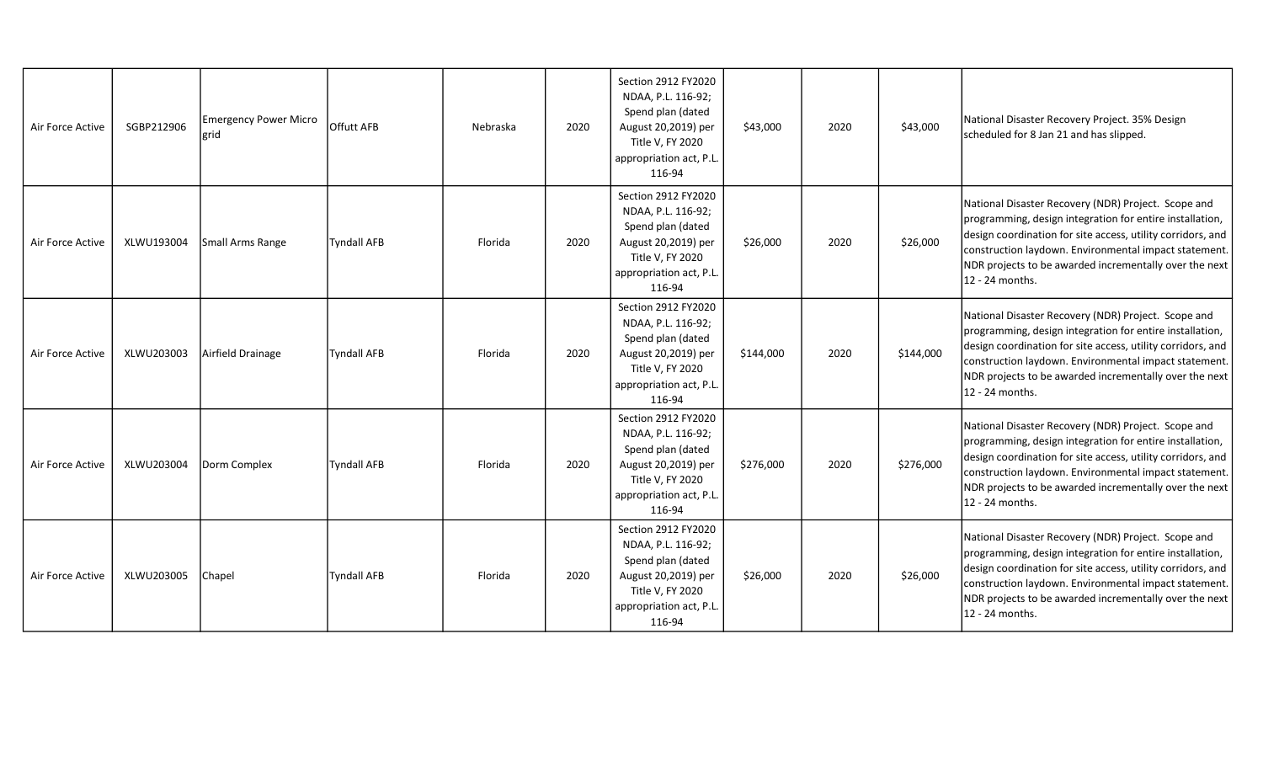| Air Force Active | SGBP212906 | <b>Emergency Power Micro</b><br>lgrid | Offutt AFB         | Nebraska | 2020 | Section 2912 FY2020<br>NDAA, P.L. 116-92;<br>Spend plan (dated<br>August 20,2019) per<br>Title V, FY 2020<br>appropriation act, P.L.<br>116-94 | \$43,000  | 2020 | \$43,000  | National Disaster Recovery Project. 35% Design<br>scheduled for 8 Jan 21 and has slipped.                                                                                                                                                                                                                            |
|------------------|------------|---------------------------------------|--------------------|----------|------|------------------------------------------------------------------------------------------------------------------------------------------------|-----------|------|-----------|----------------------------------------------------------------------------------------------------------------------------------------------------------------------------------------------------------------------------------------------------------------------------------------------------------------------|
| Air Force Active | XLWU193004 | Small Arms Range                      | <b>Tyndall AFB</b> | Florida  | 2020 | Section 2912 FY2020<br>NDAA, P.L. 116-92;<br>Spend plan (dated<br>August 20,2019) per<br>Title V, FY 2020<br>appropriation act, P.L.<br>116-94 | \$26,000  | 2020 | \$26,000  | National Disaster Recovery (NDR) Project. Scope and<br>programming, design integration for entire installation,<br>design coordination for site access, utility corridors, and<br>construction laydown. Environmental impact statement.<br>NDR projects to be awarded incrementally over the next<br>12 - 24 months. |
| Air Force Active | XLWU203003 | Airfield Drainage                     | <b>Tyndall AFB</b> | Florida  | 2020 | Section 2912 FY2020<br>NDAA, P.L. 116-92;<br>Spend plan (dated<br>August 20,2019) per<br>Title V, FY 2020<br>appropriation act, P.L.<br>116-94 | \$144,000 | 2020 | \$144,000 | National Disaster Recovery (NDR) Project. Scope and<br>programming, design integration for entire installation,<br>design coordination for site access, utility corridors, and<br>construction laydown. Environmental impact statement.<br>NDR projects to be awarded incrementally over the next<br>12 - 24 months. |
| Air Force Active | XLWU203004 | Dorm Complex                          | <b>Tyndall AFB</b> | Florida  | 2020 | Section 2912 FY2020<br>NDAA, P.L. 116-92;<br>Spend plan (dated<br>August 20,2019) per<br>Title V, FY 2020<br>appropriation act, P.L.<br>116-94 | \$276,000 | 2020 | \$276,000 | National Disaster Recovery (NDR) Project. Scope and<br>programming, design integration for entire installation,<br>design coordination for site access, utility corridors, and<br>construction laydown. Environmental impact statement.<br>NDR projects to be awarded incrementally over the next<br>12 - 24 months. |
| Air Force Active | XLWU203005 | Chapel                                | <b>Tyndall AFB</b> | Florida  | 2020 | Section 2912 FY2020<br>NDAA, P.L. 116-92;<br>Spend plan (dated<br>August 20,2019) per<br>Title V, FY 2020<br>appropriation act, P.L.<br>116-94 | \$26,000  | 2020 | \$26,000  | National Disaster Recovery (NDR) Project. Scope and<br>programming, design integration for entire installation,<br>design coordination for site access, utility corridors, and<br>construction laydown. Environmental impact statement.<br>NDR projects to be awarded incrementally over the next<br>12 - 24 months. |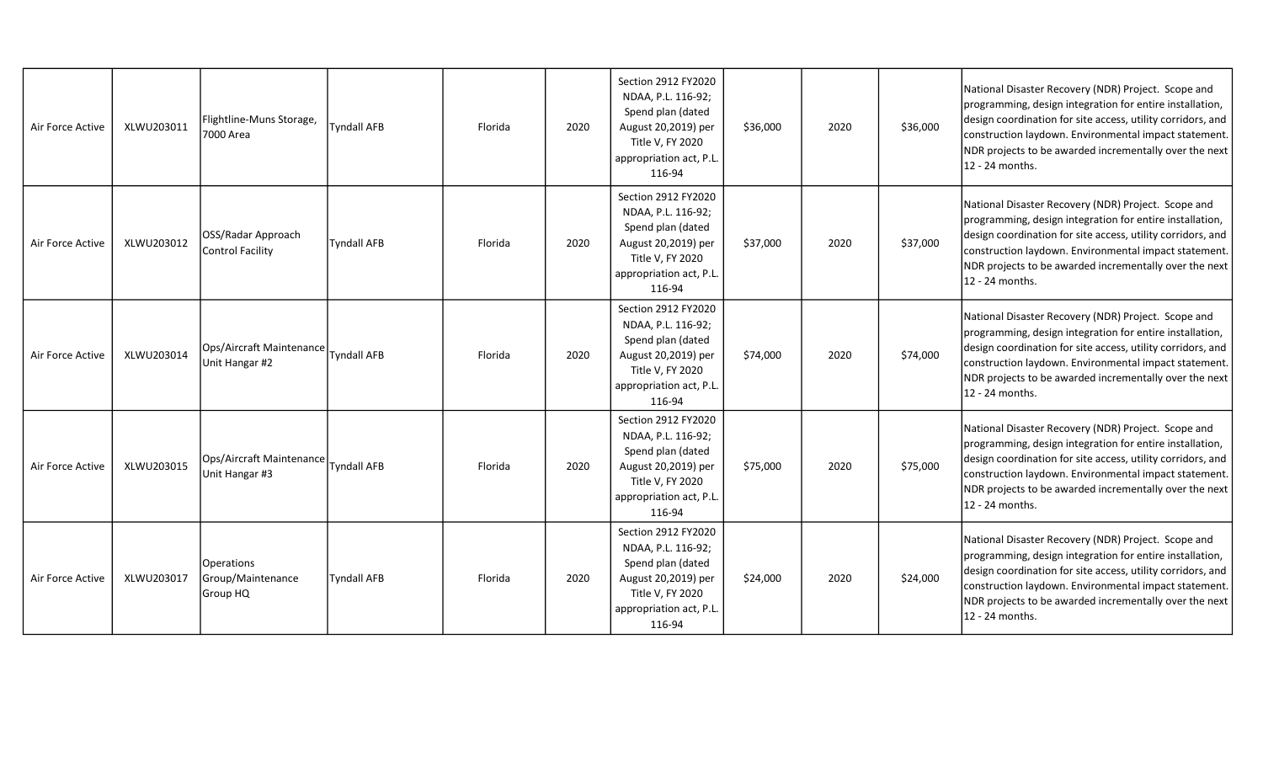| Air Force Active | XLWU203011 | Flightline-Muns Storage,<br>7000 Area       | <b>Tyndall AFB</b> | Florida | 2020 | Section 2912 FY2020<br>NDAA, P.L. 116-92;<br>Spend plan (dated<br>August 20,2019) per<br>Title V, FY 2020<br>appropriation act, P.L.<br>116-94 | \$36,000 | 2020 | \$36,000 | National Disaster Recovery (NDR) Project. Scope and<br>programming, design integration for entire installation,<br>design coordination for site access, utility corridors, and<br>construction laydown. Environmental impact statement.<br>NDR projects to be awarded incrementally over the next<br>12 - 24 months. |
|------------------|------------|---------------------------------------------|--------------------|---------|------|------------------------------------------------------------------------------------------------------------------------------------------------|----------|------|----------|----------------------------------------------------------------------------------------------------------------------------------------------------------------------------------------------------------------------------------------------------------------------------------------------------------------------|
| Air Force Active | XLWU203012 | OSS/Radar Approach<br>Control Facility      | <b>Tyndall AFB</b> | Florida | 2020 | Section 2912 FY2020<br>NDAA, P.L. 116-92;<br>Spend plan (dated<br>August 20,2019) per<br>Title V, FY 2020<br>appropriation act, P.L.<br>116-94 | \$37,000 | 2020 | \$37,000 | National Disaster Recovery (NDR) Project. Scope and<br>programming, design integration for entire installation,<br>design coordination for site access, utility corridors, and<br>construction laydown. Environmental impact statement.<br>NDR projects to be awarded incrementally over the next<br>12 - 24 months. |
| Air Force Active | XLWU203014 | Ops/Aircraft Maintenance<br>Unit Hangar #2  | <b>Tyndall AFB</b> | Florida | 2020 | Section 2912 FY2020<br>NDAA, P.L. 116-92;<br>Spend plan (dated<br>August 20,2019) per<br>Title V, FY 2020<br>appropriation act, P.L.<br>116-94 | \$74,000 | 2020 | \$74,000 | National Disaster Recovery (NDR) Project. Scope and<br>programming, design integration for entire installation,<br>design coordination for site access, utility corridors, and<br>construction laydown. Environmental impact statement.<br>NDR projects to be awarded incrementally over the next<br>12 - 24 months. |
| Air Force Active | XLWU203015 | Ops/Aircraft Maintenance<br>Unit Hangar #3  | <b>Tyndall AFB</b> | Florida | 2020 | Section 2912 FY2020<br>NDAA, P.L. 116-92;<br>Spend plan (dated<br>August 20,2019) per<br>Title V, FY 2020<br>appropriation act, P.L.<br>116-94 | \$75,000 | 2020 | \$75,000 | National Disaster Recovery (NDR) Project. Scope and<br>programming, design integration for entire installation,<br>design coordination for site access, utility corridors, and<br>construction laydown. Environmental impact statement.<br>NDR projects to be awarded incrementally over the next<br>12 - 24 months. |
| Air Force Active | XLWU203017 | Operations<br>Group/Maintenance<br>Group HQ | <b>Tyndall AFB</b> | Florida | 2020 | Section 2912 FY2020<br>NDAA, P.L. 116-92;<br>Spend plan (dated<br>August 20,2019) per<br>Title V, FY 2020<br>appropriation act, P.L.<br>116-94 | \$24,000 | 2020 | \$24,000 | National Disaster Recovery (NDR) Project. Scope and<br>programming, design integration for entire installation,<br>design coordination for site access, utility corridors, and<br>construction laydown. Environmental impact statement.<br>NDR projects to be awarded incrementally over the next<br>12 - 24 months. |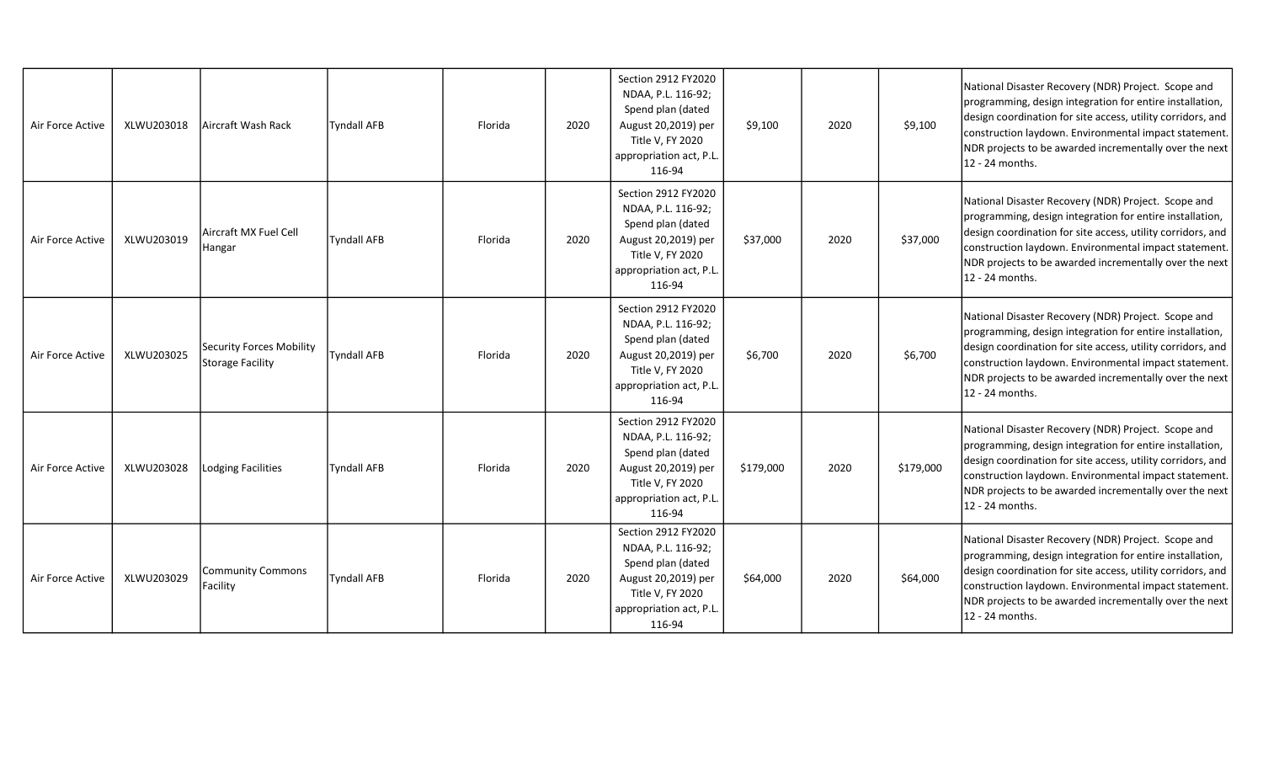| Air Force Active | XLWU203018 | Aircraft Wash Rack                           | <b>Tyndall AFB</b> | Florida | 2020 | Section 2912 FY2020<br>NDAA, P.L. 116-92;<br>Spend plan (dated<br>August 20,2019) per<br>Title V, FY 2020<br>appropriation act, P.L.<br>116-94 | \$9,100   | 2020 | \$9,100   | National Disaster Recovery (NDR) Project. Scope and<br>programming, design integration for entire installation,<br>design coordination for site access, utility corridors, and<br>construction laydown. Environmental impact statement.<br>NDR projects to be awarded incrementally over the next<br>12 - 24 months. |
|------------------|------------|----------------------------------------------|--------------------|---------|------|------------------------------------------------------------------------------------------------------------------------------------------------|-----------|------|-----------|----------------------------------------------------------------------------------------------------------------------------------------------------------------------------------------------------------------------------------------------------------------------------------------------------------------------|
| Air Force Active | XLWU203019 | Aircraft MX Fuel Cell<br>Hangar              | <b>Tyndall AFB</b> | Florida | 2020 | Section 2912 FY2020<br>NDAA, P.L. 116-92;<br>Spend plan (dated<br>August 20,2019) per<br>Title V, FY 2020<br>appropriation act, P.L.<br>116-94 | \$37,000  | 2020 | \$37,000  | National Disaster Recovery (NDR) Project. Scope and<br>programming, design integration for entire installation,<br>design coordination for site access, utility corridors, and<br>construction laydown. Environmental impact statement.<br>NDR projects to be awarded incrementally over the next<br>12 - 24 months. |
| Air Force Active | XLWU203025 | Security Forces Mobility<br>Storage Facility | <b>Tyndall AFB</b> | Florida | 2020 | Section 2912 FY2020<br>NDAA, P.L. 116-92;<br>Spend plan (dated<br>August 20,2019) per<br>Title V, FY 2020<br>appropriation act, P.L.<br>116-94 | \$6,700   | 2020 | \$6,700   | National Disaster Recovery (NDR) Project. Scope and<br>programming, design integration for entire installation,<br>design coordination for site access, utility corridors, and<br>construction laydown. Environmental impact statement.<br>NDR projects to be awarded incrementally over the next<br>12 - 24 months. |
| Air Force Active | XLWU203028 | Lodging Facilities                           | <b>Tyndall AFB</b> | Florida | 2020 | Section 2912 FY2020<br>NDAA, P.L. 116-92;<br>Spend plan (dated<br>August 20,2019) per<br>Title V, FY 2020<br>appropriation act, P.L.<br>116-94 | \$179,000 | 2020 | \$179,000 | National Disaster Recovery (NDR) Project. Scope and<br>programming, design integration for entire installation,<br>design coordination for site access, utility corridors, and<br>construction laydown. Environmental impact statement.<br>NDR projects to be awarded incrementally over the next<br>12 - 24 months. |
| Air Force Active | XLWU203029 | Community Commons<br>Facility                | Tyndall AFB        | Florida | 2020 | Section 2912 FY2020<br>NDAA, P.L. 116-92;<br>Spend plan (dated<br>August 20,2019) per<br>Title V, FY 2020<br>appropriation act, P.L.<br>116-94 | \$64,000  | 2020 | \$64,000  | National Disaster Recovery (NDR) Project. Scope and<br>programming, design integration for entire installation,<br>design coordination for site access, utility corridors, and<br>construction laydown. Environmental impact statement.<br>NDR projects to be awarded incrementally over the next<br>12 - 24 months. |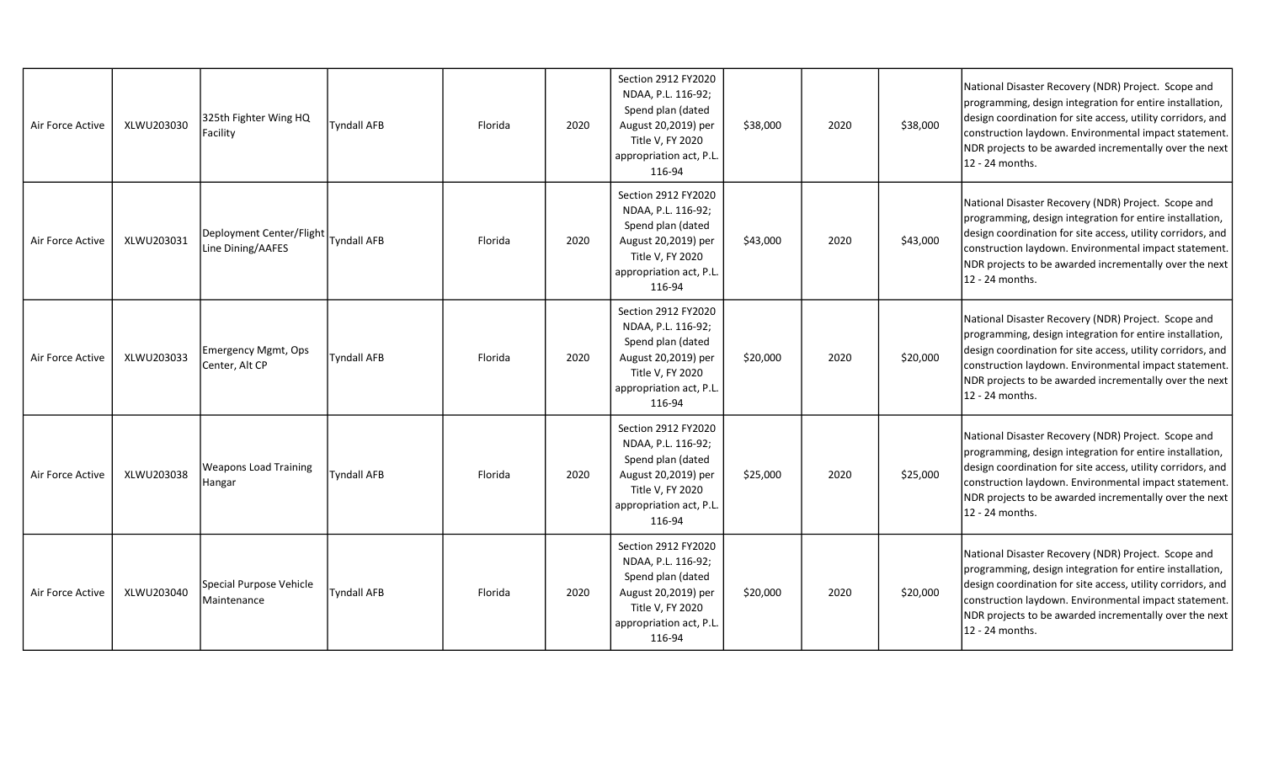| Air Force Active | XLWU203030 | 325th Fighter Wing HQ<br>Facility                           | <b>Tyndall AFB</b> | Florida | 2020 | Section 2912 FY2020<br>NDAA, P.L. 116-92;<br>Spend plan (dated<br>August 20,2019) per<br>Title V, FY 2020<br>appropriation act, P.L.<br>116-94 | \$38,000 | 2020 | \$38,000 | National Disaster Recovery (NDR) Project. Scope and<br>programming, design integration for entire installation,<br>design coordination for site access, utility corridors, and<br>construction laydown. Environmental impact statement.<br>NDR projects to be awarded incrementally over the next<br>12 - 24 months. |
|------------------|------------|-------------------------------------------------------------|--------------------|---------|------|------------------------------------------------------------------------------------------------------------------------------------------------|----------|------|----------|----------------------------------------------------------------------------------------------------------------------------------------------------------------------------------------------------------------------------------------------------------------------------------------------------------------------|
| Air Force Active | XLWU203031 | Deployment Center/Flight   Tyndall AFB<br>Line Dining/AAFES |                    | Florida | 2020 | Section 2912 FY2020<br>NDAA, P.L. 116-92;<br>Spend plan (dated<br>August 20,2019) per<br>Title V, FY 2020<br>appropriation act, P.L.<br>116-94 | \$43,000 | 2020 | \$43,000 | National Disaster Recovery (NDR) Project. Scope and<br>programming, design integration for entire installation,<br>design coordination for site access, utility corridors, and<br>construction laydown. Environmental impact statement.<br>NDR projects to be awarded incrementally over the next<br>12 - 24 months. |
| Air Force Active | XLWU203033 | Emergency Mgmt, Ops<br>Center, Alt CP                       | <b>Tyndall AFB</b> | Florida | 2020 | Section 2912 FY2020<br>NDAA, P.L. 116-92;<br>Spend plan (dated<br>August 20,2019) per<br>Title V, FY 2020<br>appropriation act, P.L.<br>116-94 | \$20,000 | 2020 | \$20,000 | National Disaster Recovery (NDR) Project. Scope and<br>programming, design integration for entire installation,<br>design coordination for site access, utility corridors, and<br>construction laydown. Environmental impact statement.<br>NDR projects to be awarded incrementally over the next<br>12 - 24 months. |
| Air Force Active | XLWU203038 | <b>Weapons Load Training</b><br>Hangar                      | <b>Tyndall AFB</b> | Florida | 2020 | Section 2912 FY2020<br>NDAA, P.L. 116-92;<br>Spend plan (dated<br>August 20,2019) per<br>Title V, FY 2020<br>appropriation act, P.L.<br>116-94 | \$25,000 | 2020 | \$25,000 | National Disaster Recovery (NDR) Project. Scope and<br>programming, design integration for entire installation,<br>design coordination for site access, utility corridors, and<br>construction laydown. Environmental impact statement.<br>NDR projects to be awarded incrementally over the next<br>12 - 24 months. |
| Air Force Active | XLWU203040 | Special Purpose Vehicle<br><i><b>IMaintenance</b></i>       | <b>Tyndall AFB</b> | Florida | 2020 | Section 2912 FY2020<br>NDAA, P.L. 116-92;<br>Spend plan (dated<br>August 20,2019) per<br>Title V, FY 2020<br>appropriation act, P.L<br>116-94  | \$20,000 | 2020 | \$20,000 | National Disaster Recovery (NDR) Project. Scope and<br>programming, design integration for entire installation,<br>design coordination for site access, utility corridors, and<br>construction laydown. Environmental impact statement.<br>NDR projects to be awarded incrementally over the next<br>12 - 24 months. |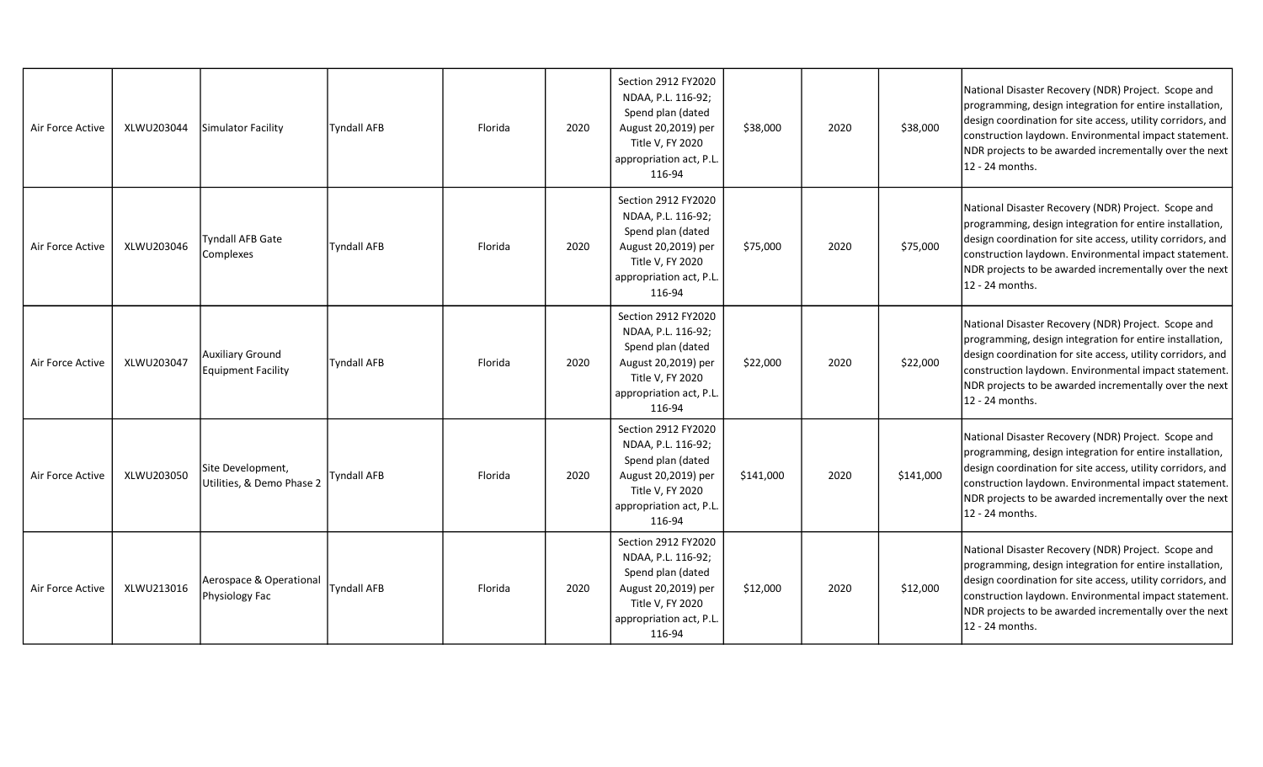| Air Force Active | XLWU203044 | Simulator Facility                             | <b>Tyndall AFB</b> | Florida | 2020 | Section 2912 FY2020<br>NDAA, P.L. 116-92;<br>Spend plan (dated<br>August 20,2019) per<br>Title V, FY 2020<br>appropriation act, P.L.<br>116-94 | \$38,000  | 2020 | \$38,000  | National Disaster Recovery (NDR) Project. Scope and<br>programming, design integration for entire installation,<br>design coordination for site access, utility corridors, and<br>construction laydown. Environmental impact statement.<br>NDR projects to be awarded incrementally over the next<br>12 - 24 months. |
|------------------|------------|------------------------------------------------|--------------------|---------|------|------------------------------------------------------------------------------------------------------------------------------------------------|-----------|------|-----------|----------------------------------------------------------------------------------------------------------------------------------------------------------------------------------------------------------------------------------------------------------------------------------------------------------------------|
| Air Force Active | XLWU203046 | Tyndall AFB Gate<br>Complexes                  | <b>Tyndall AFB</b> | Florida | 2020 | Section 2912 FY2020<br>NDAA, P.L. 116-92;<br>Spend plan (dated<br>August 20,2019) per<br>Title V, FY 2020<br>appropriation act, P.L.<br>116-94 | \$75,000  | 2020 | \$75,000  | National Disaster Recovery (NDR) Project. Scope and<br>programming, design integration for entire installation,<br>design coordination for site access, utility corridors, and<br>construction laydown. Environmental impact statement.<br>NDR projects to be awarded incrementally over the next<br>12 - 24 months. |
| Air Force Active | XLWU203047 | Auxiliary Ground<br>Equipment Facility         | <b>Tyndall AFB</b> | Florida | 2020 | Section 2912 FY2020<br>NDAA, P.L. 116-92;<br>Spend plan (dated<br>August 20,2019) per<br>Title V, FY 2020<br>appropriation act, P.L<br>116-94  | \$22,000  | 2020 | \$22,000  | National Disaster Recovery (NDR) Project. Scope and<br>programming, design integration for entire installation,<br>design coordination for site access, utility corridors, and<br>construction laydown. Environmental impact statement.<br>NDR projects to be awarded incrementally over the next<br>12 - 24 months. |
| Air Force Active | XLWU203050 | Site Development,<br>Utilities, & Demo Phase 2 | <b>Tyndall AFB</b> | Florida | 2020 | Section 2912 FY2020<br>NDAA, P.L. 116-92;<br>Spend plan (dated<br>August 20,2019) per<br>Title V, FY 2020<br>appropriation act, P.L.<br>116-94 | \$141,000 | 2020 | \$141,000 | National Disaster Recovery (NDR) Project. Scope and<br>programming, design integration for entire installation,<br>design coordination for site access, utility corridors, and<br>construction laydown. Environmental impact statement.<br>NDR projects to be awarded incrementally over the next<br>12 - 24 months. |
| Air Force Active | XLWU213016 | Aerospace & Operational<br>Physiology Fac      | Tyndall AFB        | Florida | 2020 | Section 2912 FY2020<br>NDAA, P.L. 116-92;<br>Spend plan (dated<br>August 20,2019) per<br>Title V, FY 2020<br>appropriation act, P.L<br>116-94  | \$12,000  | 2020 | \$12,000  | National Disaster Recovery (NDR) Project. Scope and<br>programming, design integration for entire installation,<br>design coordination for site access, utility corridors, and<br>construction laydown. Environmental impact statement.<br>NDR projects to be awarded incrementally over the next<br>12 - 24 months. |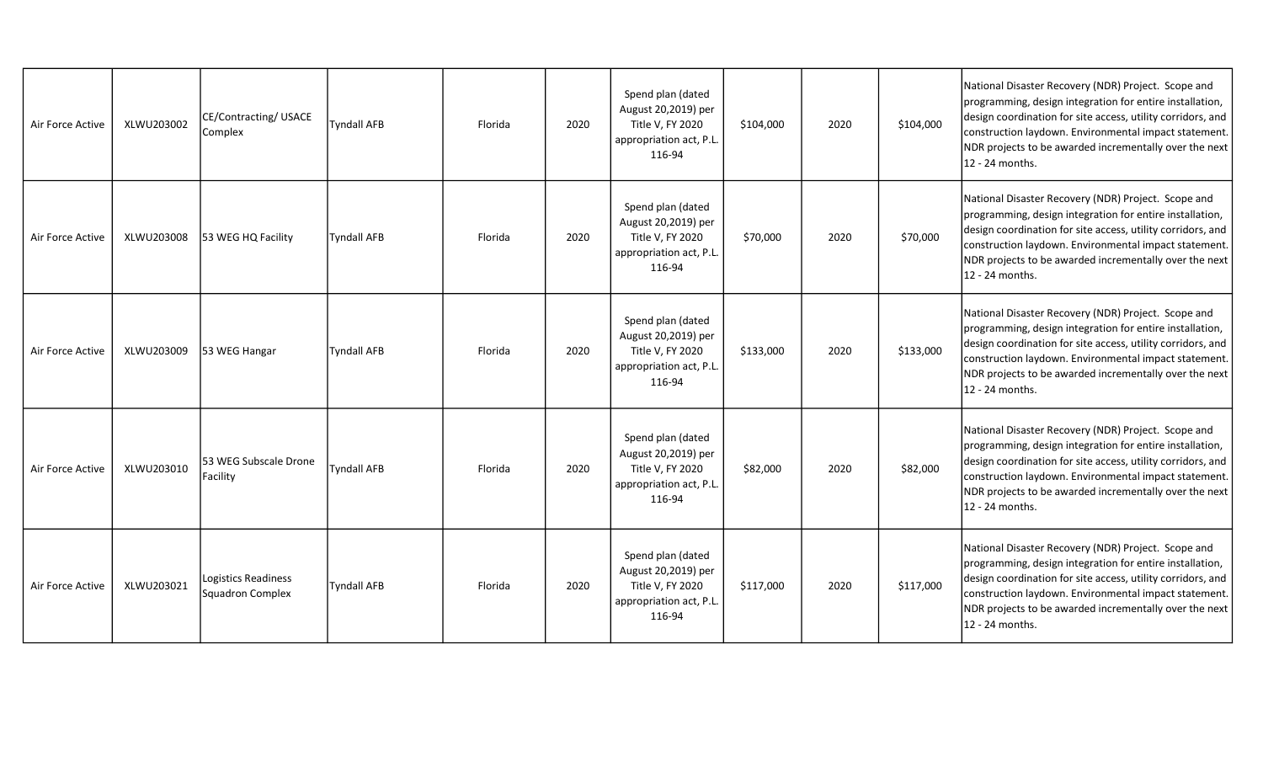| Air Force Active | XLWU203002 | CE/Contracting/USACE<br>Complex         | <b>Tyndall AFB</b> | Florida | 2020 | Spend plan (dated<br>August 20,2019) per<br>Title V, FY 2020<br>appropriation act, P.L.<br>116-94 | \$104,000 | 2020 | \$104,000 | National Disaster Recovery (NDR) Project. Scope and<br>programming, design integration for entire installation,<br>design coordination for site access, utility corridors, and<br>construction laydown. Environmental impact statement.<br>NDR projects to be awarded incrementally over the next<br>12 - 24 months.  |
|------------------|------------|-----------------------------------------|--------------------|---------|------|---------------------------------------------------------------------------------------------------|-----------|------|-----------|-----------------------------------------------------------------------------------------------------------------------------------------------------------------------------------------------------------------------------------------------------------------------------------------------------------------------|
| Air Force Active | XLWU203008 | 53 WEG HQ Facility                      | <b>Tyndall AFB</b> | Florida | 2020 | Spend plan (dated<br>August 20,2019) per<br>Title V, FY 2020<br>appropriation act, P.L.<br>116-94 | \$70,000  | 2020 | \$70,000  | National Disaster Recovery (NDR) Project. Scope and<br>programming, design integration for entire installation,<br>design coordination for site access, utility corridors, and<br>construction laydown. Environmental impact statement.<br>NDR projects to be awarded incrementally over the next<br>12 - 24 months.  |
| Air Force Active | XLWU203009 | 53 WEG Hangar                           | <b>Tyndall AFB</b> | Florida | 2020 | Spend plan (dated<br>August 20,2019) per<br>Title V, FY 2020<br>appropriation act, P.L.<br>116-94 | \$133,000 | 2020 | \$133,000 | National Disaster Recovery (NDR) Project. Scope and<br>programming, design integration for entire installation,<br>design coordination for site access, utility corridors, and<br>construction laydown. Environmental impact statement.<br>NDR projects to be awarded incrementally over the next<br>12 - 24 months.  |
| Air Force Active | XLWU203010 | 53 WEG Subscale Drone<br>Facility       | <b>Tyndall AFB</b> | Florida | 2020 | Spend plan (dated<br>August 20,2019) per<br>Title V, FY 2020<br>appropriation act, P.L.<br>116-94 | \$82,000  | 2020 | \$82,000  | National Disaster Recovery (NDR) Project. Scope and<br>programming, design integration for entire installation,<br>design coordination for site access, utility corridors, and<br>construction laydown. Environmental impact statement.<br>NDR projects to be awarded incrementally over the next<br>12 - 24 months.  |
| Air Force Active | XLWU203021 | Logistics Readiness<br>Squadron Complex | <b>Tyndall AFB</b> | Florida | 2020 | Spend plan (dated<br>August 20,2019) per<br>Title V, FY 2020<br>appropriation act, P.L<br>116-94  | \$117,000 | 2020 | \$117,000 | National Disaster Recovery (NDR) Project. Scope and<br>programming, design integration for entire installation,<br>design coordination for site access, utility corridors, and<br>construction laydown. Environmental impact statement.<br>NDR projects to be awarded incrementally over the next<br>l12 - 24 months. |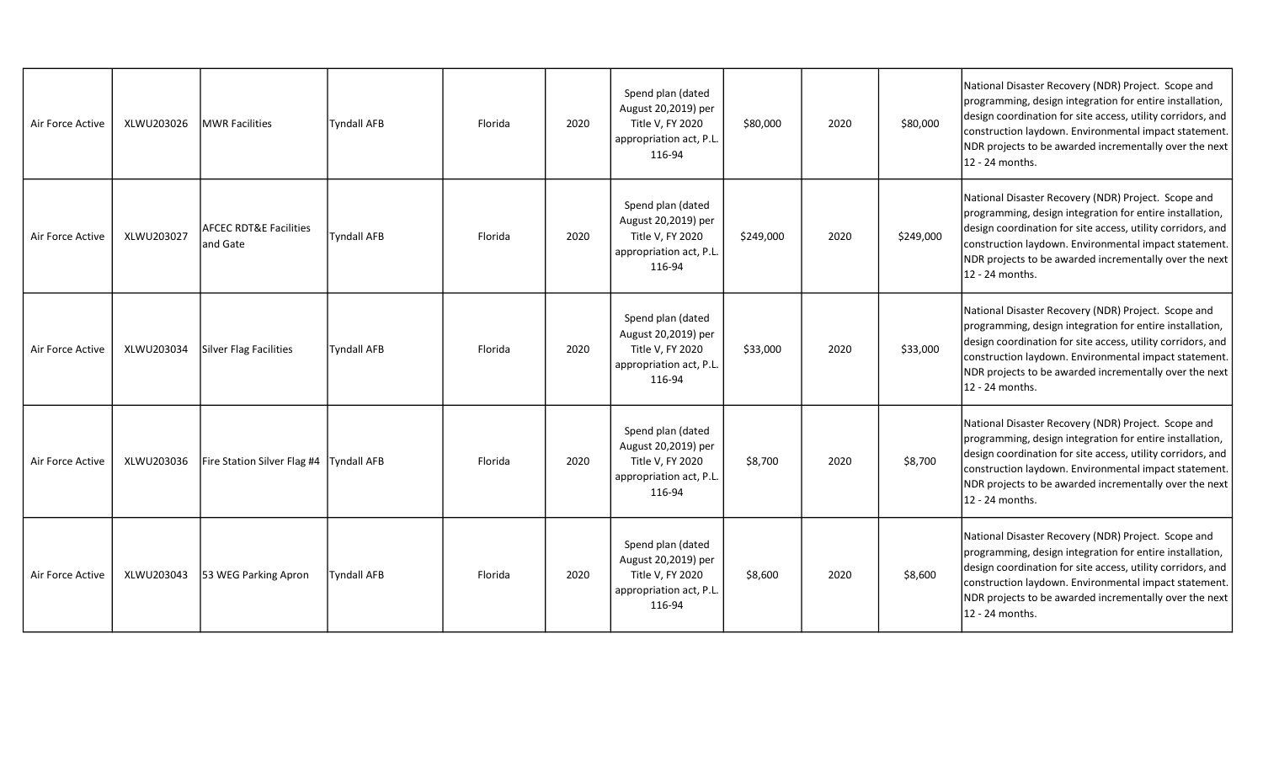| Air Force Active | XLWU203026 | <b>IMWR Facilities</b>                         | <b>Tyndall AFB</b> | Florida | 2020 | Spend plan (dated<br>August 20,2019) per<br>Title V, FY 2020<br>appropriation act, P.L.<br>116-94 | \$80,000  | 2020 | \$80,000  | National Disaster Recovery (NDR) Project. Scope and<br>programming, design integration for entire installation,<br>design coordination for site access, utility corridors, and<br>construction laydown. Environmental impact statement.<br>NDR projects to be awarded incrementally over the next<br>12 - 24 months. |
|------------------|------------|------------------------------------------------|--------------------|---------|------|---------------------------------------------------------------------------------------------------|-----------|------|-----------|----------------------------------------------------------------------------------------------------------------------------------------------------------------------------------------------------------------------------------------------------------------------------------------------------------------------|
| Air Force Active | XLWU203027 | <b>AFCEC RDT&amp;E Facilities</b><br>land Gate | <b>Tyndall AFB</b> | Florida | 2020 | Spend plan (dated<br>August 20,2019) per<br>Title V, FY 2020<br>appropriation act, P.L.<br>116-94 | \$249,000 | 2020 | \$249,000 | National Disaster Recovery (NDR) Project. Scope and<br>programming, design integration for entire installation,<br>design coordination for site access, utility corridors, and<br>construction laydown. Environmental impact statement.<br>NDR projects to be awarded incrementally over the next<br>12 - 24 months. |
| Air Force Active | XLWU203034 | Silver Flag Facilities                         | <b>Tyndall AFB</b> | Florida | 2020 | Spend plan (dated<br>August 20,2019) per<br>Title V, FY 2020<br>appropriation act, P.L.<br>116-94 | \$33,000  | 2020 | \$33,000  | National Disaster Recovery (NDR) Project. Scope and<br>programming, design integration for entire installation,<br>design coordination for site access, utility corridors, and<br>construction laydown. Environmental impact statement.<br>NDR projects to be awarded incrementally over the next<br>12 - 24 months. |
| Air Force Active | XLWU203036 | Fire Station Silver Flag #4                    | Tyndall AFB        | Florida | 2020 | Spend plan (dated<br>August 20,2019) per<br>Title V, FY 2020<br>appropriation act, P.L.<br>116-94 | \$8,700   | 2020 | \$8,700   | National Disaster Recovery (NDR) Project. Scope and<br>programming, design integration for entire installation,<br>design coordination for site access, utility corridors, and<br>construction laydown. Environmental impact statement.<br>NDR projects to be awarded incrementally over the next<br>12 - 24 months. |
| Air Force Active | XLWU203043 | 53 WEG Parking Apron                           | <b>Tyndall AFB</b> | Florida | 2020 | Spend plan (dated<br>August 20,2019) per<br>Title V, FY 2020<br>appropriation act, P.L.<br>116-94 | \$8,600   | 2020 | \$8,600   | National Disaster Recovery (NDR) Project. Scope and<br>programming, design integration for entire installation,<br>design coordination for site access, utility corridors, and<br>construction laydown. Environmental impact statement.<br>NDR projects to be awarded incrementally over the next<br>12 - 24 months. |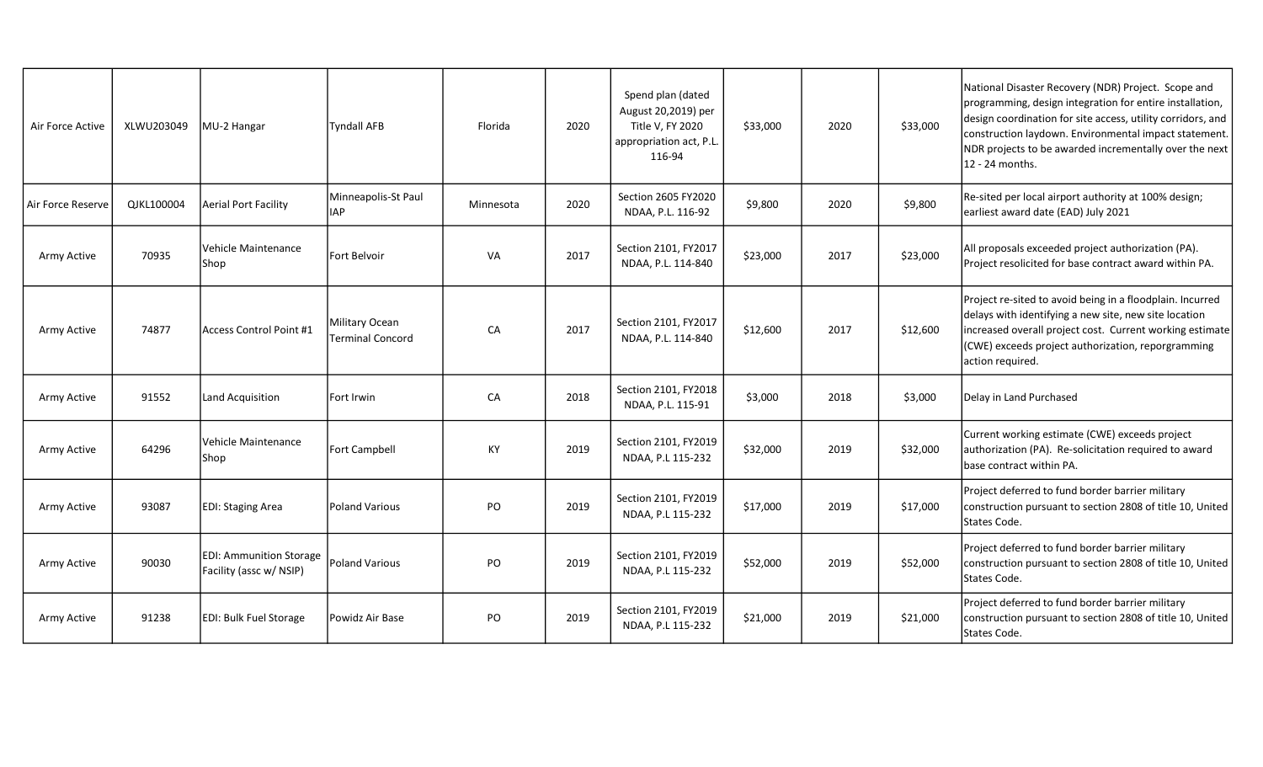| Air Force Active  | XLWU203049 | MU-2 Hangar                                               | Tyndall AFB                               | Florida   | 2020 | Spend plan (dated<br>August 20,2019) per<br>Title V, FY 2020<br>appropriation act, P.L.<br>116-94 | \$33,000 | 2020 | \$33,000 | National Disaster Recovery (NDR) Project. Scope and<br>programming, design integration for entire installation,<br>design coordination for site access, utility corridors, and<br>construction laydown. Environmental impact statement.<br>NDR projects to be awarded incrementally over the next<br>12 - 24 months. |
|-------------------|------------|-----------------------------------------------------------|-------------------------------------------|-----------|------|---------------------------------------------------------------------------------------------------|----------|------|----------|----------------------------------------------------------------------------------------------------------------------------------------------------------------------------------------------------------------------------------------------------------------------------------------------------------------------|
| Air Force Reserve | QJKL100004 | Aerial Port Facility                                      | Minneapolis-St Paul<br><b>IAP</b>         | Minnesota | 2020 | Section 2605 FY2020<br>NDAA, P.L. 116-92                                                          | \$9,800  | 2020 | \$9,800  | Re-sited per local airport authority at 100% design;<br>earliest award date (EAD) July 2021                                                                                                                                                                                                                          |
| Army Active       | 70935      | Vehicle Maintenance<br>Shop                               | Fort Belvoir                              | <b>VA</b> | 2017 | Section 2101, FY2017<br>NDAA, P.L. 114-840                                                        | \$23,000 | 2017 | \$23,000 | All proposals exceeded project authorization (PA).<br>Project resolicited for base contract award within PA.                                                                                                                                                                                                         |
| Army Active       | 74877      | Access Control Point #1                                   | Military Ocean<br><b>Terminal Concord</b> | CA        | 2017 | Section 2101, FY2017<br>NDAA, P.L. 114-840                                                        | \$12,600 | 2017 | \$12,600 | Project re-sited to avoid being in a floodplain. Incurred<br>delays with identifying a new site, new site location<br>increased overall project cost. Current working estimate<br>(CWE) exceeds project authorization, reporgramming<br>action required.                                                             |
| Army Active       | 91552      | Land Acquisition                                          | Fort Irwin                                | CA        | 2018 | Section 2101, FY2018<br>NDAA, P.L. 115-91                                                         | \$3,000  | 2018 | \$3,000  | Delay in Land Purchased                                                                                                                                                                                                                                                                                              |
| Army Active       | 64296      | Vehicle Maintenance<br><b>Shop</b>                        | Fort Campbell                             | KY        | 2019 | Section 2101, FY2019<br>NDAA, P.L 115-232                                                         | \$32,000 | 2019 | \$32,000 | Current working estimate (CWE) exceeds project<br>authorization (PA). Re-solicitation required to award<br>base contract within PA.                                                                                                                                                                                  |
| Army Active       | 93087      | <b>EDI: Staging Area</b>                                  | Poland Various                            | PO        | 2019 | Section 2101, FY2019<br>NDAA, P.L 115-232                                                         | \$17,000 | 2019 | \$17,000 | Project deferred to fund border barrier military<br>construction pursuant to section 2808 of title 10, United<br>States Code.                                                                                                                                                                                        |
| Army Active       | 90030      | <b>EDI: Ammunition Storage</b><br>Facility (assc w/ NSIP) | Poland Various                            | PO        | 2019 | Section 2101, FY2019<br>NDAA, P.L 115-232                                                         | \$52,000 | 2019 | \$52,000 | Project deferred to fund border barrier military<br>construction pursuant to section 2808 of title 10, United<br>States Code.                                                                                                                                                                                        |
| Army Active       | 91238      | <b>EDI: Bulk Fuel Storage</b>                             | Powidz Air Base                           | PO        | 2019 | Section 2101, FY2019<br>NDAA, P.L 115-232                                                         | \$21,000 | 2019 | \$21,000 | Project deferred to fund border barrier military<br>construction pursuant to section 2808 of title 10, United<br>States Code.                                                                                                                                                                                        |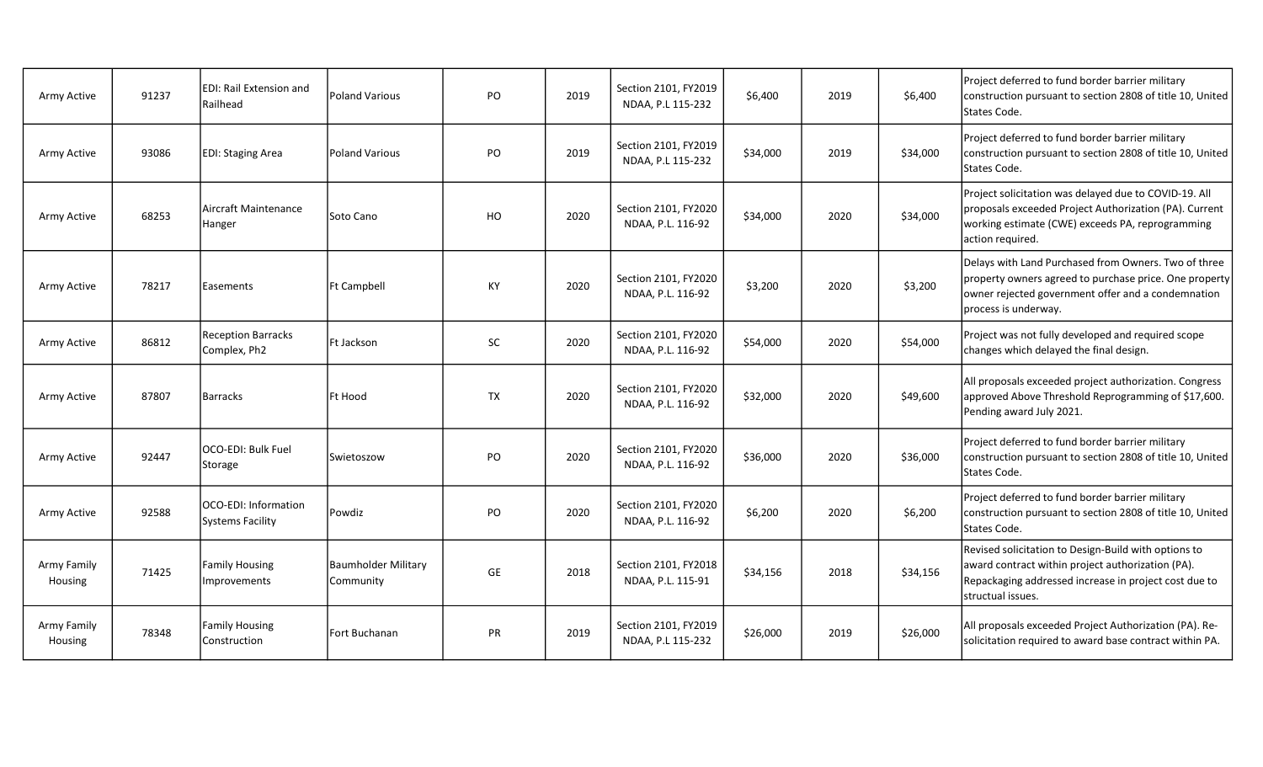| Army Active            | 91237 | <b>IEDI: Rail Extension and</b><br>Railhead | Poland Various                   | PO        | 2019 | Section 2101, FY2019<br>NDAA, P.L 115-232 | \$6,400  | 2019 | \$6,400  | Project deferred to fund border barrier military<br>construction pursuant to section 2808 of title 10, United<br>States Code.                                                                |
|------------------------|-------|---------------------------------------------|----------------------------------|-----------|------|-------------------------------------------|----------|------|----------|----------------------------------------------------------------------------------------------------------------------------------------------------------------------------------------------|
| Army Active            | 93086 | <b>EDI: Staging Area</b>                    | Poland Various                   | PO        | 2019 | Section 2101, FY2019<br>NDAA, P.L 115-232 | \$34,000 | 2019 | \$34,000 | Project deferred to fund border barrier military<br>construction pursuant to section 2808 of title 10, United<br>States Code.                                                                |
| Army Active            | 68253 | lAircraft Maintenance<br>Hanger             | Soto Cano                        | HO        | 2020 | Section 2101, FY2020<br>NDAA, P.L. 116-92 | \$34,000 | 2020 | \$34,000 | Project solicitation was delayed due to COVID-19. All<br>proposals exceeded Project Authorization (PA). Current<br>working estimate (CWE) exceeds PA, reprogramming<br>action required.      |
| Army Active            | 78217 | Easements                                   | <b>Ft Campbell</b>               | KY        | 2020 | Section 2101, FY2020<br>NDAA, P.L. 116-92 | \$3,200  | 2020 | \$3,200  | Delays with Land Purchased from Owners. Two of three<br>property owners agreed to purchase price. One property<br>owner rejected government offer and a condemnation<br>process is underway. |
| Army Active            | 86812 | <b>Reception Barracks</b><br>Complex, Ph2   | Ft Jackson                       | SC        | 2020 | Section 2101, FY2020<br>NDAA, P.L. 116-92 | \$54,000 | 2020 | \$54,000 | Project was not fully developed and required scope<br>changes which delayed the final design.                                                                                                |
| Army Active            | 87807 | Barracks                                    | <b>Ft Hood</b>                   | <b>TX</b> | 2020 | Section 2101, FY2020<br>NDAA, P.L. 116-92 | \$32,000 | 2020 | \$49,600 | All proposals exceeded project authorization. Congress<br>approved Above Threshold Reprogramming of \$17,600.<br>Pending award July 2021.                                                    |
| Army Active            | 92447 | OCO-EDI: Bulk Fuel<br> Storage              | Swietoszow                       | PO        | 2020 | Section 2101, FY2020<br>NDAA, P.L. 116-92 | \$36,000 | 2020 | \$36,000 | Project deferred to fund border barrier military<br>construction pursuant to section 2808 of title 10, United<br>States Code.                                                                |
| Army Active            | 92588 | IOCO-EDI: Information<br>Systems Facility   | Powdiz                           | PO        | 2020 | Section 2101, FY2020<br>NDAA, P.L. 116-92 | \$6,200  | 2020 | \$6,200  | Project deferred to fund border barrier military<br>construction pursuant to section 2808 of title 10, United<br>States Code.                                                                |
| Army Family<br>Housing | 71425 | <b>Family Housing</b><br>Improvements       | Baumholder Military<br>Community | GE        | 2018 | Section 2101, FY2018<br>NDAA, P.L. 115-91 | \$34,156 | 2018 | \$34,156 | Revised solicitation to Design-Build with options to<br>award contract within project authorization (PA).<br>Repackaging addressed increase in project cost due to<br>structual issues.      |
| Army Family<br>Housing | 78348 | <b>Family Housing</b><br>Construction       | Fort Buchanan                    | <b>PR</b> | 2019 | Section 2101, FY2019<br>NDAA, P.L 115-232 | \$26,000 | 2019 | \$26,000 | All proposals exceeded Project Authorization (PA). Re-<br>solicitation required to award base contract within PA.                                                                            |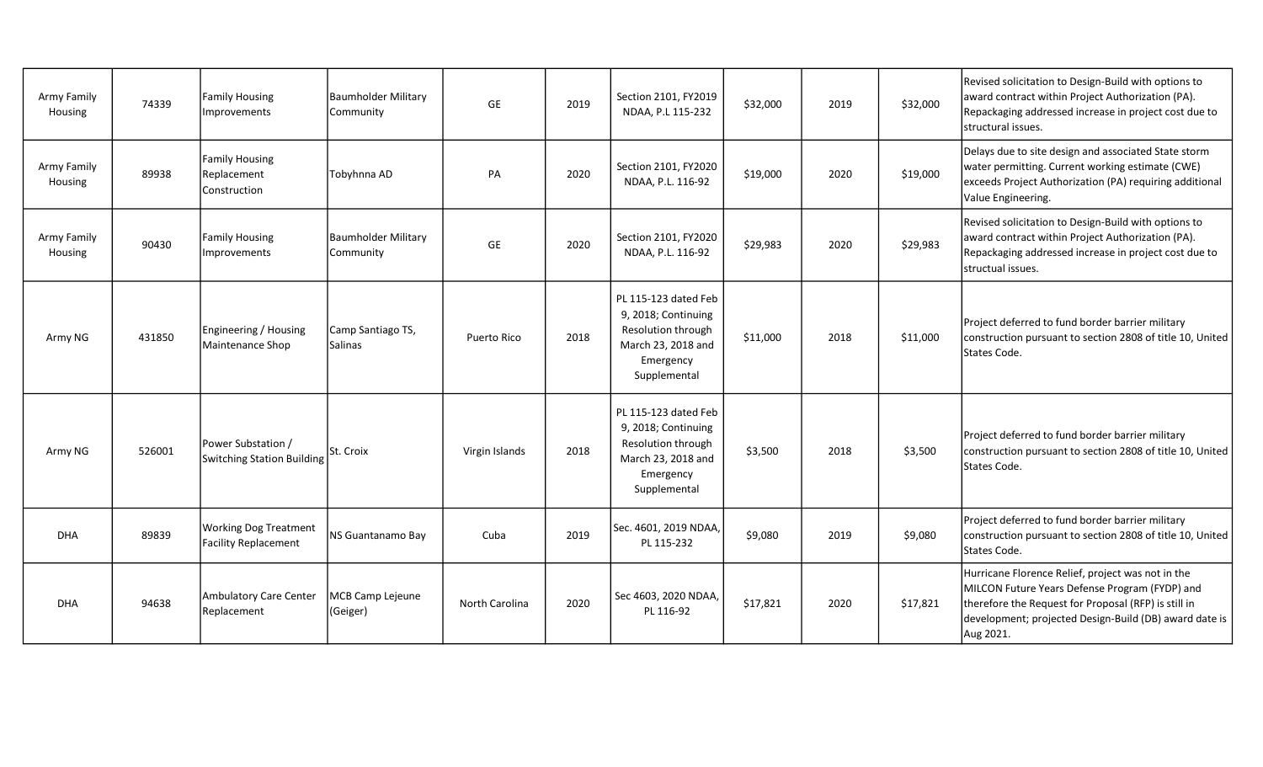| Army Family<br>Housing | 74339  | Family Housing<br>Improvements                       | <b>Baumholder Military</b><br>Community | GE             | 2019 | Section 2101, FY2019<br>NDAA, P.L 115-232                                                                            | \$32,000 | 2019 | \$32,000 | Revised solicitation to Design-Build with options to<br>award contract within Project Authorization (PA).<br>Repackaging addressed increase in project cost due to<br>structural issues.                                           |
|------------------------|--------|------------------------------------------------------|-----------------------------------------|----------------|------|----------------------------------------------------------------------------------------------------------------------|----------|------|----------|------------------------------------------------------------------------------------------------------------------------------------------------------------------------------------------------------------------------------------|
| Army Family<br>Housing | 89938  | Family Housing<br>Replacement<br>Construction        | Tobyhnna AD                             | PA             | 2020 | Section 2101, FY2020<br>NDAA, P.L. 116-92                                                                            | \$19,000 | 2020 | \$19,000 | Delays due to site design and associated State storm<br>water permitting. Current working estimate (CWE)<br>exceeds Project Authorization (PA) requiring additional<br>Value Engineering.                                          |
| Army Family<br>Housing | 90430  | Family Housing<br>Improvements                       | <b>Baumholder Military</b><br>Community | <b>GE</b>      | 2020 | Section 2101, FY2020<br>NDAA, P.L. 116-92                                                                            | \$29,983 | 2020 | \$29,983 | Revised solicitation to Design-Build with options to<br>award contract within Project Authorization (PA).<br>Repackaging addressed increase in project cost due to<br>structual issues.                                            |
| Army NG                | 431850 | Engineering / Housing<br>Maintenance Shop            | Camp Santiago TS,<br><b>Salinas</b>     | Puerto Rico    | 2018 | PL 115-123 dated Feb<br>9, 2018; Continuing<br>Resolution through<br>March 23, 2018 and<br>Emergency<br>Supplemental | \$11,000 | 2018 | \$11,000 | Project deferred to fund border barrier military<br>construction pursuant to section 2808 of title 10, United<br>States Code.                                                                                                      |
| Army NG                | 526001 | Power Substation /<br>Switching Station Building     | St. Croix                               | Virgin Islands | 2018 | PL 115-123 dated Feb<br>9, 2018; Continuing<br>Resolution through<br>March 23, 2018 and<br>Emergency<br>Supplemental | \$3,500  | 2018 | \$3,500  | Project deferred to fund border barrier military<br>construction pursuant to section 2808 of title 10, United<br>States Code.                                                                                                      |
| <b>DHA</b>             | 89839  | <b>Working Dog Treatment</b><br>Facility Replacement | NS Guantanamo Bay                       | Cuba           | 2019 | Sec. 4601, 2019 NDAA,<br>PL 115-232                                                                                  | \$9,080  | 2019 | \$9,080  | Project deferred to fund border barrier military<br>construction pursuant to section 2808 of title 10, United<br>States Code.                                                                                                      |
| <b>DHA</b>             | 94638  | Ambulatory Care Center<br>Replacement                | MCB Camp Lejeune<br>(Geiger)            | North Carolina | 2020 | Sec 4603, 2020 NDAA,<br>PL 116-92                                                                                    | \$17,821 | 2020 | \$17,821 | Hurricane Florence Relief, project was not in the<br>MILCON Future Years Defense Program (FYDP) and<br>therefore the Request for Proposal (RFP) is still in<br>development; projected Design-Build (DB) award date is<br>Aug 2021. |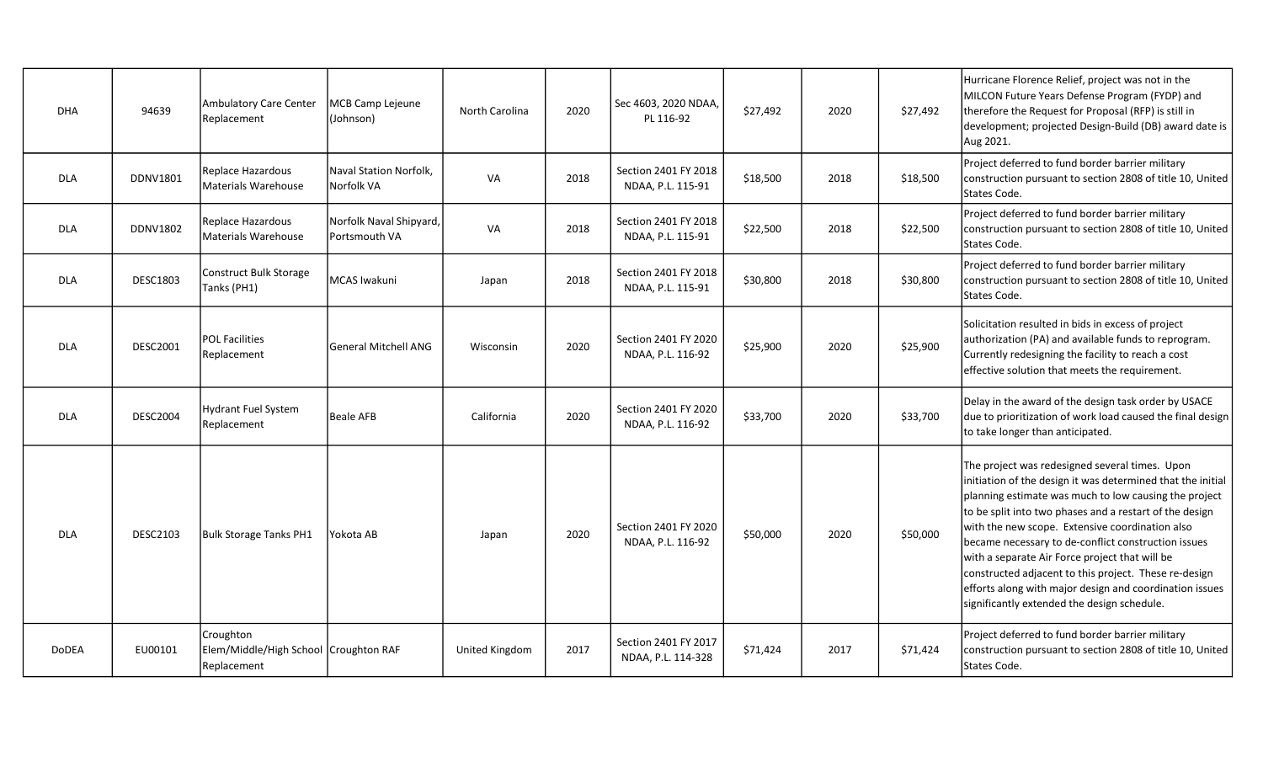| <b>DHA</b>   | 94639           | Ambulatory Care Center<br>Replacement                             | <b>MCB Camp Lejeune</b><br>(Johnson)     | North Carolina | 2020 | Sec 4603, 2020 NDAA,<br>PL 116-92          | \$27,492 | 2020 | \$27,492 | Hurricane Florence Relief, project was not in the<br>MILCON Future Years Defense Program (FYDP) and<br>therefore the Request for Proposal (RFP) is still in<br>development; projected Design-Build (DB) award date is<br>Aug 2021.                                                                                                                                                                                                                                                                                                                               |
|--------------|-----------------|-------------------------------------------------------------------|------------------------------------------|----------------|------|--------------------------------------------|----------|------|----------|------------------------------------------------------------------------------------------------------------------------------------------------------------------------------------------------------------------------------------------------------------------------------------------------------------------------------------------------------------------------------------------------------------------------------------------------------------------------------------------------------------------------------------------------------------------|
| <b>DLA</b>   | DDNV1801        | Replace Hazardous<br>Materials Warehouse                          | Naval Station Norfolk,<br>Norfolk VA     | VA             | 2018 | Section 2401 FY 2018<br>NDAA, P.L. 115-91  | \$18,500 | 2018 | \$18,500 | Project deferred to fund border barrier military<br>construction pursuant to section 2808 of title 10, United<br>States Code.                                                                                                                                                                                                                                                                                                                                                                                                                                    |
| <b>DLA</b>   | <b>DDNV1802</b> | Replace Hazardous<br>Materials Warehouse                          | Norfolk Naval Shipyard,<br>Portsmouth VA | VA             | 2018 | Section 2401 FY 2018<br>NDAA, P.L. 115-91  | \$22,500 | 2018 | \$22,500 | Project deferred to fund border barrier military<br>construction pursuant to section 2808 of title 10, United<br>States Code.                                                                                                                                                                                                                                                                                                                                                                                                                                    |
| <b>DLA</b>   | <b>DESC1803</b> | Construct Bulk Storage<br>Tanks (PH1)                             | MCAS Iwakuni                             | Japan          | 2018 | Section 2401 FY 2018<br>NDAA, P.L. 115-91  | \$30,800 | 2018 | \$30,800 | Project deferred to fund border barrier military<br>construction pursuant to section 2808 of title 10, United<br>States Code.                                                                                                                                                                                                                                                                                                                                                                                                                                    |
| <b>DLA</b>   | <b>DESC2001</b> | <b>POL Facilities</b><br>Replacement                              | <b>General Mitchell ANG</b>              | Wisconsin      | 2020 | Section 2401 FY 2020<br>NDAA, P.L. 116-92  | \$25,900 | 2020 | \$25,900 | Solicitation resulted in bids in excess of project<br>authorization (PA) and available funds to reprogram.<br>Currently redesigning the facility to reach a cost<br>effective solution that meets the requirement.                                                                                                                                                                                                                                                                                                                                               |
| <b>DLA</b>   | <b>DESC2004</b> | <b>Hydrant Fuel System</b><br>Replacement                         | <b>Beale AFB</b>                         | California     | 2020 | Section 2401 FY 2020<br>NDAA, P.L. 116-92  | \$33,700 | 2020 | \$33,700 | Delay in the award of the design task order by USACE<br>due to prioritization of work load caused the final design<br>to take longer than anticipated.                                                                                                                                                                                                                                                                                                                                                                                                           |
| <b>DLA</b>   | <b>DESC2103</b> | <b>Bulk Storage Tanks PH1</b>                                     | Yokota AB                                | Japan          | 2020 | Section 2401 FY 2020<br>NDAA, P.L. 116-92  | \$50,000 | 2020 | \$50,000 | The project was redesigned several times. Upon<br>initiation of the design it was determined that the initial<br>planning estimate was much to low causing the project<br>to be split into two phases and a restart of the design<br>with the new scope. Extensive coordination also<br>became necessary to de-conflict construction issues<br>with a separate Air Force project that will be<br>constructed adjacent to this project. These re-design<br>efforts along with major design and coordination issues<br>significantly extended the design schedule. |
| <b>DoDEA</b> | EU00101         | Croughton<br>Elem/Middle/High School Croughton RAF<br>Replacement |                                          | United Kingdom | 2017 | Section 2401 FY 2017<br>NDAA, P.L. 114-328 | \$71,424 | 2017 | \$71,424 | Project deferred to fund border barrier military<br>construction pursuant to section 2808 of title 10, United<br>States Code.                                                                                                                                                                                                                                                                                                                                                                                                                                    |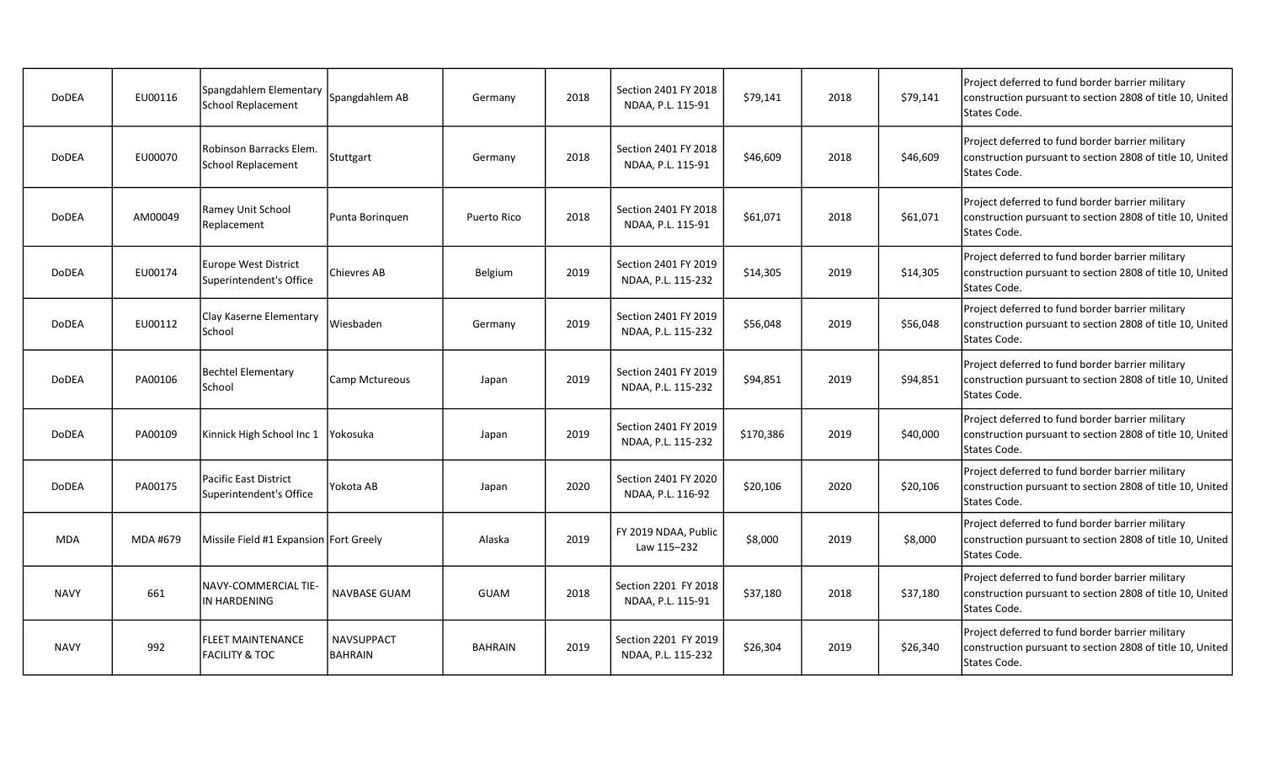| <b>DoDEA</b> | EU00116  | Spangdahlem Elementary<br>School Replacement          | Spangdahlem AB                      | Germany        | 2018 | Section 2401 FY 2018<br>NDAA, P.L. 115-91  | \$79,141  | 2018 | \$79,141 | Project deferred to fund border barrier military<br>construction pursuant to section 2808 of title 10, United<br>States Code. |
|--------------|----------|-------------------------------------------------------|-------------------------------------|----------------|------|--------------------------------------------|-----------|------|----------|-------------------------------------------------------------------------------------------------------------------------------|
| DoDEA        | EU00070  | Robinson Barracks Elem.<br>School Replacement         | Stuttgart                           | Germany        | 2018 | Section 2401 FY 2018<br>NDAA, P.L. 115-91  | \$46,609  | 2018 | \$46,609 | Project deferred to fund border barrier military<br>construction pursuant to section 2808 of title 10, United<br>States Code. |
| <b>DoDEA</b> | AM00049  | Ramey Unit School<br>Replacement                      | Punta Boringuen                     | Puerto Rico    | 2018 | Section 2401 FY 2018<br>NDAA, P.L. 115-91  | \$61,071  | 2018 | \$61,071 | Project deferred to fund border barrier military<br>construction pursuant to section 2808 of title 10, United<br>States Code. |
| <b>DoDEA</b> | EU00174  | Europe West District<br>Superintendent's Office       | Chievres AB                         | Belgium        | 2019 | Section 2401 FY 2019<br>NDAA, P.L. 115-232 | \$14,305  | 2019 | \$14,305 | Project deferred to fund border barrier military<br>construction pursuant to section 2808 of title 10, United<br>States Code. |
| <b>DoDEA</b> | EU00112  | Clay Kaserne Elementary<br>School                     | Wiesbaden                           | Germany        | 2019 | Section 2401 FY 2019<br>NDAA, P.L. 115-232 | \$56,048  | 2019 | \$56,048 | Project deferred to fund border barrier military<br>construction pursuant to section 2808 of title 10, United<br>States Code. |
| <b>DoDEA</b> | PA00106  | <b>Bechtel Elementary</b><br>School                   | Camp Mctureous                      | Japan          | 2019 | Section 2401 FY 2019<br>NDAA, P.L. 115-232 | \$94,851  | 2019 | \$94,851 | Project deferred to fund border barrier military<br>construction pursuant to section 2808 of title 10, United<br>States Code. |
| <b>DoDEA</b> | PA00109  | Kinnick High School Inc 1                             | Yokosuka                            | Japan          | 2019 | Section 2401 FY 2019<br>NDAA, P.L. 115-232 | \$170,386 | 2019 | \$40,000 | Project deferred to fund border barrier military<br>construction pursuant to section 2808 of title 10, United<br>States Code. |
| <b>DoDEA</b> | PA00175  | lPacific East District<br>Superintendent's Office     | Yokota AB                           | Japan          | 2020 | Section 2401 FY 2020<br>NDAA, P.L. 116-92  | \$20,106  | 2020 | \$20,106 | Project deferred to fund border barrier military<br>construction pursuant to section 2808 of title 10, United<br>States Code. |
| <b>MDA</b>   | MDA #679 | Missile Field #1 Expansion Fort Greely                |                                     | Alaska         | 2019 | FY 2019 NDAA, Public<br>Law 115-232        | \$8,000   | 2019 | \$8,000  | Project deferred to fund border barrier military<br>construction pursuant to section 2808 of title 10, United<br>States Code. |
| <b>NAVY</b>  | 661      | INAVY-COMMERCIAL TIE-<br>IN HARDENING                 | <b>NAVBASE GUAM</b>                 | <b>GUAM</b>    | 2018 | Section 2201 FY 2018<br>NDAA, P.L. 115-91  | \$37,180  | 2018 | \$37,180 | Project deferred to fund border barrier military<br>construction pursuant to section 2808 of title 10, United<br>States Code. |
| <b>NAVY</b>  | 992      | <b>FLEET MAINTENANCE</b><br><b>FACILITY &amp; TOC</b> | <b>NAVSUPPACT</b><br><b>BAHRAIN</b> | <b>BAHRAIN</b> | 2019 | Section 2201 FY 2019<br>NDAA, P.L. 115-232 | \$26,304  | 2019 | \$26,340 | Project deferred to fund border barrier military<br>construction pursuant to section 2808 of title 10, United<br>States Code. |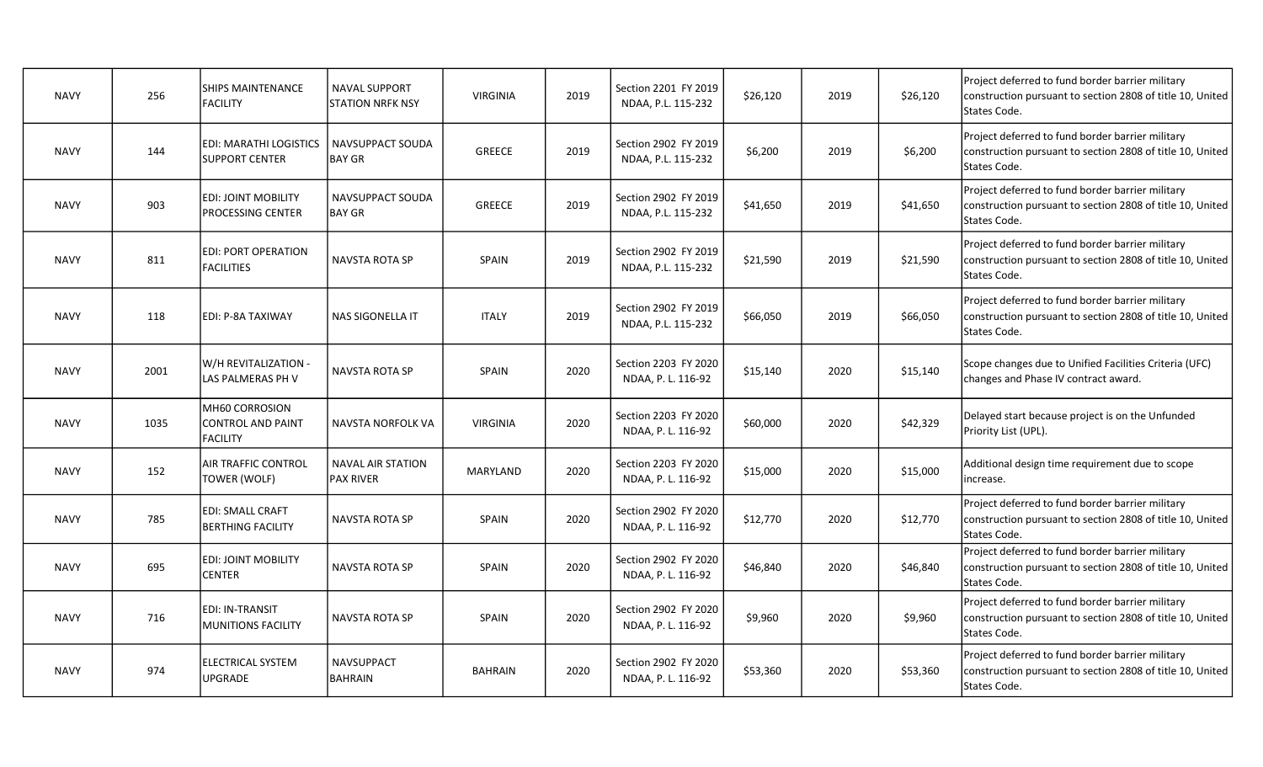| <b>NAVY</b> | 256  | <b>SHIPS MAINTENANCE</b><br><b>FACILITY</b>                   | <b>NAVAL SUPPORT</b><br><b>STATION NRFK NSY</b> | <b>VIRGINIA</b> | 2019 | Section 2201 FY 2019<br>NDAA, P.L. 115-232 | \$26,120 | 2019 | \$26,120 | Project deferred to fund border barrier military<br>construction pursuant to section 2808 of title 10, United<br>States Code. |
|-------------|------|---------------------------------------------------------------|-------------------------------------------------|-----------------|------|--------------------------------------------|----------|------|----------|-------------------------------------------------------------------------------------------------------------------------------|
| <b>NAVY</b> | 144  | EDI: MARATHI LOGISTICS<br><b>SUPPORT CENTER</b>               | NAVSUPPACT SOUDA<br><b>BAY GR</b>               | <b>GREECE</b>   | 2019 | Section 2902 FY 2019<br>NDAA, P.L. 115-232 | \$6,200  | 2019 | \$6,200  | Project deferred to fund border barrier military<br>construction pursuant to section 2808 of title 10, United<br>States Code. |
| <b>NAVY</b> | 903  | <b>EDI: JOINT MOBILITY</b><br>PROCESSING CENTER               | NAVSUPPACT SOUDA<br><b>BAY GR</b>               | GREECE          | 2019 | Section 2902 FY 2019<br>NDAA, P.L. 115-232 | \$41,650 | 2019 | \$41,650 | Project deferred to fund border barrier military<br>construction pursuant to section 2808 of title 10, United<br>States Code. |
| <b>NAVY</b> | 811  | <b>EDI: PORT OPERATION</b><br><b>FACILITIES</b>               | NAVSTA ROTA SP                                  | SPAIN           | 2019 | Section 2902 FY 2019<br>NDAA, P.L. 115-232 | \$21,590 | 2019 | \$21,590 | Project deferred to fund border barrier military<br>construction pursuant to section 2808 of title 10, United<br>States Code. |
| <b>NAVY</b> | 118  | ledi: P-8A TAXIWAY                                            | NAS SIGONELLA IT                                | <b>ITALY</b>    | 2019 | Section 2902 FY 2019<br>NDAA, P.L. 115-232 | \$66,050 | 2019 | \$66,050 | Project deferred to fund border barrier military<br>construction pursuant to section 2808 of title 10, United<br>States Code. |
| <b>NAVY</b> | 2001 | W/H REVITALIZATION -<br>LAS PALMERAS PH V                     | NAVSTA ROTA SP                                  | SPAIN           | 2020 | Section 2203 FY 2020<br>NDAA, P. L. 116-92 | \$15,140 | 2020 | \$15,140 | Scope changes due to Unified Facilities Criteria (UFC)<br>changes and Phase IV contract award.                                |
| <b>NAVY</b> | 1035 | MH60 CORROSION<br><b>CONTROL AND PAINT</b><br><b>FACILITY</b> | NAVSTA NORFOLK VA                               | <b>VIRGINIA</b> | 2020 | Section 2203 FY 2020<br>NDAA, P. L. 116-92 | \$60,000 | 2020 | \$42,329 | Delayed start because project is on the Unfunded<br>Priority List (UPL).                                                      |
| <b>NAVY</b> | 152  | AIR TRAFFIC CONTROL<br>TOWER (WOLF)                           | <b>NAVAL AIR STATION</b><br><b>PAX RIVER</b>    | MARYLAND        | 2020 | Section 2203 FY 2020<br>NDAA, P. L. 116-92 | \$15,000 | 2020 | \$15,000 | Additional design time requirement due to scope<br>increase.                                                                  |
| <b>NAVY</b> | 785  | EDI: SMALL CRAFT<br><b>BERTHING FACILITY</b>                  | <b>NAVSTA ROTA SP</b>                           | SPAIN           | 2020 | Section 2902 FY 2020<br>NDAA, P. L. 116-92 | \$12,770 | 2020 | \$12,770 | Project deferred to fund border barrier military<br>construction pursuant to section 2808 of title 10, United<br>States Code. |
| <b>NAVY</b> | 695  | <b>EDI: JOINT MOBILITY</b><br><b>CENTER</b>                   | <b>NAVSTA ROTA SP</b>                           | SPAIN           | 2020 | Section 2902 FY 2020<br>NDAA, P. L. 116-92 | \$46,840 | 2020 | \$46,840 | Project deferred to fund border barrier military<br>construction pursuant to section 2808 of title 10, United<br>States Code. |
| <b>NAVY</b> | 716  | EDI: IN-TRANSIT<br><b>MUNITIONS FACILITY</b>                  | <b>NAVSTA ROTA SP</b>                           | SPAIN           | 2020 | Section 2902 FY 2020<br>NDAA, P. L. 116-92 | \$9,960  | 2020 | \$9,960  | Project deferred to fund border barrier military<br>construction pursuant to section 2808 of title 10, United<br>States Code. |
| <b>NAVY</b> | 974  | <b>ELECTRICAL SYSTEM</b><br><b>UPGRADE</b>                    | <b>NAVSUPPACT</b><br><b>BAHRAIN</b>             | <b>BAHRAIN</b>  | 2020 | Section 2902 FY 2020<br>NDAA, P. L. 116-92 | \$53,360 | 2020 | \$53,360 | Project deferred to fund border barrier military<br>construction pursuant to section 2808 of title 10, United<br>States Code. |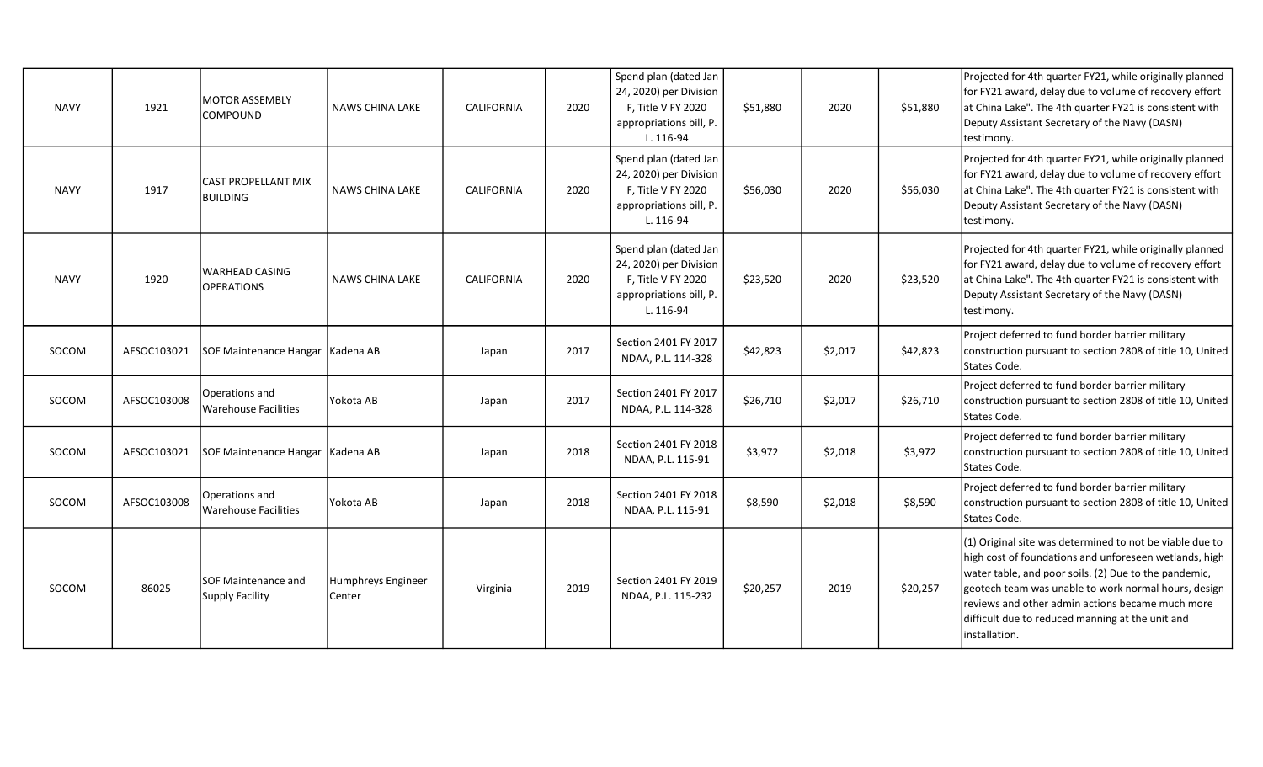| <b>NAVY</b> | 1921        | <b>MOTOR ASSEMBLY</b><br>COMPOUND             | <b>NAWS CHINA LAKE</b>       | <b>CALIFORNIA</b> | 2020 | Spend plan (dated Jan<br>24, 2020) per Division<br>F, Title V FY 2020<br>appropriations bill, P.<br>L. 116-94 | \$51,880 | 2020    | \$51,880 | Projected for 4th quarter FY21, while originally planned<br>for FY21 award, delay due to volume of recovery effort<br>at China Lake". The 4th quarter FY21 is consistent with<br>Deputy Assistant Secretary of the Navy (DASN)<br>testimony.                                                                                                                 |
|-------------|-------------|-----------------------------------------------|------------------------------|-------------------|------|---------------------------------------------------------------------------------------------------------------|----------|---------|----------|--------------------------------------------------------------------------------------------------------------------------------------------------------------------------------------------------------------------------------------------------------------------------------------------------------------------------------------------------------------|
| <b>NAVY</b> | 1917        | <b>CAST PROPELLANT MIX</b><br><b>BUILDING</b> | <b>NAWS CHINA LAKE</b>       | CALIFORNIA        | 2020 | Spend plan (dated Jan<br>24, 2020) per Division<br>F, Title V FY 2020<br>appropriations bill, P.<br>L. 116-94 | \$56,030 | 2020    | \$56,030 | Projected for 4th quarter FY21, while originally planned<br>for FY21 award, delay due to volume of recovery effort<br>at China Lake". The 4th quarter FY21 is consistent with<br>Deputy Assistant Secretary of the Navy (DASN)<br>testimony.                                                                                                                 |
| <b>NAVY</b> | 1920        | <b>WARHEAD CASING</b><br><b>OPERATIONS</b>    | <b>NAWS CHINA LAKE</b>       | <b>CALIFORNIA</b> | 2020 | Spend plan (dated Jan<br>24, 2020) per Division<br>F. Title V FY 2020<br>appropriations bill, P.<br>L. 116-94 | \$23,520 | 2020    | \$23,520 | Projected for 4th quarter FY21, while originally planned<br>for FY21 award, delay due to volume of recovery effort<br>at China Lake". The 4th quarter FY21 is consistent with<br>Deputy Assistant Secretary of the Navy (DASN)<br>testimony.                                                                                                                 |
| SOCOM       | AFSOC103021 | SOF Maintenance Hangar   Kadena AB            |                              | Japan             | 2017 | Section 2401 FY 2017<br>NDAA, P.L. 114-328                                                                    | \$42,823 | \$2,017 | \$42,823 | Project deferred to fund border barrier military<br>construction pursuant to section 2808 of title 10, United<br>States Code.                                                                                                                                                                                                                                |
| SOCOM       | AFSOC103008 | Operations and<br><b>Warehouse Facilities</b> | Yokota AB                    | Japan             | 2017 | Section 2401 FY 2017<br>NDAA, P.L. 114-328                                                                    | \$26,710 | \$2,017 | \$26,710 | Project deferred to fund border barrier military<br>construction pursuant to section 2808 of title 10, United<br>States Code.                                                                                                                                                                                                                                |
| SOCOM       | AFSOC103021 | <b>SOF Maintenance Hangar</b>                 | Kadena AB                    | Japan             | 2018 | Section 2401 FY 2018<br>NDAA, P.L. 115-91                                                                     | \$3,972  | \$2,018 | \$3,972  | Project deferred to fund border barrier military<br>construction pursuant to section 2808 of title 10, United<br>States Code.                                                                                                                                                                                                                                |
| SOCOM       | AFSOC103008 | Operations and<br><b>Warehouse Facilities</b> | Yokota AB                    | Japan             | 2018 | Section 2401 FY 2018<br>NDAA, P.L. 115-91                                                                     | \$8,590  | \$2,018 | \$8,590  | Project deferred to fund border barrier military<br>construction pursuant to section 2808 of title 10, United<br>States Code.                                                                                                                                                                                                                                |
| SOCOM       | 86025       | ISOF Maintenance and<br>Supply Facility       | Humphreys Engineer<br>Center | Virginia          | 2019 | Section 2401 FY 2019<br>NDAA, P.L. 115-232                                                                    | \$20,257 | 2019    | \$20,257 | (1) Original site was determined to not be viable due to<br>high cost of foundations and unforeseen wetlands, high<br>water table, and poor soils. (2) Due to the pandemic,<br>geotech team was unable to work normal hours, design<br>reviews and other admin actions became much more<br>difficult due to reduced manning at the unit and<br>installation. |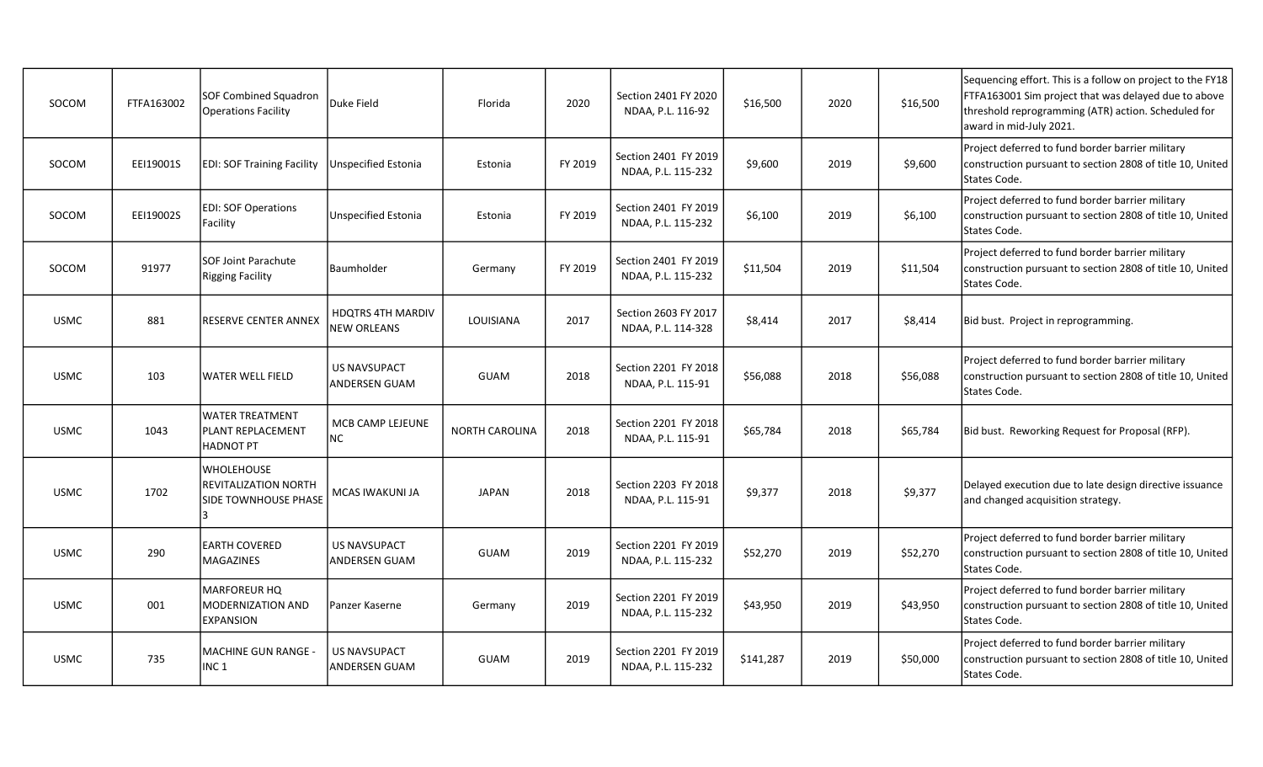| SOCOM       | FTFA163002 | <b>SOF Combined Squadron</b><br><b>Operations Facility</b>        | Duke Field                                     | Florida               | 2020    | Section 2401 FY 2020<br>NDAA, P.L. 116-92  | \$16,500  | 2020 | \$16,500 | Sequencing effort. This is a follow on project to the FY18<br>FTFA163001 Sim project that was delayed due to above<br>threshold reprogramming (ATR) action. Scheduled for<br>award in mid-July 2021. |
|-------------|------------|-------------------------------------------------------------------|------------------------------------------------|-----------------------|---------|--------------------------------------------|-----------|------|----------|------------------------------------------------------------------------------------------------------------------------------------------------------------------------------------------------------|
| SOCOM       | EEI19001S  | <b>EDI: SOF Training Facility</b>                                 | Unspecified Estonia                            | Estonia               | FY 2019 | Section 2401 FY 2019<br>NDAA, P.L. 115-232 | \$9,600   | 2019 | \$9,600  | Project deferred to fund border barrier military<br>construction pursuant to section 2808 of title 10, United<br>States Code.                                                                        |
| SOCOM       | EEI19002S  | <b>EDI: SOF Operations</b><br>Facility                            | Unspecified Estonia                            | Estonia               | FY 2019 | Section 2401 FY 2019<br>NDAA, P.L. 115-232 | \$6,100   | 2019 | \$6,100  | Project deferred to fund border barrier military<br>construction pursuant to section 2808 of title 10, United<br>States Code.                                                                        |
| SOCOM       | 91977      | <b>SOF Joint Parachute</b><br>Rigging Facility                    | Baumholder                                     | Germany               | FY 2019 | Section 2401 FY 2019<br>NDAA, P.L. 115-232 | \$11,504  | 2019 | \$11,504 | Project deferred to fund border barrier military<br>construction pursuant to section 2808 of title 10, United<br>States Code.                                                                        |
| <b>USMC</b> | 881        | RESERVE CENTER ANNEX                                              | <b>HDQTRS 4TH MARDIV</b><br><b>NEW ORLEANS</b> | LOUISIANA             | 2017    | Section 2603 FY 2017<br>NDAA, P.L. 114-328 | \$8,414   | 2017 | \$8,414  | Bid bust. Project in reprogramming.                                                                                                                                                                  |
| <b>USMC</b> | 103        | WATER WELL FIELD                                                  | <b>US NAVSUPACT</b><br><b>ANDERSEN GUAM</b>    | GUAM                  | 2018    | Section 2201 FY 2018<br>NDAA, P.L. 115-91  | \$56,088  | 2018 | \$56,088 | Project deferred to fund border barrier military<br>construction pursuant to section 2808 of title 10, United<br>States Code.                                                                        |
| <b>USMC</b> | 1043       | WATER TREATMENT<br>PLANT REPLACEMENT<br>HADNOT PT                 | MCB CAMP LEJEUNE<br><b>NC</b>                  | <b>NORTH CAROLINA</b> | 2018    | Section 2201 FY 2018<br>NDAA, P.L. 115-91  | \$65,784  | 2018 | \$65,784 | Bid bust. Reworking Request for Proposal (RFP).                                                                                                                                                      |
| <b>USMC</b> | 1702       | WHOLEHOUSE<br><b>REVITALIZATION NORTH</b><br>SIDE TOWNHOUSE PHASE | MCAS IWAKUNI JA                                | <b>JAPAN</b>          | 2018    | Section 2203 FY 2018<br>NDAA, P.L. 115-91  | \$9,377   | 2018 | \$9,377  | Delayed execution due to late design directive issuance<br>and changed acquisition strategy.                                                                                                         |
| <b>USMC</b> | 290        | <b>EARTH COVERED</b><br>MAGAZINES                                 | <b>US NAVSUPACT</b><br><b>ANDERSEN GUAM</b>    | <b>GUAM</b>           | 2019    | Section 2201 FY 2019<br>NDAA, P.L. 115-232 | \$52,270  | 2019 | \$52,270 | Project deferred to fund border barrier military<br>construction pursuant to section 2808 of title 10, United<br>States Code.                                                                        |
| <b>USMC</b> | 001        | MARFOREUR HQ<br><b>MODERNIZATION AND</b><br>EXPANSION             | Panzer Kaserne                                 | Germany               | 2019    | Section 2201 FY 2019<br>NDAA, P.L. 115-232 | \$43,950  | 2019 | \$43,950 | Project deferred to fund border barrier military<br>construction pursuant to section 2808 of title 10, United<br>States Code.                                                                        |
| <b>USMC</b> | 735        | MACHINE GUN RANGE -<br>INC <sub>1</sub>                           | <b>US NAVSUPACT</b><br><b>ANDERSEN GUAM</b>    | <b>GUAM</b>           | 2019    | Section 2201 FY 2019<br>NDAA, P.L. 115-232 | \$141,287 | 2019 | \$50,000 | Project deferred to fund border barrier military<br>construction pursuant to section 2808 of title 10, United<br>States Code.                                                                        |